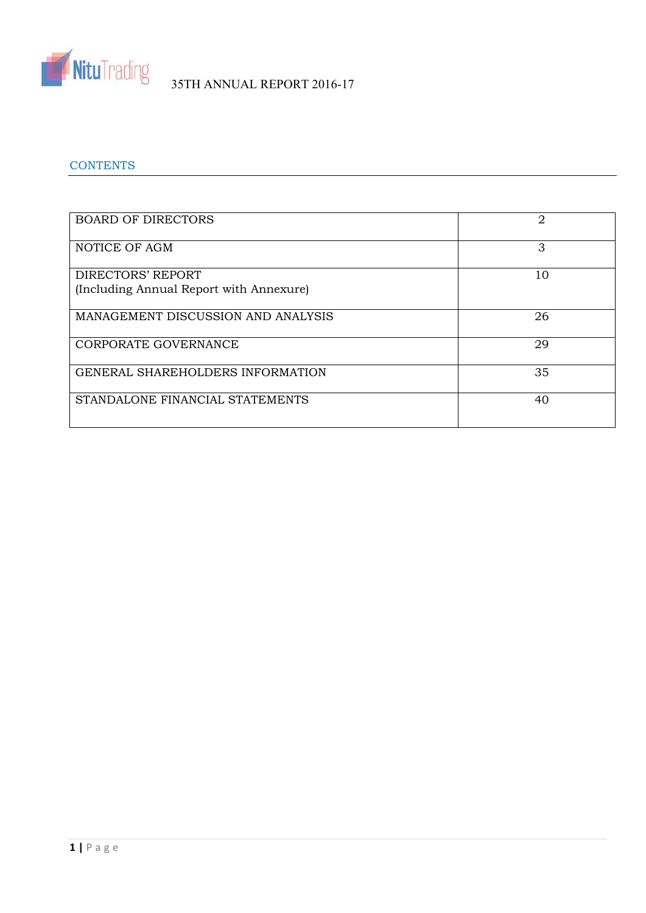

# **CONTENTS**

| <b>BOARD OF DIRECTORS</b>               | 2  |
|-----------------------------------------|----|
| NOTICE OF AGM                           | 3  |
| DIRECTORS' REPORT                       | 10 |
| (Including Annual Report with Annexure) |    |
| MANAGEMENT DISCUSSION AND ANALYSIS      | 26 |
| CORPORATE GOVERNANCE                    | 29 |
| <b>GENERAL SHAREHOLDERS INFORMATION</b> | 35 |
| STANDALONE FINANCIAL STATEMENTS         | 40 |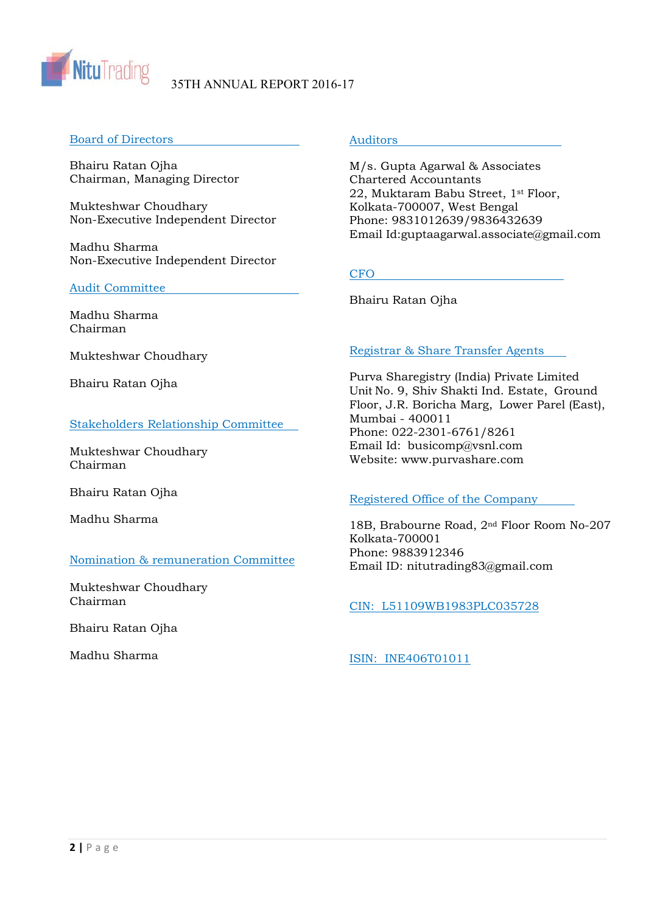

# Board of Directors

Bhairu Ratan Ojha Chairman, Managing Director

Mukteshwar Choudhary Non-Executive Independent Director

Madhu Sharma Non-Executive Independent Director

# Audit Committee

Madhu Sharma Chairman

Mukteshwar Choudhary

Bhairu Ratan Ojha

# Stakeholders Relationship Committee

Mukteshwar Choudhary Chairman

Bhairu Ratan Ojha

Madhu Sharma

# Nomination & remuneration Committee

Mukteshwar Choudhary Chairman

Bhairu Ratan Ojha

Madhu Sharma

# **Auditors**

M/s. Gupta Agarwal & Associates Chartered Accountants 22, Muktaram Babu Street, 1st Floor, Kolkata-700007, West Bengal Phone: 9831012639/9836432639 Email Id:guptaagarwal.associate@gmail.com

# **CFO**

Bhairu Ratan Ojha

# Registrar & Share Transfer Agents

Purva Sharegistry (India) Private Limited Unit No. 9, Shiv Shakti Ind. Estate, Ground Floor, J.R. Boricha Marg, Lower Parel (East), Mumbai - 400011 Phone: 022-2301-6761/8261 Email Id: busicomp@vsnl.com Website: www.purvashare.com

# Registered Office of the Company

18B, Brabourne Road, 2nd Floor Room No-207 Kolkata-700001 Phone: 9883912346 Email ID: nitutrading83@gmail.com

CIN: L51109WB1983PLC035728

ISIN: INE406T01011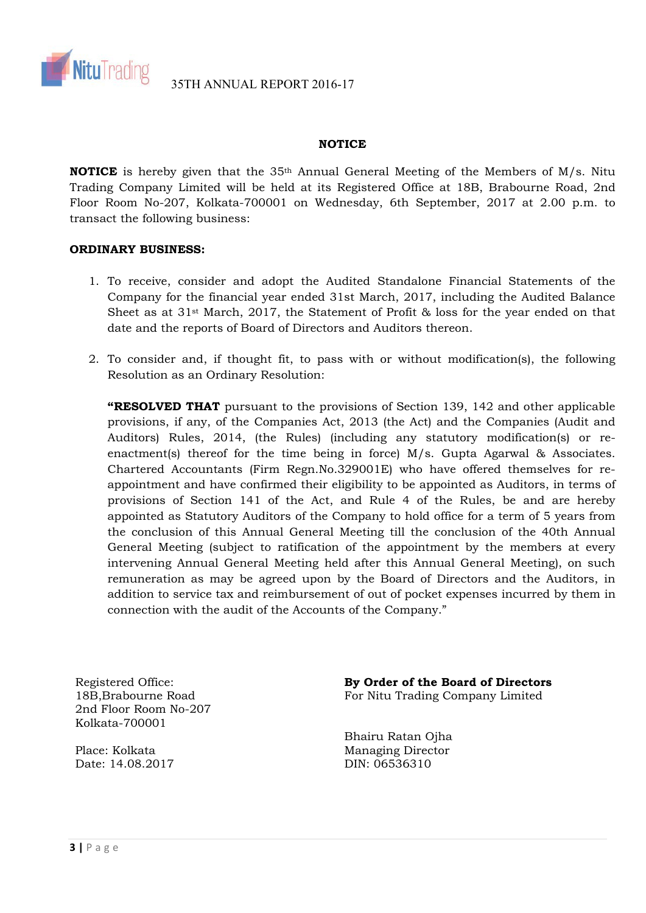

# **NOTICE**

**NOTICE** is hereby given that the 35<sup>th</sup> Annual General Meeting of the Members of M/s. Nitu Trading Company Limited will be held at its Registered Office at 18B, Brabourne Road, 2nd Floor Room No-207, Kolkata-700001 on Wednesday, 6th September, 2017 at 2.00 p.m. to transact the following business:

# **ORDINARY BUSINESS:**

- 1. To receive, consider and adopt the Audited Standalone Financial Statements of the Company for the financial year ended 31st March, 2017, including the Audited Balance Sheet as at  $31$ <sup>st</sup> March, 2017, the Statement of Profit & loss for the year ended on that date and the reports of Board of Directors and Auditors thereon.
- 2. To consider and, if thought fit, to pass with or without modification(s), the following Resolution as an Ordinary Resolution:

**"RESOLVED THAT** pursuant to the provisions of Section 139, 142 and other applicable provisions, if any, of the Companies Act, 2013 (the Act) and the Companies (Audit and Auditors) Rules, 2014, (the Rules) (including any statutory modification(s) or reenactment(s) thereof for the time being in force) M/s. Gupta Agarwal & Associates. Chartered Accountants (Firm Regn.No.329001E) who have offered themselves for reappointment and have confirmed their eligibility to be appointed as Auditors, in terms of provisions of Section 141 of the Act, and Rule 4 of the Rules, be and are hereby appointed as Statutory Auditors of the Company to hold office for a term of 5 years from the conclusion of this Annual General Meeting till the conclusion of the 40th Annual General Meeting (subject to ratification of the appointment by the members at every intervening Annual General Meeting held after this Annual General Meeting), on such remuneration as may be agreed upon by the Board of Directors and the Auditors, in addition to service tax and reimbursement of out of pocket expenses incurred by them in connection with the audit of the Accounts of the Company."

Registered Office: 18B,Brabourne Road 2nd Floor Room No-207 Kolkata-700001

Place: Kolkata Date: 14.08.2017 **By Order of the Board of Directors**  For Nitu Trading Company Limited

Bhairu Ratan Ojha Managing Director DIN: 06536310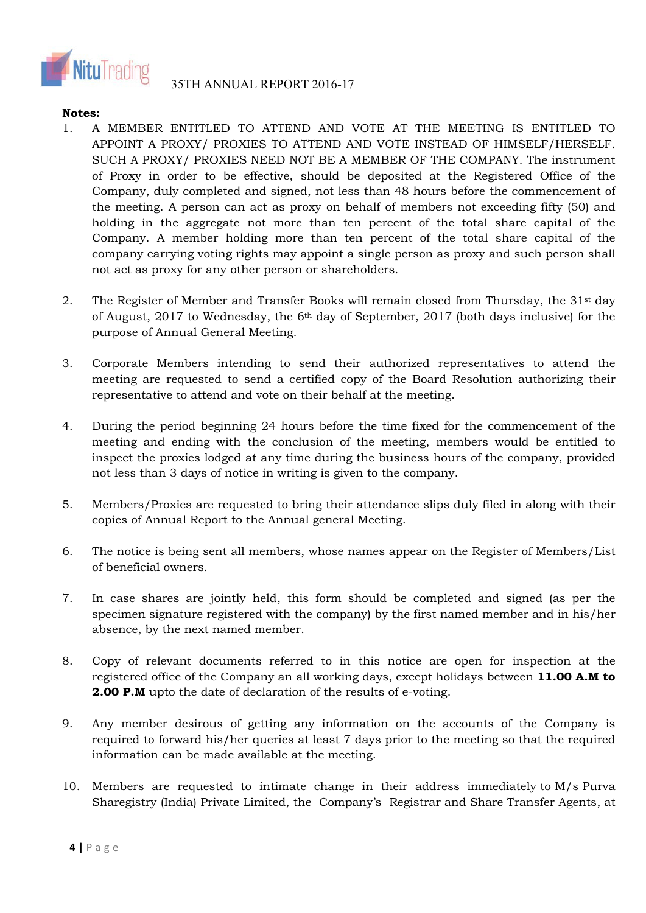

# **Notes:**

- 1. A MEMBER ENTITLED TO ATTEND AND VOTE AT THE MEETING IS ENTITLED TO APPOINT A PROXY/ PROXIES TO ATTEND AND VOTE INSTEAD OF HIMSELF/HERSELF. SUCH A PROXY/ PROXIES NEED NOT BE A MEMBER OF THE COMPANY. The instrument of Proxy in order to be effective, should be deposited at the Registered Office of the Company, duly completed and signed, not less than 48 hours before the commencement of the meeting. A person can act as proxy on behalf of members not exceeding fifty (50) and holding in the aggregate not more than ten percent of the total share capital of the Company. A member holding more than ten percent of the total share capital of the company carrying voting rights may appoint a single person as proxy and such person shall not act as proxy for any other person or shareholders.
- 2. The Register of Member and Transfer Books will remain closed from Thursday, the  $31<sup>st</sup>$  day of August, 2017 to Wednesday, the 6th day of September, 2017 (both days inclusive) for the purpose of Annual General Meeting.
- 3. Corporate Members intending to send their authorized representatives to attend the meeting are requested to send a certified copy of the Board Resolution authorizing their representative to attend and vote on their behalf at the meeting.
- 4. During the period beginning 24 hours before the time fixed for the commencement of the meeting and ending with the conclusion of the meeting, members would be entitled to inspect the proxies lodged at any time during the business hours of the company, provided not less than 3 days of notice in writing is given to the company.
- 5. Members/Proxies are requested to bring their attendance slips duly filed in along with their copies of Annual Report to the Annual general Meeting.
- 6. The notice is being sent all members, whose names appear on the Register of Members/List of beneficial owners.
- 7. In case shares are jointly held, this form should be completed and signed (as per the specimen signature registered with the company) by the first named member and in his/her absence, by the next named member.
- 8. Copy of relevant documents referred to in this notice are open for inspection at the registered office of the Company an all working days, except holidays between **11.00 A.M to 2.00 P.M** upto the date of declaration of the results of e-voting.
- 9. Any member desirous of getting any information on the accounts of the Company is required to forward his/her queries at least 7 days prior to the meeting so that the required information can be made available at the meeting.
- 10. Members are requested to intimate change in their address immediately to M/s Purva Sharegistry (India) Private Limited, the Company's Registrar and Share Transfer Agents, at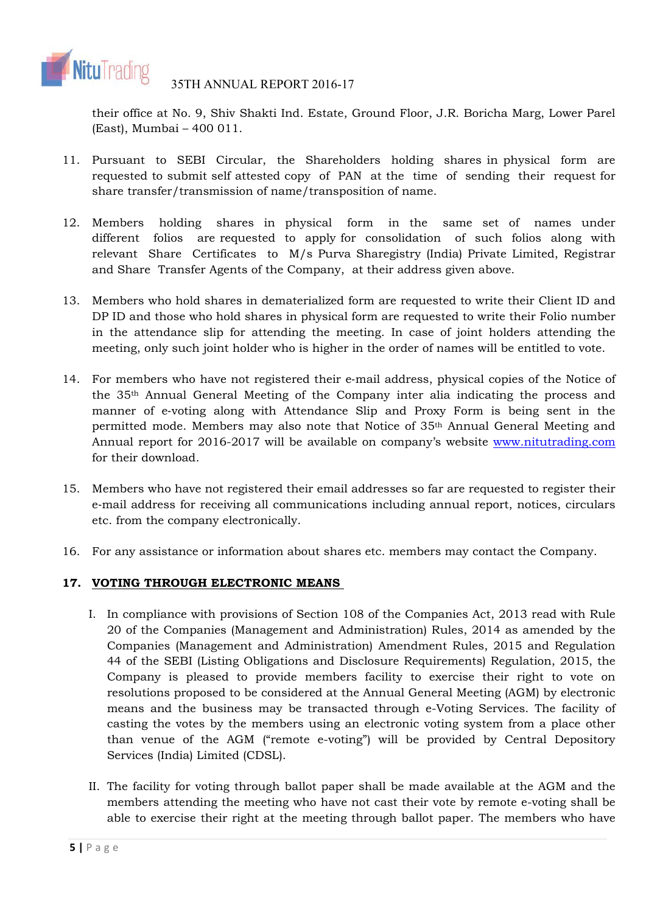

their office at No. 9, Shiv Shakti Ind. Estate, Ground Floor, J.R. Boricha Marg, Lower Parel (East), Mumbai – 400 011.

- 11. Pursuant to SEBI Circular, the Shareholders holding shares in physical form are requested to submit self attested copy of PAN at the time of sending their request for share transfer/transmission of name/transposition of name.
- 12. Members holding shares in physical form in the same set of names under different folios are requested to apply for consolidation of such folios along with relevant Share Certificates to M/s Purva Sharegistry (India) Private Limited, Registrar and Share Transfer Agents of the Company, at their address given above.
- 13. Members who hold shares in dematerialized form are requested to write their Client ID and DP ID and those who hold shares in physical form are requested to write their Folio number in the attendance slip for attending the meeting. In case of joint holders attending the meeting, only such joint holder who is higher in the order of names will be entitled to vote.
- 14. For members who have not registered their e‐mail address, physical copies of the Notice of the 35th Annual General Meeting of the Company inter alia indicating the process and manner of e-voting along with Attendance Slip and Proxy Form is being sent in the permitted mode. Members may also note that Notice of 35th Annual General Meeting and Annual report for 2016-2017 will be available on company's website www.nitutrading.com for their download.
- 15. Members who have not registered their email addresses so far are requested to register their e‐mail address for receiving all communications including annual report, notices, circulars etc. from the company electronically.
- 16. For any assistance or information about shares etc. members may contact the Company.

# **17. VOTING THROUGH ELECTRONIC MEANS**

- I. In compliance with provisions of Section 108 of the Companies Act, 2013 read with Rule 20 of the Companies (Management and Administration) Rules, 2014 as amended by the Companies (Management and Administration) Amendment Rules, 2015 and Regulation 44 of the SEBI (Listing Obligations and Disclosure Requirements) Regulation, 2015, the Company is pleased to provide members facility to exercise their right to vote on resolutions proposed to be considered at the Annual General Meeting (AGM) by electronic means and the business may be transacted through e-Voting Services. The facility of casting the votes by the members using an electronic voting system from a place other than venue of the AGM ("remote e-voting") will be provided by Central Depository Services (India) Limited (CDSL).
- II. The facility for voting through ballot paper shall be made available at the AGM and the members attending the meeting who have not cast their vote by remote e-voting shall be able to exercise their right at the meeting through ballot paper. The members who have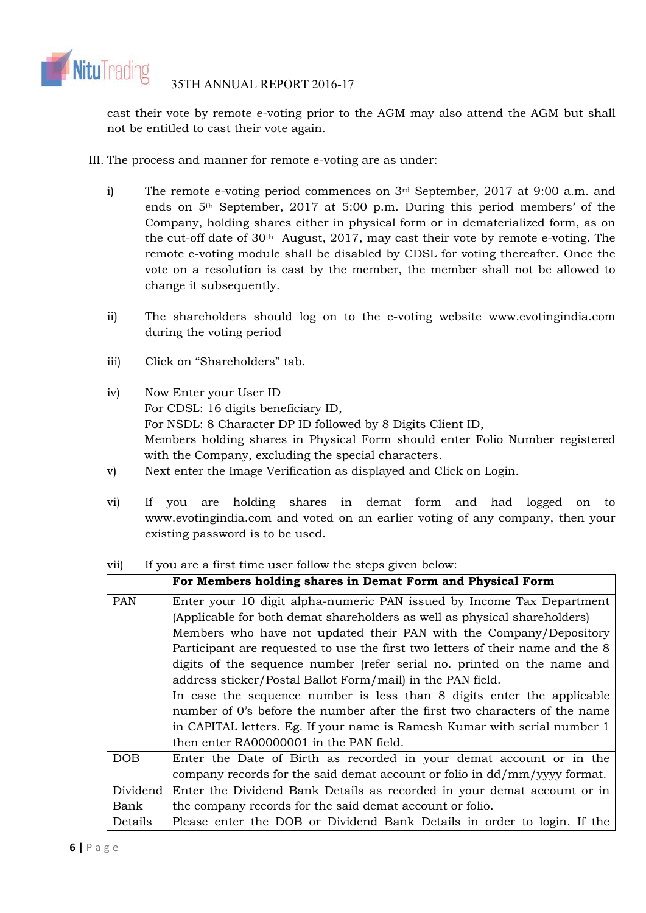

cast their vote by remote e-voting prior to the AGM may also attend the AGM but shall not be entitled to cast their vote again.

- III. The process and manner for remote e-voting are as under:
	- i) The remote e-voting period commences on 3rd September, 2017 at 9:00 a.m. and ends on 5th September, 2017 at 5:00 p.m. During this period members' of the Company, holding shares either in physical form or in dematerialized form, as on the cut-off date of  $30<sup>th</sup>$  August, 2017, may cast their vote by remote e-voting. The remote e-voting module shall be disabled by CDSL for voting thereafter. Once the vote on a resolution is cast by the member, the member shall not be allowed to change it subsequently.
	- ii) The shareholders should log on to the e-voting website www.evotingindia.com during the voting period
	- iii) Click on "Shareholders" tab.
	- iv) Now Enter your User ID For CDSL: 16 digits beneficiary ID, For NSDL: 8 Character DP ID followed by 8 Digits Client ID, Members holding shares in Physical Form should enter Folio Number registered with the Company, excluding the special characters.
	- v) Next enter the Image Verification as displayed and Click on Login.
	- vi) If you are holding shares in demat form and had logged on to www.evotingindia.com and voted on an earlier voting of any company, then your existing password is to be used.

|            | For Members holding shares in Demat Form and Physical Form                     |
|------------|--------------------------------------------------------------------------------|
| <b>PAN</b> | Enter your 10 digit alpha-numeric PAN issued by Income Tax Department          |
|            | (Applicable for both demat shareholders as well as physical shareholders)      |
|            | Members who have not updated their PAN with the Company/Depository             |
|            | Participant are requested to use the first two letters of their name and the 8 |
|            | digits of the sequence number (refer serial no. printed on the name and        |
|            | address sticker/Postal Ballot Form/mail) in the PAN field.                     |
|            | In case the sequence number is less than 8 digits enter the applicable         |
|            | number of 0's before the number after the first two characters of the name     |
|            | in CAPITAL letters. Eg. If your name is Ramesh Kumar with serial number 1      |
|            | then enter RA00000001 in the PAN field.                                        |
| DOB        | Enter the Date of Birth as recorded in your demat account or in the            |
|            | company records for the said demat account or folio in dd/mm/yyyy format.      |
| Dividend   | Enter the Dividend Bank Details as recorded in your demat account or in        |
| Bank       | the company records for the said demat account or folio.                       |
| Details    | Please enter the DOB or Dividend Bank Details in order to login. If the        |

vii) If you are a first time user follow the steps given below: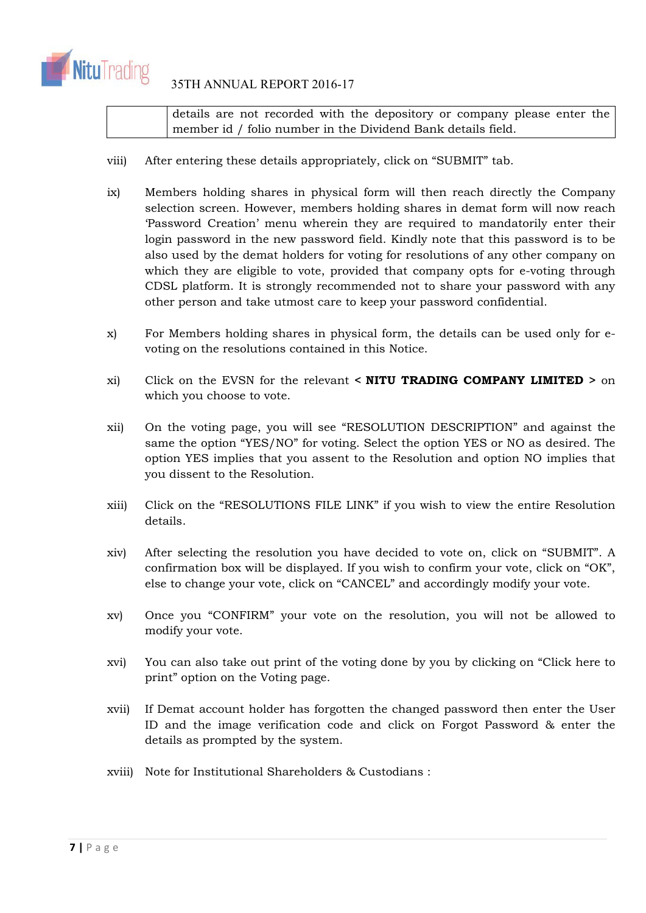

# 35TH ANNUAL REPORT 2016-17

details are not recorded with the depository or company please enter the member id / folio number in the Dividend Bank details field.

- viii) After entering these details appropriately, click on "SUBMIT" tab.
- ix) Members holding shares in physical form will then reach directly the Company selection screen. However, members holding shares in demat form will now reach 'Password Creation' menu wherein they are required to mandatorily enter their login password in the new password field. Kindly note that this password is to be also used by the demat holders for voting for resolutions of any other company on which they are eligible to vote, provided that company opts for e-voting through CDSL platform. It is strongly recommended not to share your password with any other person and take utmost care to keep your password confidential.
- x) For Members holding shares in physical form, the details can be used only for evoting on the resolutions contained in this Notice.
- xi) Click on the EVSN for the relevant **< NITU TRADING COMPANY LIMITED >** on which you choose to vote.
- xii) On the voting page, you will see "RESOLUTION DESCRIPTION" and against the same the option "YES/NO" for voting. Select the option YES or NO as desired. The option YES implies that you assent to the Resolution and option NO implies that you dissent to the Resolution.
- xiii) Click on the "RESOLUTIONS FILE LINK" if you wish to view the entire Resolution details.
- xiv) After selecting the resolution you have decided to vote on, click on "SUBMIT". A confirmation box will be displayed. If you wish to confirm your vote, click on "OK", else to change your vote, click on "CANCEL" and accordingly modify your vote.
- xv) Once you "CONFIRM" your vote on the resolution, you will not be allowed to modify your vote.
- xvi) You can also take out print of the voting done by you by clicking on "Click here to print" option on the Voting page.
- xvii) If Demat account holder has forgotten the changed password then enter the User ID and the image verification code and click on Forgot Password & enter the details as prompted by the system.
- xviii) Note for Institutional Shareholders & Custodians :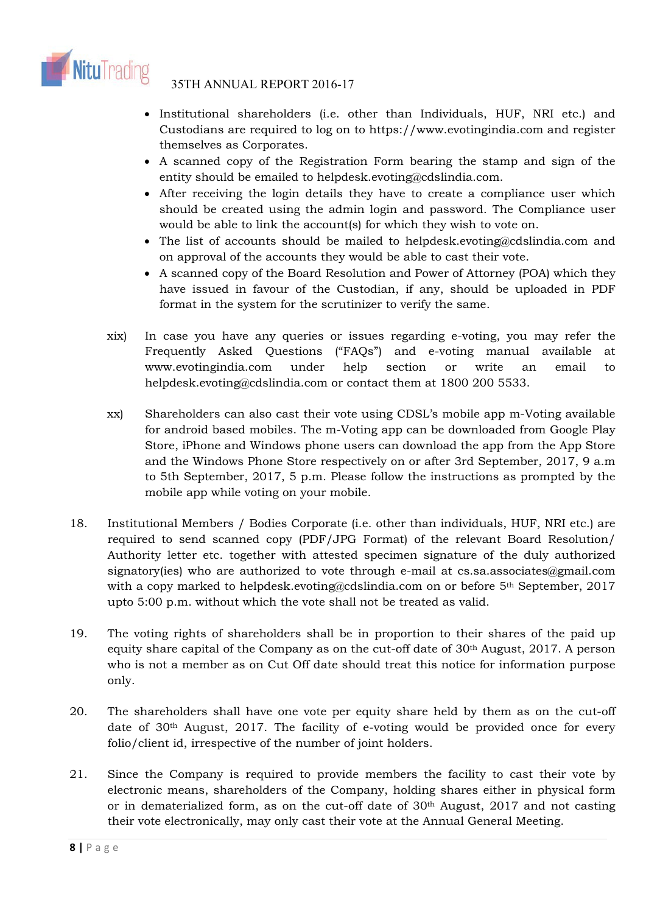

- Institutional shareholders (i.e. other than Individuals, HUF, NRI etc.) and Custodians are required to log on to https://www.evotingindia.com and register themselves as Corporates.
- A scanned copy of the Registration Form bearing the stamp and sign of the entity should be emailed to helpdesk.evoting@cdslindia.com.
- After receiving the login details they have to create a compliance user which should be created using the admin login and password. The Compliance user would be able to link the account(s) for which they wish to vote on.
- The list of accounts should be mailed to helpdesk.evoting@cdslindia.com and on approval of the accounts they would be able to cast their vote.
- A scanned copy of the Board Resolution and Power of Attorney (POA) which they have issued in favour of the Custodian, if any, should be uploaded in PDF format in the system for the scrutinizer to verify the same.
- xix) In case you have any queries or issues regarding e-voting, you may refer the Frequently Asked Questions ("FAQs") and e-voting manual available at www.evotingindia.com under help section or write an email to helpdesk.evoting@cdslindia.com or contact them at 1800 200 5533.
- xx) Shareholders can also cast their vote using CDSL's mobile app m-Voting available for android based mobiles. The m-Voting app can be downloaded from Google Play Store, iPhone and Windows phone users can download the app from the App Store and the Windows Phone Store respectively on or after 3rd September, 2017, 9 a.m to 5th September, 2017, 5 p.m. Please follow the instructions as prompted by the mobile app while voting on your mobile.
- 18. Institutional Members / Bodies Corporate (i.e. other than individuals, HUF, NRI etc.) are required to send scanned copy (PDF/JPG Format) of the relevant Board Resolution/ Authority letter etc. together with attested specimen signature of the duly authorized signatory(ies) who are authorized to vote through e-mail at cs.sa.associates@gmail.com with a copy marked to helpdesk.evoting@cdslindia.com on or before 5<sup>th</sup> September, 2017 upto 5:00 p.m. without which the vote shall not be treated as valid.
- 19. The voting rights of shareholders shall be in proportion to their shares of the paid up equity share capital of the Company as on the cut-off date of 30th August, 2017. A person who is not a member as on Cut Off date should treat this notice for information purpose only.
- 20. The shareholders shall have one vote per equity share held by them as on the cut-off date of 30th August, 2017. The facility of e-voting would be provided once for every folio/client id, irrespective of the number of joint holders.
- 21. Since the Company is required to provide members the facility to cast their vote by electronic means, shareholders of the Company, holding shares either in physical form or in dematerialized form, as on the cut-off date of 30<sup>th</sup> August, 2017 and not casting their vote electronically, may only cast their vote at the Annual General Meeting.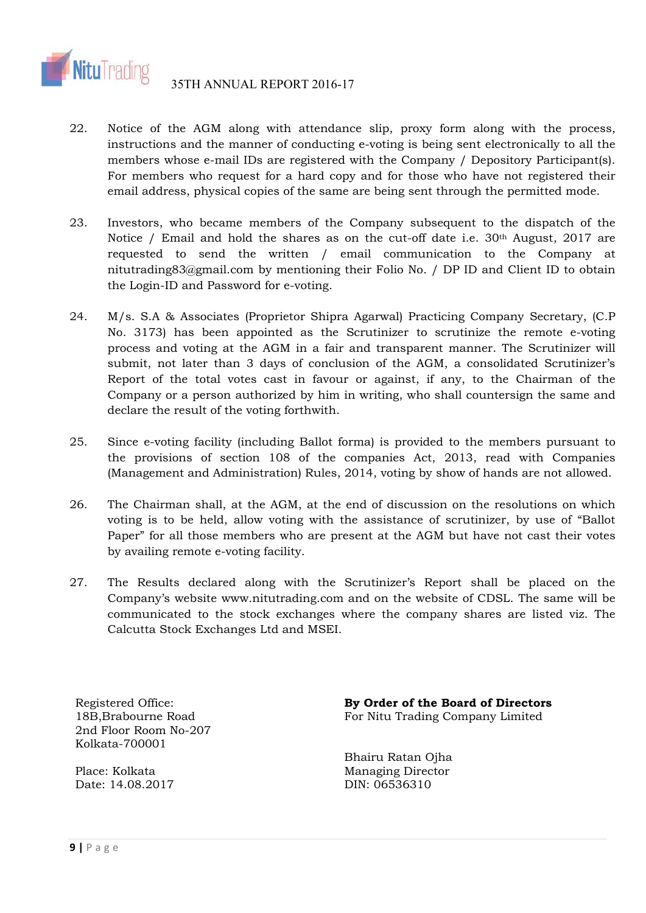

- 22. Notice of the AGM along with attendance slip, proxy form along with the process, instructions and the manner of conducting e-voting is being sent electronically to all the members whose e-mail IDs are registered with the Company / Depository Participant(s). For members who request for a hard copy and for those who have not registered their email address, physical copies of the same are being sent through the permitted mode.
- 23. Investors, who became members of the Company subsequent to the dispatch of the Notice / Email and hold the shares as on the cut-off date i.e.  $30<sup>th</sup>$  August, 2017 are requested to send the written / email communication to the Company at nitutrading83@gmail.com by mentioning their Folio No. / DP ID and Client ID to obtain the Login-ID and Password for e-voting.
- 24. M/s. S.A & Associates (Proprietor Shipra Agarwal) Practicing Company Secretary, (C.P No. 3173) has been appointed as the Scrutinizer to scrutinize the remote e-voting process and voting at the AGM in a fair and transparent manner. The Scrutinizer will submit, not later than 3 days of conclusion of the AGM, a consolidated Scrutinizer's Report of the total votes cast in favour or against, if any, to the Chairman of the Company or a person authorized by him in writing, who shall countersign the same and declare the result of the voting forthwith.
- 25. Since e-voting facility (including Ballot forma) is provided to the members pursuant to the provisions of section 108 of the companies Act, 2013, read with Companies (Management and Administration) Rules, 2014, voting by show of hands are not allowed.
- 26. The Chairman shall, at the AGM, at the end of discussion on the resolutions on which voting is to be held, allow voting with the assistance of scrutinizer, by use of "Ballot Paper" for all those members who are present at the AGM but have not cast their votes by availing remote e-voting facility.
- 27. The Results declared along with the Scrutinizer's Report shall be placed on the Company's website www.nitutrading.com and on the website of CDSL. The same will be communicated to the stock exchanges where the company shares are listed viz. The Calcutta Stock Exchanges Ltd and MSEI.

Registered Office: 18B,Brabourne Road 2nd Floor Room No-207 Kolkata-700001

Place: Kolkata Date: 14.08.2017 **By Order of the Board of Directors**  For Nitu Trading Company Limited

Bhairu Ratan Ojha Managing Director DIN: 06536310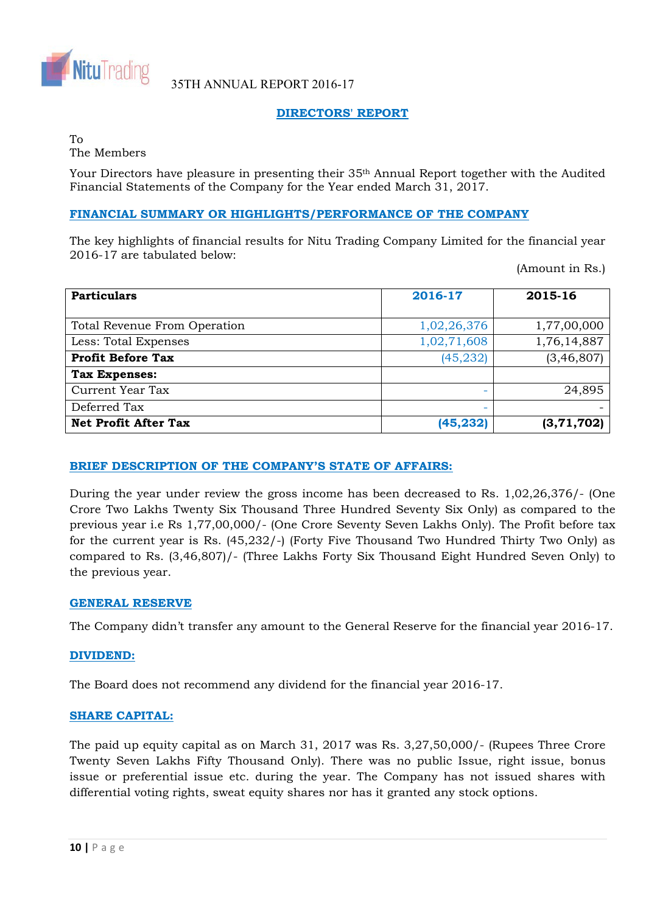

# **DIRECTORS' REPORT**

#### To The Members

Your Directors have pleasure in presenting their 35th Annual Report together with the Audited Financial Statements of the Company for the Year ended March 31, 2017.

# **FINANCIAL SUMMARY OR HIGHLIGHTS/PERFORMANCE OF THE COMPANY**

The key highlights of financial results for Nitu Trading Company Limited for the financial year 2016-17 are tabulated below:

(Amount in Rs.)

| <b>Particulars</b>           | 2016-17     | 2015-16      |  |
|------------------------------|-------------|--------------|--|
| Total Revenue From Operation | 1,02,26,376 | 1,77,00,000  |  |
| Less: Total Expenses         | 1,02,71,608 | 1,76,14,887  |  |
| <b>Profit Before Tax</b>     | (45, 232)   | (3, 46, 807) |  |
| <b>Tax Expenses:</b>         |             |              |  |
| Current Year Tax             | -           | 24,895       |  |
| Deferred Tax                 | -           |              |  |
| <b>Net Profit After Tax</b>  | (45, 232)   | (3, 71, 702) |  |

# **BRIEF DESCRIPTION OF THE COMPANY'S STATE OF AFFAIRS:**

During the year under review the gross income has been decreased to Rs. 1,02,26,376/- (One Crore Two Lakhs Twenty Six Thousand Three Hundred Seventy Six Only) as compared to the previous year i.e Rs 1,77,00,000/- (One Crore Seventy Seven Lakhs Only). The Profit before tax for the current year is Rs. (45,232/-) (Forty Five Thousand Two Hundred Thirty Two Only) as compared to Rs. (3,46,807)/- (Three Lakhs Forty Six Thousand Eight Hundred Seven Only) to the previous year.

# **GENERAL RESERVE**

The Company didn't transfer any amount to the General Reserve for the financial year 2016-17.

# **DIVIDEND:**

The Board does not recommend any dividend for the financial year 2016-17.

# **SHARE CAPITAL:**

The paid up equity capital as on March 31, 2017 was Rs. 3,27,50,000/- (Rupees Three Crore Twenty Seven Lakhs Fifty Thousand Only). There was no public Issue, right issue, bonus issue or preferential issue etc. during the year. The Company has not issued shares with differential voting rights, sweat equity shares nor has it granted any stock options.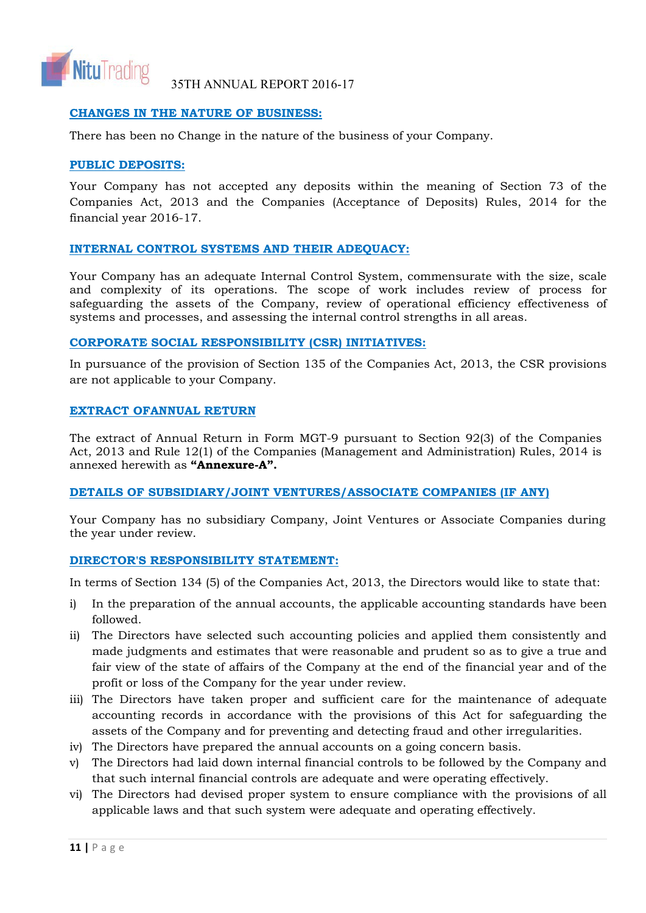

# **CHANGES IN THE NATURE OF BUSINESS:**

There has been no Change in the nature of the business of your Company.

# **PUBLIC DEPOSITS:**

Your Company has not accepted any deposits within the meaning of Section 73 of the Companies Act, 2013 and the Companies (Acceptance of Deposits) Rules, 2014 for the financial year 2016-17.

# **INTERNAL CONTROL SYSTEMS AND THEIR ADEQUACY:**

Your Company has an adequate Internal Control System, commensurate with the size, scale and complexity of its operations. The scope of work includes review of process for safeguarding the assets of the Company, review of operational efficiency effectiveness of systems and processes, and assessing the internal control strengths in all areas.

# **CORPORATE SOCIAL RESPONSIBILITY (CSR) INITIATIVES:**

In pursuance of the provision of Section 135 of the Companies Act, 2013, the CSR provisions are not applicable to your Company.

# **EXTRACT OFANNUAL RETURN**

The extract of Annual Return in Form MGT-9 pursuant to Section 92(3) of the Companies Act, 2013 and Rule 12(1) of the Companies (Management and Administration) Rules, 2014 is annexed herewith as **"Annexure-A".** 

# **DETAILS OF SUBSIDIARY/JOINT VENTURES/ASSOCIATE COMPANIES (IF ANY)**

Your Company has no subsidiary Company, Joint Ventures or Associate Companies during the year under review.

# **DIRECTOR'S RESPONSIBILITY STATEMENT:**

In terms of Section 134 (5) of the Companies Act, 2013, the Directors would like to state that:

- i) In the preparation of the annual accounts, the applicable accounting standards have been followed.
- ii) The Directors have selected such accounting policies and applied them consistently and made judgments and estimates that were reasonable and prudent so as to give a true and fair view of the state of affairs of the Company at the end of the financial year and of the profit or loss of the Company for the year under review.
- iii) The Directors have taken proper and sufficient care for the maintenance of adequate accounting records in accordance with the provisions of this Act for safeguarding the assets of the Company and for preventing and detecting fraud and other irregularities.
- iv) The Directors have prepared the annual accounts on a going concern basis.
- v) The Directors had laid down internal financial controls to be followed by the Company and that such internal financial controls are adequate and were operating effectively.
- vi) The Directors had devised proper system to ensure compliance with the provisions of all applicable laws and that such system were adequate and operating effectively.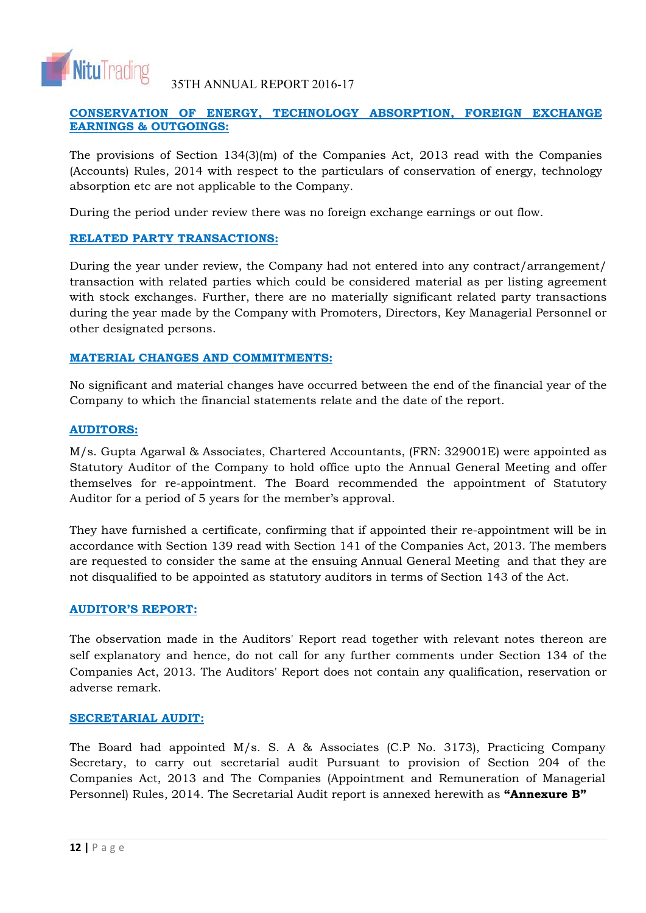

# **CONSERVATION OF ENERGY, TECHNOLOGY ABSORPTION, FOREIGN EXCHANGE EARNINGS & OUTGOINGS:**

The provisions of Section  $134(3)(m)$  of the Companies Act, 2013 read with the Companies (Accounts) Rules, 2014 with respect to the particulars of conservation of energy, technology absorption etc are not applicable to the Company.

During the period under review there was no foreign exchange earnings or out flow.

# **RELATED PARTY TRANSACTIONS:**

During the year under review, the Company had not entered into any contract/arrangement/ transaction with related parties which could be considered material as per listing agreement with stock exchanges. Further, there are no materially significant related party transactions during the year made by the Company with Promoters, Directors, Key Managerial Personnel or other designated persons.

# **MATERIAL CHANGES AND COMMITMENTS:**

No significant and material changes have occurred between the end of the financial year of the Company to which the financial statements relate and the date of the report.

# **AUDITORS:**

M/s. Gupta Agarwal & Associates, Chartered Accountants, (FRN: 329001E) were appointed as Statutory Auditor of the Company to hold office upto the Annual General Meeting and offer themselves for re-appointment. The Board recommended the appointment of Statutory Auditor for a period of 5 years for the member's approval.

They have furnished a certificate, confirming that if appointed their re-appointment will be in accordance with Section 139 read with Section 141 of the Companies Act, 2013. The members are requested to consider the same at the ensuing Annual General Meeting and that they are not disqualified to be appointed as statutory auditors in terms of Section 143 of the Act.

# **AUDITOR'S REPORT:**

The observation made in the Auditors' Report read together with relevant notes thereon are self explanatory and hence, do not call for any further comments under Section 134 of the Companies Act, 2013. The Auditors' Report does not contain any qualification, reservation or adverse remark.

# **SECRETARIAL AUDIT:**

The Board had appointed M/s. S. A & Associates (C.P No. 3173), Practicing Company Secretary, to carry out secretarial audit Pursuant to provision of Section 204 of the Companies Act, 2013 and The Companies (Appointment and Remuneration of Managerial Personnel) Rules, 2014. The Secretarial Audit report is annexed herewith as **"Annexure B"**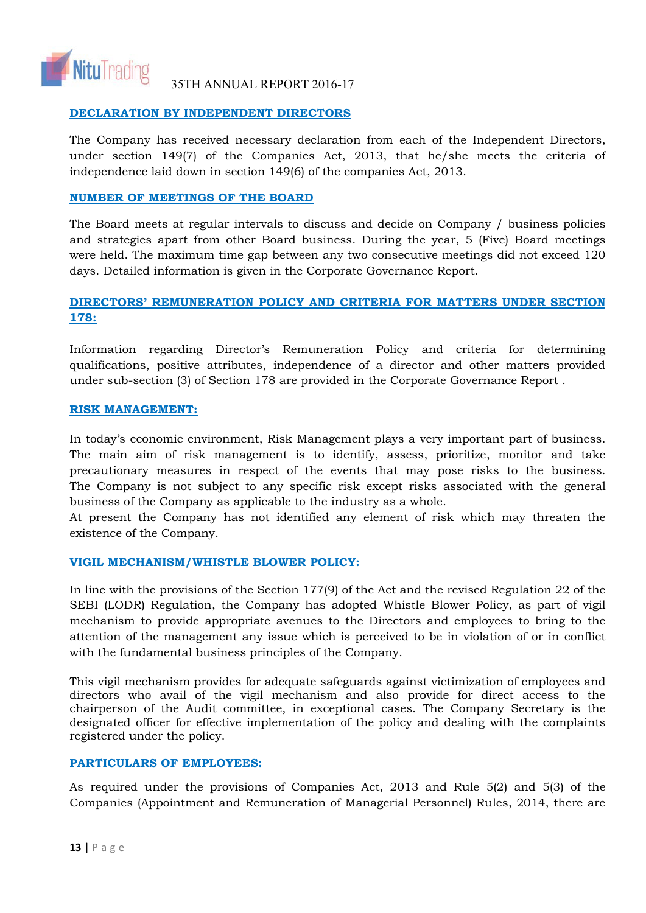

# **DECLARATION BY INDEPENDENT DIRECTORS**

The Company has received necessary declaration from each of the Independent Directors, under section 149(7) of the Companies Act, 2013, that he/she meets the criteria of independence laid down in section 149(6) of the companies Act, 2013.

# **NUMBER OF MEETINGS OF THE BOARD**

The Board meets at regular intervals to discuss and decide on Company / business policies and strategies apart from other Board business. During the year, 5 (Five) Board meetings were held. The maximum time gap between any two consecutive meetings did not exceed 120 days. Detailed information is given in the Corporate Governance Report.

# **DIRECTORS' REMUNERATION POLICY AND CRITERIA FOR MATTERS UNDER SECTION 178:**

Information regarding Director's Remuneration Policy and criteria for determining qualifications, positive attributes, independence of a director and other matters provided under sub-section (3) of Section 178 are provided in the Corporate Governance Report .

# **RISK MANAGEMENT:**

In today's economic environment, Risk Management plays a very important part of business. The main aim of risk management is to identify, assess, prioritize, monitor and take precautionary measures in respect of the events that may pose risks to the business. The Company is not subject to any specific risk except risks associated with the general business of the Company as applicable to the industry as a whole.

At present the Company has not identified any element of risk which may threaten the existence of the Company.

# **VIGIL MECHANISM/WHISTLE BLOWER POLICY:**

In line with the provisions of the Section 177(9) of the Act and the revised Regulation 22 of the SEBI (LODR) Regulation, the Company has adopted Whistle Blower Policy, as part of vigil mechanism to provide appropriate avenues to the Directors and employees to bring to the attention of the management any issue which is perceived to be in violation of or in conflict with the fundamental business principles of the Company.

This vigil mechanism provides for adequate safeguards against victimization of employees and directors who avail of the vigil mechanism and also provide for direct access to the chairperson of the Audit committee, in exceptional cases. The Company Secretary is the designated officer for effective implementation of the policy and dealing with the complaints registered under the policy.

# **PARTICULARS OF EMPLOYEES:**

As required under the provisions of Companies Act, 2013 and Rule 5(2) and 5(3) of the Companies (Appointment and Remuneration of Managerial Personnel) Rules, 2014, there are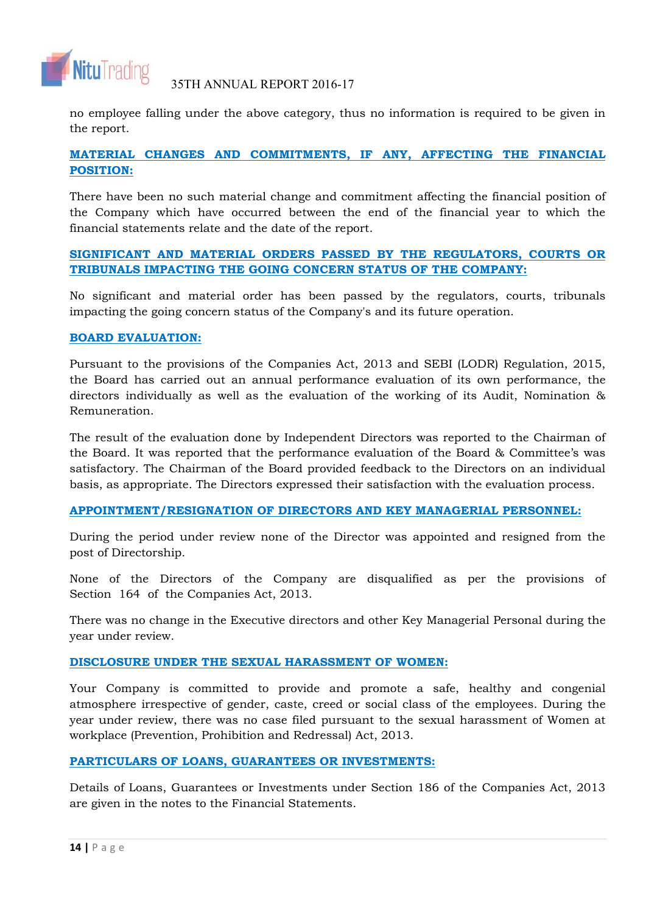

no employee falling under the above category, thus no information is required to be given in the report.

# **MATERIAL CHANGES AND COMMITMENTS, IF ANY, AFFECTING THE FINANCIAL POSITION:**

There have been no such material change and commitment affecting the financial position of the Company which have occurred between the end of the financial year to which the financial statements relate and the date of the report.

# **SIGNIFICANT AND MATERIAL ORDERS PASSED BY THE REGULATORS, COURTS OR TRIBUNALS IMPACTING THE GOING CONCERN STATUS OF THE COMPANY:**

No significant and material order has been passed by the regulators, courts, tribunals impacting the going concern status of the Company's and its future operation.

# **BOARD EVALUATION:**

Pursuant to the provisions of the Companies Act, 2013 and SEBI (LODR) Regulation, 2015, the Board has carried out an annual performance evaluation of its own performance, the directors individually as well as the evaluation of the working of its Audit, Nomination & Remuneration.

The result of the evaluation done by Independent Directors was reported to the Chairman of the Board. It was reported that the performance evaluation of the Board & Committee's was satisfactory. The Chairman of the Board provided feedback to the Directors on an individual basis, as appropriate. The Directors expressed their satisfaction with the evaluation process.

# **APPOINTMENT/RESIGNATION OF DIRECTORS AND KEY MANAGERIAL PERSONNEL:**

During the period under review none of the Director was appointed and resigned from the post of Directorship.

None of the Directors of the Company are disqualified as per the provisions of Section 164 of the Companies Act, 2013.

There was no change in the Executive directors and other Key Managerial Personal during the year under review.

# **DISCLOSURE UNDER THE SEXUAL HARASSMENT OF WOMEN:**

Your Company is committed to provide and promote a safe, healthy and congenial atmosphere irrespective of gender, caste, creed or social class of the employees. During the year under review, there was no case filed pursuant to the sexual harassment of Women at workplace (Prevention, Prohibition and Redressal) Act, 2013.

# **PARTICULARS OF LOANS, GUARANTEES OR INVESTMENTS:**

Details of Loans, Guarantees or Investments under Section 186 of the Companies Act, 2013 are given in the notes to the Financial Statements.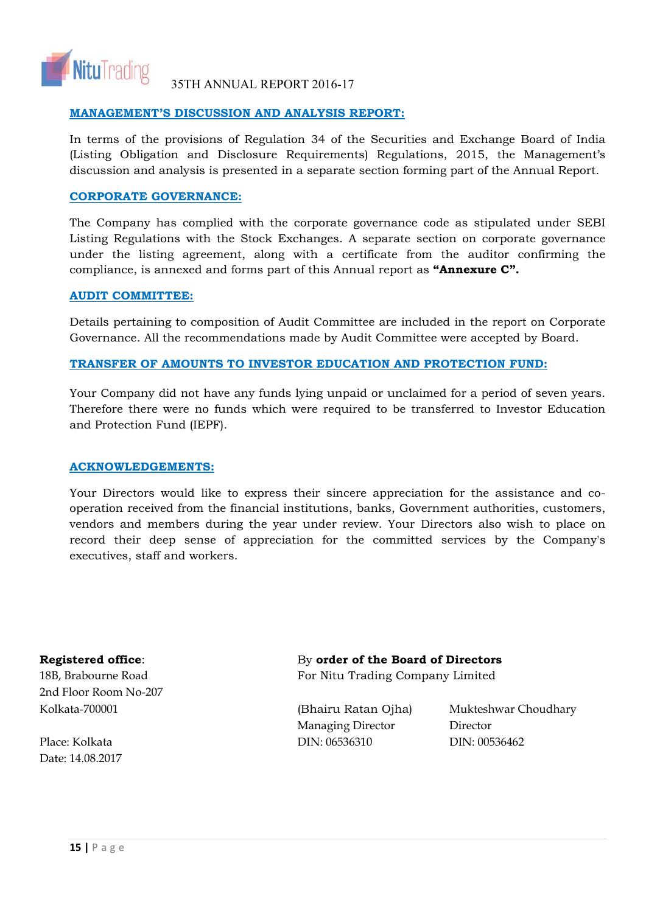

# **MANAGEMENT'S DISCUSSION AND ANALYSIS REPORT:**

In terms of the provisions of Regulation 34 of the Securities and Exchange Board of India (Listing Obligation and Disclosure Requirements) Regulations, 2015, the Management's discussion and analysis is presented in a separate section forming part of the Annual Report.

# **CORPORATE GOVERNANCE:**

The Company has complied with the corporate governance code as stipulated under SEBI Listing Regulations with the Stock Exchanges. A separate section on corporate governance under the listing agreement, along with a certificate from the auditor confirming the compliance, is annexed and forms part of this Annual report as **"Annexure C".** 

# **AUDIT COMMITTEE:**

Details pertaining to composition of Audit Committee are included in the report on Corporate Governance. All the recommendations made by Audit Committee were accepted by Board.

# **TRANSFER OF AMOUNTS TO INVESTOR EDUCATION AND PROTECTION FUND:**

Your Company did not have any funds lying unpaid or unclaimed for a period of seven years. Therefore there were no funds which were required to be transferred to Investor Education and Protection Fund (IEPF).

# **ACKNOWLEDGEMENTS:**

Your Directors would like to express their sincere appreciation for the assistance and cooperation received from the financial institutions, banks, Government authorities, customers, vendors and members during the year under review. Your Directors also wish to place on record their deep sense of appreciation for the committed services by the Company's executives, staff and workers.

2nd Floor Room No-207 Kolkata-700001 (Bhairu Ratan Ojha) Mukteshwar Choudhary

Date: 14.08.2017

# **Registered office**: By **order of the Board of Directors**

18B, Brabourne Road **For Nitu Trading Company Limited** 

Managing Director Director Place: Kolkata DIN: 06536310 DIN: 00536462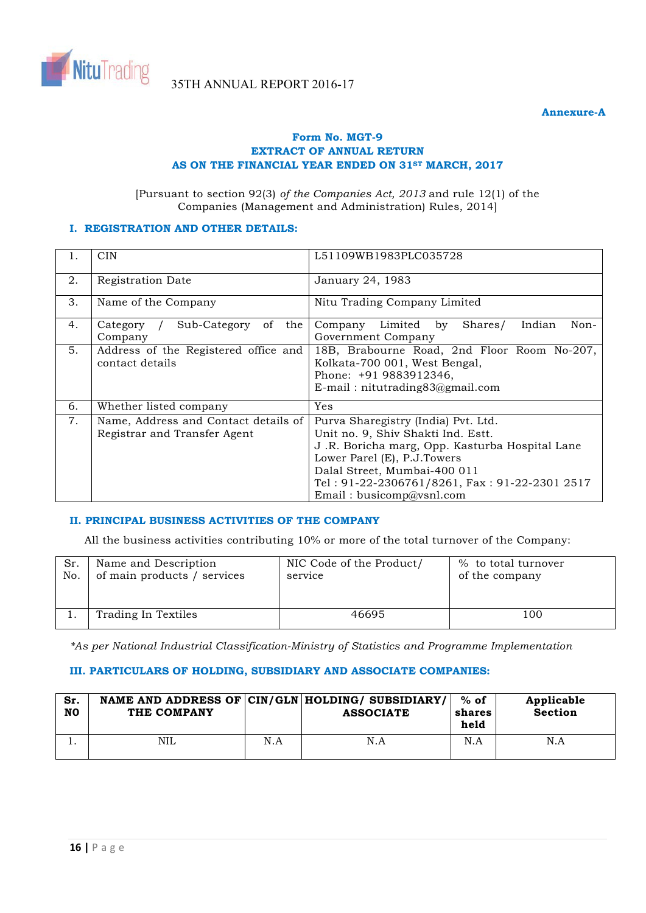

# **Form No. MGT-9 EXTRACT OF ANNUAL RETURN**  AS ON THE FINANCIAL YEAR ENDED ON 31<sup>st</sup> MARCH, 2017

[Pursuant to section 92(3) *of the Companies Act, 2013* and rule 12(1) of the Companies (Management and Administration) Rules, 2014]

# **I. REGISTRATION AND OTHER DETAILS:**

| 1. | <b>CIN</b>                                                           | L51109WB1983PLC035728                                                                                                                                                                                                                                                   |  |  |  |  |
|----|----------------------------------------------------------------------|-------------------------------------------------------------------------------------------------------------------------------------------------------------------------------------------------------------------------------------------------------------------------|--|--|--|--|
| 2. | Registration Date                                                    | January 24, 1983                                                                                                                                                                                                                                                        |  |  |  |  |
| 3. | Name of the Company                                                  | Nitu Trading Company Limited                                                                                                                                                                                                                                            |  |  |  |  |
| 4. | Sub-Category<br>of<br>the<br>Category<br>Company                     | Limited by<br>Shares/<br>Indian<br>Non-<br>Company<br>Government Company                                                                                                                                                                                                |  |  |  |  |
| 5. | Address of the Registered office and<br>contact details              | 18B, Brabourne Road, 2nd Floor Room No-207,<br>Kolkata-700 001, West Bengal,<br>Phone: +91 9883912346,<br>$E$ -mail: nitutrading $83$ @gmail.com                                                                                                                        |  |  |  |  |
| 6. | Whether listed company                                               | Yes                                                                                                                                                                                                                                                                     |  |  |  |  |
| 7. | Name, Address and Contact details of<br>Registrar and Transfer Agent | Purva Sharegistry (India) Pvt. Ltd.<br>Unit no. 9, Shiv Shakti Ind. Estt.<br>J.R. Boricha marg, Opp. Kasturba Hospital Lane<br>Lower Parel (E), P.J.Towers<br>Dalal Street, Mumbai-400 011<br>Tel: 91-22-2306761/8261, Fax: 91-22-2301 2517<br>Email: busicomp@vsnl.com |  |  |  |  |

# **II. PRINCIPAL BUSINESS ACTIVITIES OF THE COMPANY**

All the business activities contributing 10% or more of the total turnover of the Company:

| Sr. | Name and Description        | NIC Code of the Product/ | % to total turnover |
|-----|-----------------------------|--------------------------|---------------------|
| No. | of main products / services | service                  | of the company      |
|     | Trading In Textiles         | 46695                    | 100                 |

*\*As per National Industrial Classification-Ministry of Statistics and Programme Implementation* 

# **III. PARTICULARS OF HOLDING, SUBSIDIARY AND ASSOCIATE COMPANIES:**

| Sr.<br>N <sub>0</sub> | THE COMPANY |     | NAME AND ADDRESS OF CIN/GLN HOLDING/ SUBSIDIARY/<br><b>ASSOCIATE</b> | $%$ of<br>shares<br>held | Applicable<br><b>Section</b> |
|-----------------------|-------------|-----|----------------------------------------------------------------------|--------------------------|------------------------------|
| . .                   | <b>NIL</b>  | N.A | N.A                                                                  | N.A                      | N.A                          |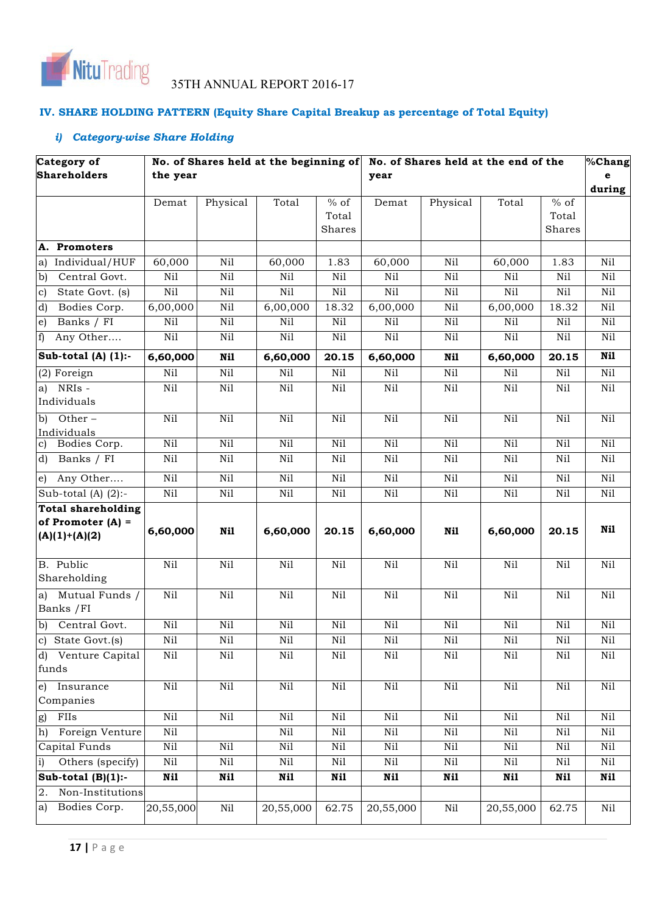

# **IV. SHARE HOLDING PATTERN (Equity Share Capital Breakup as percentage of Total Equity)**

# *i) Category-wise Share Holding*

| Category of                        |                  |                 | No. of Shares held at the beginning of |                 | No. of Shares held at the end of the |                 |                 | %Chang          |                 |
|------------------------------------|------------------|-----------------|----------------------------------------|-----------------|--------------------------------------|-----------------|-----------------|-----------------|-----------------|
| <b>Shareholders</b>                | the year         |                 |                                        |                 | year                                 |                 |                 |                 | е               |
|                                    |                  |                 |                                        |                 |                                      |                 |                 |                 | during          |
|                                    | Demat            | Physical        | Total                                  | $%$ of          | Demat                                | Physical        | Total           | $%$ of          |                 |
|                                    |                  |                 |                                        | Total<br>Shares |                                      |                 |                 | Total<br>Shares |                 |
|                                    |                  |                 |                                        |                 |                                      |                 |                 |                 |                 |
| Promoters<br>А.                    |                  |                 |                                        |                 |                                      |                 |                 |                 |                 |
| Individual/HUF<br>a)               | 60,000           | Nil             | 60,000                                 | 1.83            | 60,000                               | Nil             | 60,000          | 1.83            | N <sub>il</sub> |
| Central Govt.<br>b)                | Nil              | $\rm Ni1$       | Nil                                    | Ni1             | Nil                                  | Nil             | Nil             | Nil             | Nil             |
| State Govt. (s)<br>c)              | Nil              | Nil             | Nil                                    | Nil             | Nil                                  | Nil             | Nil             | Nil             | Nil             |
| Bodies Corp.<br>d)                 | 6,00,000         | Nil             | 6,00,000                               | 18.32           | 6,00,000                             | Nil             | 6,00,000        | 18.32           | Nil             |
| Banks / FI<br>$\epsilon$ )         | Nil              | Ni1             | Nil                                    | Ni1             | Nil                                  | Ni1             | Nil             | Nil             | Ni1             |
| f)<br>Any Other                    | Nil              | Nil             | $\rm Ni1$                              | Nil             | Nil                                  | Nil             | Nil             | Nil             | Nil             |
| Sub-total $(A)$ $(1)$ :-           | 6,60,000         | Nil             | 6,60,000                               | 20.15           | 6,60,000                             | Ni1             | 6,60,000        | 20.15           | Nil             |
| $(2)$ Foreign                      | Ni1              | $\rm Ni1$       | Nil                                    | $\rm Ni1$       | Nil                                  | Nil             | Nil             | Nil             | $\rm Ni1$       |
| NRIs -<br>a)<br>Individuals        | Nil              | Nil             | Ni1                                    | $\rm Ni1$       | $\rm Ni1$                            | $\rm Ni1$       | $\rm Ni1$       | Nil             | Nil             |
| b)<br>Other-<br>Individuals        | Nil              | Nil             | Nil                                    | Nil             | Nil                                  | Nil             | Nil             | Nil             | Nil             |
| Bodies Corp.<br>c)                 | Ni1              | Nil             | Nil                                    | Ni1             | Ni1                                  | Nil             | Nil             | Nil             | Nil             |
| Banks $\sqrt{FI}$<br>d)            | Nil              | Nil             | Nil                                    | Ni1             | Ni1                                  | Ni1             | Nil             | Ni1             | Ni1             |
| Any Other<br>e)                    | Nil              | N <sub>il</sub> | $\overline{Nil}$                       | N <sub>il</sub> | N <sub>il</sub>                      | N <sub>il</sub> | N <sub>il</sub> | Nil             | Nil             |
| Sub-total (A) $(2)$ :-             | Nil              | Nil             | Nil                                    | Nil             | Nil                                  | Nil             | Nil             | Nil             | Nil             |
| <b>Total shareholding</b>          |                  |                 |                                        |                 |                                      |                 |                 |                 |                 |
| of Promoter $(A)$ =                | 6,60,000         | Nil             | 6,60,000                               | 20.15           | 6,60,000                             | Nil             | 6,60,000        | 20.15           | Nil             |
| $(A)(1)+(A)(2)$                    |                  |                 |                                        |                 |                                      |                 |                 |                 |                 |
| B. Public<br>Shareholding          | Ni1              | Nil             | Ni1                                    | Nil             | Nil                                  | Nil             | Nil             | Nil             | Nil             |
| Mutual Funds /<br>a)<br>Banks / FI | Ni1              | Nil             | Nil                                    | Nil             | Ni1                                  | Nil             | Ni1             | Nil             | Nil             |
| Central Govt.<br>b)                | Nil              | Nil             | $\rm Ni1$                              | $\rm Ni1$       | $\rm Ni1$                            | $\rm Ni1$       | $\rm Ni1$       | Nil             | Nil             |
| $\overline{c}$ ) State Govt.(s)    | $\rm Ni1$        | $\rm Ni1$       | $\rm Ni1$                              | Nil             | $\rm Ni1$                            | $\rm Ni1$       | $\rm Ni1$       | $\rm Ni1$       | $\rm Ni1$       |
| d) Venture Capital<br>funds        | Nil              | Nil             | Nil                                    | Nil             | Nil                                  | Nil             | Nil             | Nil             | Nil             |
| e)<br>Insurance<br>Companies       | $\overline{Nil}$ | Nil             | Nil                                    | Nil             | Ni1                                  | Ni1             | Ni1             | Nil             | Nil             |
| FIIs<br>g)                         | $\rm Ni1$        | Nil             | Nil                                    | $\rm Ni1$       | Nil                                  | Nil             | Nil             | $\rm Ni1$       | Nil             |
| Foreign Venture<br>h)              | Nil              |                 | Nil                                    | $\rm Ni1$       | $\rm Ni1$                            | Ni1             | Nil             | Nil             | $\rm Ni1$       |
| Capital Funds                      | $\rm Ni1$        | Nil             | Nil                                    | Nil             | Nil                                  | Nil             | Nil             | Nil             | Nil             |
| Others (specify)<br>$\mathbf{i}$   | Nil              | Nil             | Nil                                    | $\rm Ni1$       | Nil                                  | $\rm Ni1$       | $\rm Ni1$       | Nil             | $\rm Ni1$       |
| Sub-total $(B)(1)$ :-              | Ni1              | Nil             | Ni1                                    | Nil             | Nil                                  | Nil             | Nii             | Nil             | Nil             |
| Non-Institutions<br>2.             |                  |                 |                                        |                 |                                      |                 |                 |                 |                 |
| Bodies Corp.<br>a)                 | 20,55,000        | Nil             | 20,55,000                              | 62.75           | 20,55,000                            | Nil             | 20,55,000       | 62.75           | Nil             |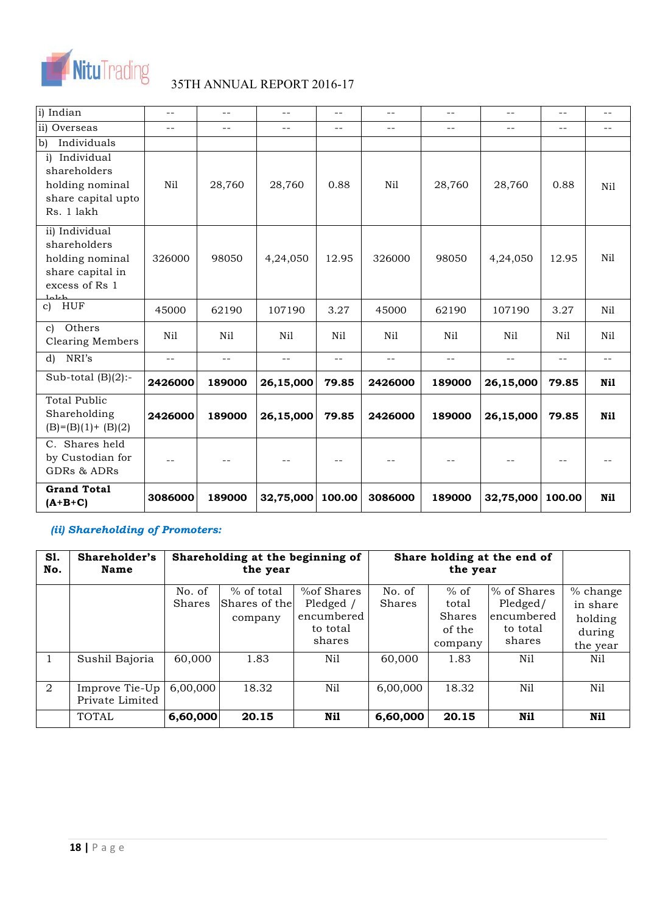

| i) Indian                                                                                         | $- -$   | $\sim$ $-$ | $\sim$ $-$        | $- -$  | $- -$   | $- -$  | $- -$     | $-$    | $\sim$ $-$ |
|---------------------------------------------------------------------------------------------------|---------|------------|-------------------|--------|---------|--------|-----------|--------|------------|
| ii) Overseas                                                                                      | $ -$    | $ -$       | $- -$             | $- -$  | $- -$   | $-1$   | $- -$     | $- -$  | --         |
| $\overline{b}$<br>Individuals                                                                     |         |            |                   |        |         |        |           |        |            |
| Individual<br>$\mathbf{i}$<br>shareholders<br>holding nominal<br>share capital upto<br>Rs. 1 lakh | Nil     | 28,760     | 28,760            | 0.88   | Nil     | 28,760 | 28,760    | 0.88   | Nil        |
| ii) Individual<br>shareholders<br>holding nominal<br>share capital in<br>excess of Rs 1<br>طعلملا | 326000  | 98050      | 4,24,050          | 12.95  | 326000  | 98050  | 4,24,050  | 12.95  | Nil        |
| c) HUF                                                                                            | 45000   | 62190      | 107190            | 3.27   | 45000   | 62190  | 107190    | 3.27   | Nil        |
| Others<br>$\mathbf{c}$<br><b>Clearing Members</b>                                                 | Nil     | Nil        | Nil               | Nil    | Nil     | Nil    | Nil       | Nil    | Nil        |
| NRI's<br>d)                                                                                       | $=$ $-$ | $\sim$ $-$ | $\equiv$ $\equiv$ | $- -$  | $-$     | $- -$  | $- -$     | $-$    | $- -$      |
| Sub-total $(B)(2)$ :-                                                                             | 2426000 | 189000     | 26,15,000         | 79.85  | 2426000 | 189000 | 26,15,000 | 79.85  | Nil        |
| <b>Total Public</b><br>Shareholding<br>$(B)=(B)(1)+(B)(2)$                                        | 2426000 | 189000     | 26,15,000         | 79.85  | 2426000 | 189000 | 26,15,000 | 79.85  | Nil        |
| C. Shares held<br>by Custodian for<br><b>GDRs &amp; ADRs</b>                                      |         |            |                   | $- -$  |         |        |           |        |            |
| <b>Grand Total</b><br>$(A+B+C)$                                                                   | 3086000 | 189000     | 32,75,000         | 100.00 | 3086000 | 189000 | 32,75,000 | 100.00 | Nil        |

# *(ii) Shareholding of Promoters:*

| <b>S1.</b><br>No. | Shareholder's<br>Name | Shareholding at the beginning of<br>the year |               |             | Share holding at the end of |               |             |          |
|-------------------|-----------------------|----------------------------------------------|---------------|-------------|-----------------------------|---------------|-------------|----------|
|                   |                       | No. of                                       | $%$ of total  | % of Shares | No. of                      | $%$ of        | % of Shares | % change |
|                   |                       | Shares                                       | Shares of the | Pledged /   | <b>Shares</b>               | total         | Pledged/    | in share |
|                   |                       |                                              | company       | encumbered  |                             | <b>Shares</b> | encumbered  | holding  |
|                   |                       |                                              |               | to total    |                             | of the        | to total    | during   |
|                   |                       |                                              |               | shares      |                             | company       | shares      | the year |
|                   | Sushil Bajoria        | 60,000                                       | 1.83          | Nil         | 60,000                      | 1.83          | Nil         | Ni1      |
|                   |                       |                                              |               |             |                             |               |             |          |
| 2                 | Improve Tie-Up        | 6,00,000                                     | 18.32         | Nil         | 6,00,000                    | 18.32         | Nil         | Nil      |
|                   | Private Limited       |                                              |               |             |                             |               |             |          |
|                   | <b>TOTAL</b>          | 6,60,000                                     | 20.15         | Nil         | 6,60,000                    | 20.15         | Nil         | Nil      |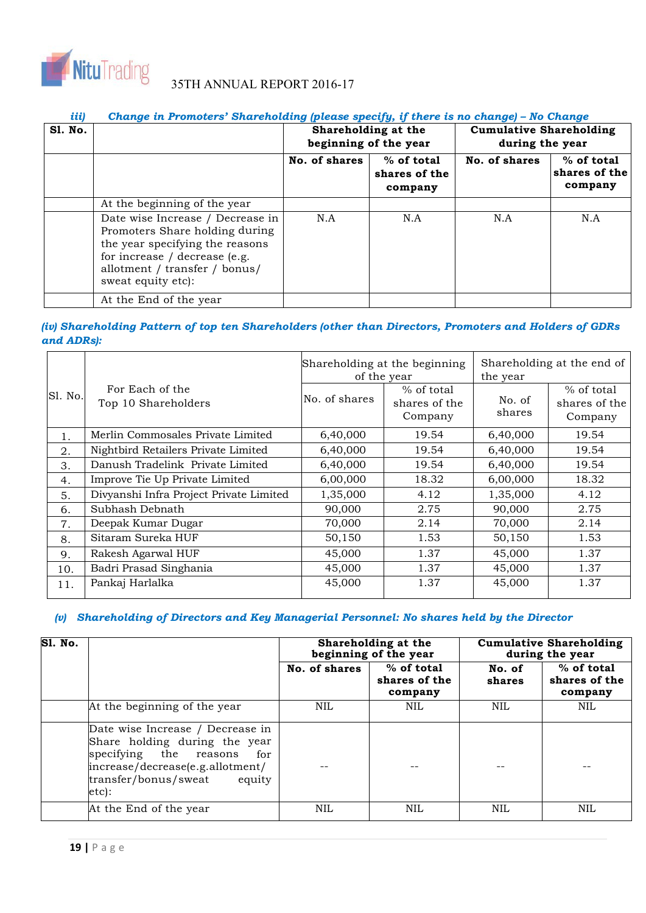

# *iii)* Change in Promoters' Shareholding (please specify, if there is no change) – No Change

| <b>S1. No.</b> |                                                                                                                                                                                               | Shareholding at the<br>beginning of the year              |     | <b>Cumulative Shareholding</b><br>during the year |                                        |  |
|----------------|-----------------------------------------------------------------------------------------------------------------------------------------------------------------------------------------------|-----------------------------------------------------------|-----|---------------------------------------------------|----------------------------------------|--|
|                |                                                                                                                                                                                               | No. of shares<br>$%$ of total<br>shares of the<br>company |     | No. of shares                                     | % of total<br>shares of the<br>company |  |
|                | At the beginning of the year                                                                                                                                                                  |                                                           |     |                                                   |                                        |  |
|                | Date wise Increase / Decrease in<br>Promoters Share holding during<br>the year specifying the reasons<br>for increase / decrease (e.g.<br>allotment / transfer / bonus/<br>sweat equity etc): | N.A                                                       | N.A | N.A                                               | N.A                                    |  |
|                | At the End of the year                                                                                                                                                                        |                                                           |     |                                                   |                                        |  |

# *(iv) Shareholding Pattern of top ten Shareholders (other than Directors, Promoters and Holders of GDRs and ADRs):*

|                |                                         | Shareholding at the beginning<br>of the year |                                        | Shareholding at the end of<br>the year |                                        |
|----------------|-----------------------------------------|----------------------------------------------|----------------------------------------|----------------------------------------|----------------------------------------|
| S1. No.        | For Each of the<br>Top 10 Shareholders  | No. of shares                                | % of total<br>shares of the<br>Company | No. of<br>shares                       | % of total<br>shares of the<br>Company |
| 1.             | Merlin Commosales Private Limited       | 6,40,000                                     | 19.54                                  | 6,40,000                               | 19.54                                  |
| 2.             | Nightbird Retailers Private Limited     | 6,40,000                                     | 19.54                                  | 6,40,000                               | 19.54                                  |
| 3.             | Danush Tradelink Private Limited        | 6,40,000                                     | 19.54                                  | 6,40,000                               | 19.54                                  |
| 4.             | Improve Tie Up Private Limited          | 6,00,000                                     | 18.32                                  | 6,00,000                               | 18.32                                  |
| 5.             | Divyanshi Infra Project Private Limited | 1,35,000                                     | 4.12                                   | 1,35,000                               | 4.12                                   |
| 6.             | Subhash Debnath                         | 90,000                                       | 2.75                                   | 90,000                                 | 2.75                                   |
| 7 <sub>1</sub> | Deepak Kumar Dugar                      | 70,000                                       | 2.14                                   | 70,000                                 | 2.14                                   |
| 8.             | Sitaram Sureka HUF                      | 50,150                                       | 1.53                                   | 50,150                                 | 1.53                                   |
| 9.             | Rakesh Agarwal HUF                      | 45,000                                       | 1.37                                   | 45,000                                 | 1.37                                   |
| 10.            | Badri Prasad Singhania                  | 45,000                                       | 1.37                                   | 45,000                                 | 1.37                                   |
| 11.            | Pankaj Harlalka                         | 45,000                                       | 1.37                                   | 45,000                                 | 1.37                                   |

# *(v) Shareholding of Directors and Key Managerial Personnel: No shares held by the Director*

| <b>S1. No.</b> |                                                                                                                                                                                   |               | Shareholding at the<br>beginning of the year | <b>Cumulative Shareholding</b><br>during the year |                                          |  |
|----------------|-----------------------------------------------------------------------------------------------------------------------------------------------------------------------------------|---------------|----------------------------------------------|---------------------------------------------------|------------------------------------------|--|
|                |                                                                                                                                                                                   | No. of shares | $%$ of total<br>shares of the<br>company     | No. of<br>shares                                  | $%$ of total<br>shares of the<br>company |  |
|                | At the beginning of the year                                                                                                                                                      | NIL           | <b>NIL</b>                                   | <b>NIL</b>                                        | NIL                                      |  |
|                | Date wise Increase / Decrease in<br>Share holding during the year<br>specifying the reasons<br>for<br>increase/decrease(e.g.allotment/<br>transfer/bonus/sweat<br>equity<br>etc): |               |                                              |                                                   |                                          |  |
|                | At the End of the year                                                                                                                                                            | NIL.          | <b>NIL</b>                                   | NIL                                               | NIL                                      |  |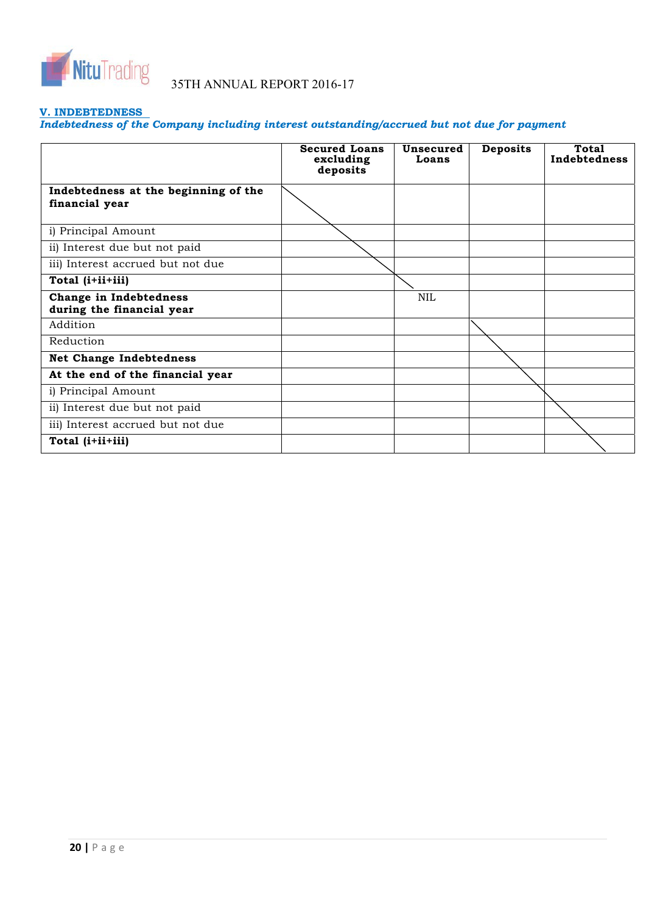

# **V. INDEBTEDNESS**

*Indebtedness of the Company including interest outstanding/accrued but not due for payment* 

|                                                        | <b>Secured Loans</b><br>excluding<br>deposits | Unsecured<br>Loans | <b>Deposits</b> | Total<br>Indebtedness |
|--------------------------------------------------------|-----------------------------------------------|--------------------|-----------------|-----------------------|
| Indebtedness at the beginning of the<br>financial year |                                               |                    |                 |                       |
| i) Principal Amount                                    |                                               |                    |                 |                       |
| ii) Interest due but not paid                          |                                               |                    |                 |                       |
| iii) Interest accrued but not due                      |                                               |                    |                 |                       |
| Total (i+ii+iii)                                       |                                               |                    |                 |                       |
| Change in Indebtedness<br>during the financial year    |                                               | <b>NIL</b>         |                 |                       |
| Addition                                               |                                               |                    |                 |                       |
| Reduction                                              |                                               |                    |                 |                       |
| <b>Net Change Indebtedness</b>                         |                                               |                    |                 |                       |
| At the end of the financial year                       |                                               |                    |                 |                       |
| i) Principal Amount                                    |                                               |                    |                 |                       |
| ii) Interest due but not paid                          |                                               |                    |                 |                       |
| iii) Interest accrued but not due                      |                                               |                    |                 |                       |
| Total (i+ii+iii)                                       |                                               |                    |                 |                       |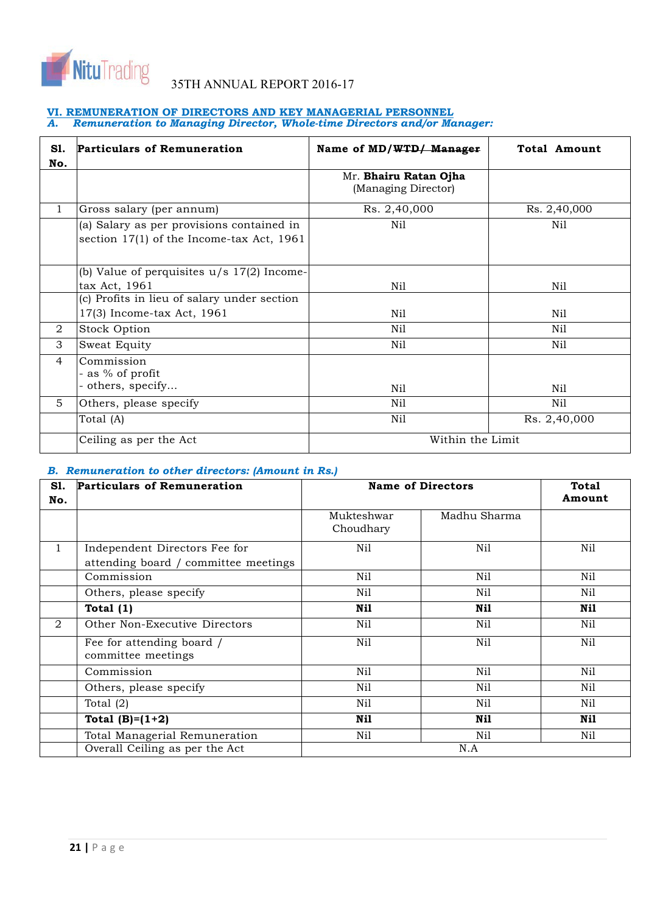

#### **VI. REMUNERATION OF DIRECTORS AND KEY MANAGERIAL PERSONNEL** *A. Remuneration to Managing Director, Whole-time Directors and/or Manager:*

| S1.<br>No. | <b>Particulars of Remuneration</b>                                                     | Name of MD/WTD/ Manager                             | <b>Total Amount</b> |  |
|------------|----------------------------------------------------------------------------------------|-----------------------------------------------------|---------------------|--|
|            |                                                                                        | Mr. <b>Bhairu Ratan Ojha</b><br>(Managing Director) |                     |  |
| 1          | Gross salary (per annum)                                                               | Rs. 2,40,000                                        | Rs. 2,40,000        |  |
|            | (a) Salary as per provisions contained in<br>section 17(1) of the Income-tax Act, 1961 | Nil                                                 | Nil                 |  |
|            | (b) Value of perquisites $u/s$ 17(2) Income-<br>tax Act, 1961                          | Nil                                                 | Nil                 |  |
|            | (c) Profits in lieu of salary under section                                            |                                                     |                     |  |
|            | 17(3) Income-tax Act, 1961                                                             | Nil                                                 | Nil                 |  |
| 2          | Stock Option                                                                           | Nil                                                 | Nil                 |  |
| 3          | Sweat Equity                                                                           | Nil                                                 | Nil                 |  |
| 4          | Commission<br>- as % of profit<br>others, specify                                      | Nil                                                 | Nil                 |  |
| 5.         | Others, please specify                                                                 | Nil                                                 | Nil                 |  |
|            | Total (A)                                                                              | Nil                                                 | Rs. 2,40,000        |  |
|            | Ceiling as per the Act                                                                 | Within the Limit                                    |                     |  |

# *B. Remuneration to other directors: (Amount in Rs.)*

| S1.            | <b>Particulars of Remuneration</b>                                    |                         | <b>Name of Directors</b> | <b>Total</b> |  |
|----------------|-----------------------------------------------------------------------|-------------------------|--------------------------|--------------|--|
| No.            |                                                                       |                         |                          | Amount       |  |
|                |                                                                       | Mukteshwar<br>Choudhary | Madhu Sharma             |              |  |
| $\mathbf{1}$   | Independent Directors Fee for<br>attending board / committee meetings | Nil                     | Nil                      | Nil          |  |
|                | Commission                                                            | Nil                     | Nil                      | Nil          |  |
|                | Others, please specify                                                | Nil                     | Nil                      | Nil          |  |
|                | Total $(1)$                                                           | Nil                     | Nil                      | Nil          |  |
| $\overline{2}$ | Other Non-Executive Directors                                         | Nil                     | Nil                      | Nil          |  |
|                | Fee for attending board /<br>committee meetings                       | Nil                     | Nil                      | Nil          |  |
|                | Commission                                                            | Nil                     | Nil                      | Nil          |  |
|                | Others, please specify                                                | Nil                     | Nil                      | Nil          |  |
|                | Total $(2)$                                                           | Nil                     | Nil                      | Nil          |  |
|                | Total $(B)=(1+2)$                                                     | Nil                     | Nil                      | Nil          |  |
|                | Total Managerial Remuneration                                         | Nil                     | Nil                      | Nil          |  |
|                | Overall Ceiling as per the Act                                        | N.A                     |                          |              |  |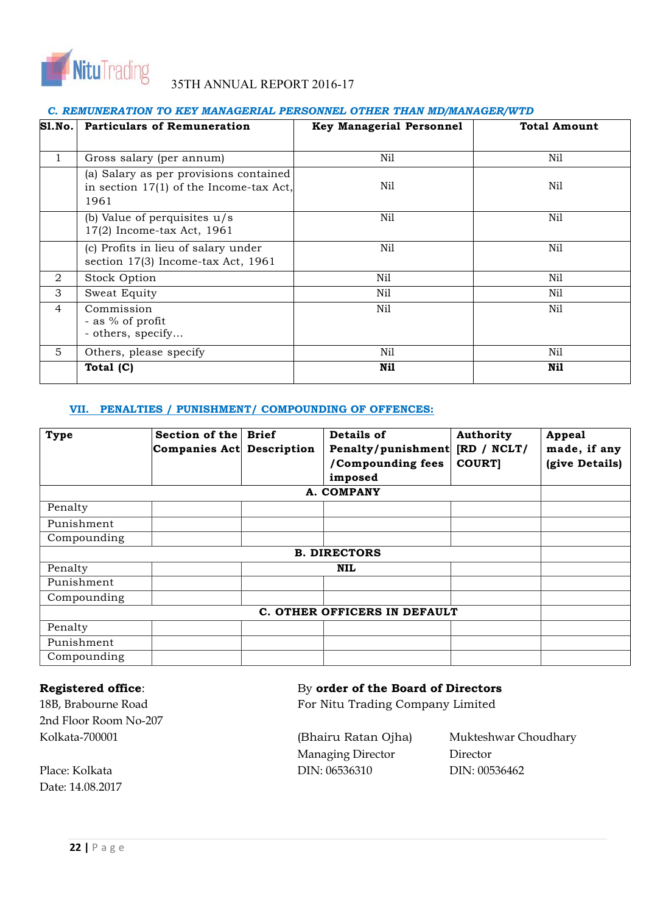

# *C. REMUNERATION TO KEY MANAGERIAL PERSONNEL OTHER THAN MD/MANAGER/WTD*

| <b>S1.No.</b> | <b>Particulars of Remuneration</b>                                                          | <b>Key Managerial Personnel</b> | <b>Total Amount</b> |
|---------------|---------------------------------------------------------------------------------------------|---------------------------------|---------------------|
| 1             | Gross salary (per annum)                                                                    | Nil                             | Nil                 |
|               | (a) Salary as per provisions contained<br>in section $17(1)$ of the Income-tax Act,<br>1961 | Nil                             | Nil                 |
|               | (b) Value of perquisites $u/s$<br>17(2) Income-tax Act, 1961                                | Nil                             | Nil                 |
|               | (c) Profits in lieu of salary under<br>section 17(3) Income-tax Act, 1961                   | Nil                             | Nil                 |
| 2             | Stock Option                                                                                | Nil                             | Nil                 |
| 3             | Sweat Equity                                                                                | Nil                             | Nil                 |
| 4             | Commission<br>- as % of profit<br>- others, specify                                         | Nil                             | Nil                 |
| 5             | Others, please specify                                                                      | Nil                             | Nil                 |
|               | Total (C)                                                                                   | Nil                             | Nil                 |

# **VII. PENALTIES / PUNISHMENT/ COMPOUNDING OF OFFENCES:**

| <b>Type</b> | Section of the<br>Companies Act Description | <b>Brief</b> | Details of<br>Penalty/punishment [RD / NCLT/<br>/Compounding fees<br>imposed | Authority<br><b>COURT</b> | <b>Appeal</b><br>made, if any<br>(give Details) |
|-------------|---------------------------------------------|--------------|------------------------------------------------------------------------------|---------------------------|-------------------------------------------------|
|             |                                             |              | A. COMPANY                                                                   |                           |                                                 |
| Penalty     |                                             |              |                                                                              |                           |                                                 |
| Punishment  |                                             |              |                                                                              |                           |                                                 |
| Compounding |                                             |              |                                                                              |                           |                                                 |
|             |                                             |              | <b>B. DIRECTORS</b>                                                          |                           |                                                 |
| Penalty     |                                             |              | NIL                                                                          |                           |                                                 |
| Punishment  |                                             |              |                                                                              |                           |                                                 |
| Compounding |                                             |              |                                                                              |                           |                                                 |
|             |                                             |              | C. OTHER OFFICERS IN DEFAULT                                                 |                           |                                                 |
| Penalty     |                                             |              |                                                                              |                           |                                                 |
| Punishment  |                                             |              |                                                                              |                           |                                                 |
| Compounding |                                             |              |                                                                              |                           |                                                 |

2nd Floor Room No-207 Kolkata-700001 (Bhairu Ratan Ojha) Mukteshwar Choudhary

Date: 14.08.2017

# **Registered office:** By order of the Board of Directors

18B, Brabourne Road **For Nitu Trading Company Limited** 

Managing Director Director Place: Kolkata DIN: 06536310 DIN: 00536462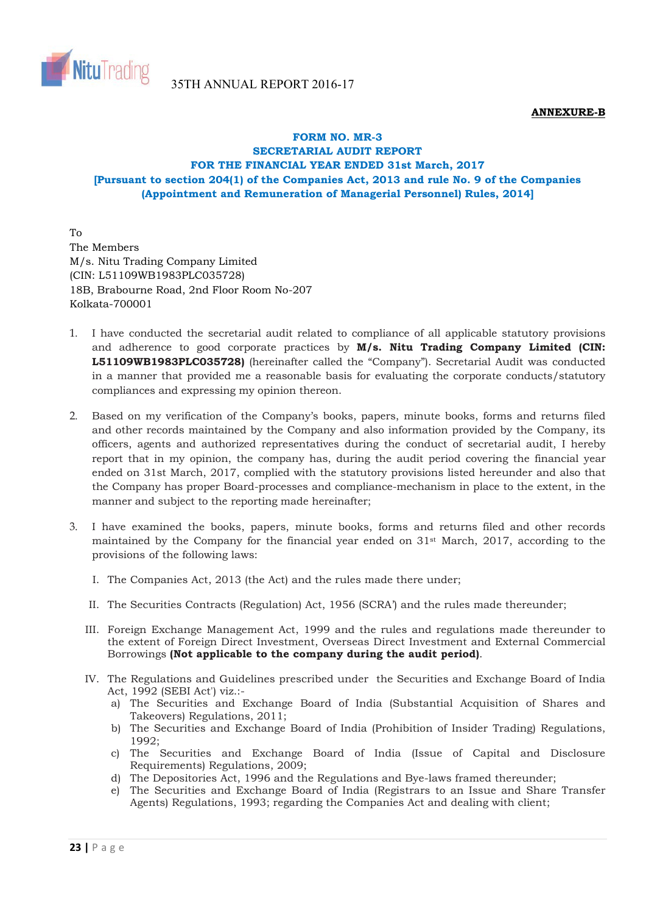

# **ANNEXURE-B**

# **FORM NO. MR-3 SECRETARIAL AUDIT REPORT FOR THE FINANCIAL YEAR ENDED 31st March, 2017 [Pursuant to section 204(1) of the Companies Act, 2013 and rule No. 9 of the Companies (Appointment and Remuneration of Managerial Personnel) Rules, 2014]**

To The Members M/s. Nitu Trading Company Limited (CIN: L51109WB1983PLC035728) 18B, Brabourne Road, 2nd Floor Room No-207 Kolkata-700001

- 1. I have conducted the secretarial audit related to compliance of all applicable statutory provisions and adherence to good corporate practices by **M/s. Nitu Trading Company Limited (CIN: L51109WB1983PLC035728)** (hereinafter called the "Company"). Secretarial Audit was conducted in a manner that provided me a reasonable basis for evaluating the corporate conducts/statutory compliances and expressing my opinion thereon.
- 2. Based on my verification of the Company's books, papers, minute books, forms and returns filed and other records maintained by the Company and also information provided by the Company, its officers, agents and authorized representatives during the conduct of secretarial audit, I hereby report that in my opinion, the company has, during the audit period covering the financial year ended on 31st March, 2017, complied with the statutory provisions listed hereunder and also that the Company has proper Board-processes and compliance-mechanism in place to the extent, in the manner and subject to the reporting made hereinafter;
- 3. I have examined the books, papers, minute books, forms and returns filed and other records maintained by the Company for the financial year ended on  $31<sup>st</sup>$  March, 2017, according to the provisions of the following laws:
	- I. The Companies Act, 2013 (the Act) and the rules made there under;
	- II. The Securities Contracts (Regulation) Act, 1956 (SCRA') and the rules made thereunder;
	- III. Foreign Exchange Management Act, 1999 and the rules and regulations made thereunder to the extent of Foreign Direct Investment, Overseas Direct Investment and External Commercial Borrowings **(Not applicable to the company during the audit period)**.
	- IV. The Regulations and Guidelines prescribed under the Securities and Exchange Board of India Act, 1992 (SEBI Act') viz.:
		- a) The Securities and Exchange Board of India (Substantial Acquisition of Shares and Takeovers) Regulations, 2011;
		- b) The Securities and Exchange Board of India (Prohibition of Insider Trading) Regulations, 1992;
		- c) The Securities and Exchange Board of India (Issue of Capital and Disclosure Requirements) Regulations, 2009;
		- d) The Depositories Act, 1996 and the Regulations and Bye-laws framed thereunder;
		- e) The Securities and Exchange Board of India (Registrars to an Issue and Share Transfer Agents) Regulations, 1993; regarding the Companies Act and dealing with client;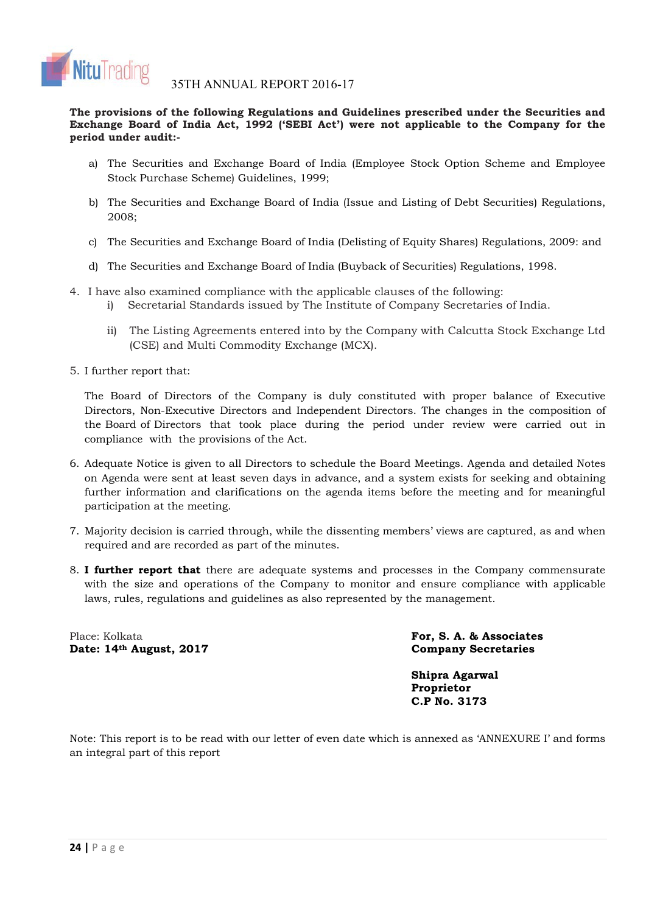

**The provisions of the following Regulations and Guidelines prescribed under the Securities and Exchange Board of India Act, 1992 ('SEBI Act') were not applicable to the Company for the period under audit:-**

- a) The Securities and Exchange Board of India (Employee Stock Option Scheme and Employee Stock Purchase Scheme) Guidelines, 1999;
- b) The Securities and Exchange Board of India (Issue and Listing of Debt Securities) Regulations, 2008;
- c) The Securities and Exchange Board of India (Delisting of Equity Shares) Regulations, 2009: and
- d) The Securities and Exchange Board of India (Buyback of Securities) Regulations, 1998.
- 4. I have also examined compliance with the applicable clauses of the following:
	- i) Secretarial Standards issued by The Institute of Company Secretaries of India.
	- ii) The Listing Agreements entered into by the Company with Calcutta Stock Exchange Ltd (CSE) and Multi Commodity Exchange (MCX).
- 5. I further report that:

The Board of Directors of the Company is duly constituted with proper balance of Executive Directors, Non-Executive Directors and Independent Directors. The changes in the composition of the Board of Directors that took place during the period under review were carried out in compliance with the provisions of the Act.

- 6. Adequate Notice is given to all Directors to schedule the Board Meetings. Agenda and detailed Notes on Agenda were sent at least seven days in advance, and a system exists for seeking and obtaining further information and clarifications on the agenda items before the meeting and for meaningful participation at the meeting.
- 7. Majority decision is carried through, while the dissenting members' views are captured, as and when required and are recorded as part of the minutes.
- 8. **I further report that** there are adequate systems and processes in the Company commensurate with the size and operations of the Company to monitor and ensure compliance with applicable laws, rules, regulations and guidelines as also represented by the management.

Place: Kolkata **For, S. A. & Associates**  Date: 14<sup>th</sup> August, 2017 Company Secretaries

**Shipra Agarwal Proprietor C.P No. 3173**

Note: This report is to be read with our letter of even date which is annexed as 'ANNEXURE I' and forms an integral part of this report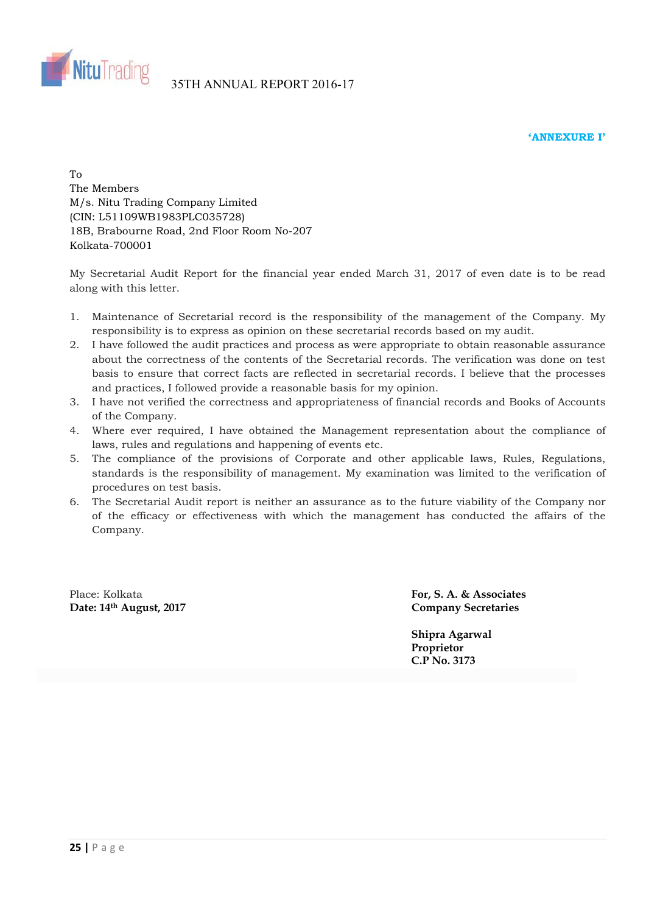



 $T_{\Omega}$ The Members M/s. Nitu Trading Company Limited (CIN: L51109WB1983PLC035728) 18B, Brabourne Road, 2nd Floor Room No-207 Kolkata-700001

My Secretarial Audit Report for the financial year ended March 31, 2017 of even date is to be read along with this letter.

- 1. Maintenance of Secretarial record is the responsibility of the management of the Company. My responsibility is to express as opinion on these secretarial records based on my audit.
- 2. I have followed the audit practices and process as were appropriate to obtain reasonable assurance about the correctness of the contents of the Secretarial records. The verification was done on test basis to ensure that correct facts are reflected in secretarial records. I believe that the processes and practices, I followed provide a reasonable basis for my opinion.
- 3. I have not verified the correctness and appropriateness of financial records and Books of Accounts of the Company.
- 4. Where ever required, I have obtained the Management representation about the compliance of laws, rules and regulations and happening of events etc.
- 5. The compliance of the provisions of Corporate and other applicable laws, Rules, Regulations, standards is the responsibility of management. My examination was limited to the verification of procedures on test basis.
- 6. The Secretarial Audit report is neither an assurance as to the future viability of the Company nor of the efficacy or effectiveness with which the management has conducted the affairs of the Company.

Place: Kolkata **For, S. A. & Associates Date: 14th August, 2017 Company Secretaries** 

**Shipra Agarwal Proprietor C.P No. 3173**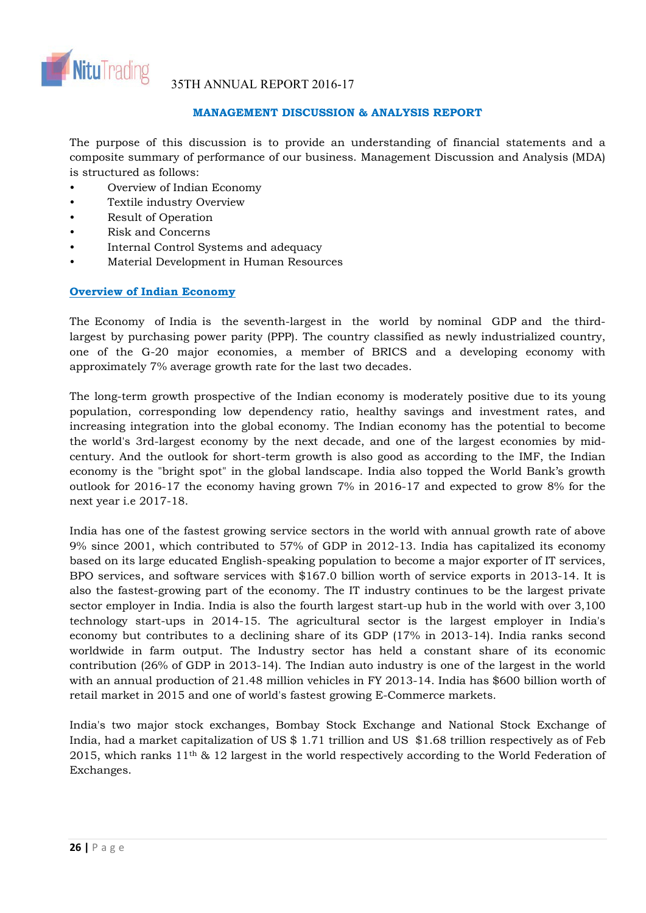

# **MANAGEMENT DISCUSSION & ANALYSIS REPORT**

The purpose of this discussion is to provide an understanding of financial statements and a composite summary of performance of our business. Management Discussion and Analysis (MDA) is structured as follows:

- Overview of Indian Economy
- Textile industry Overview
- Result of Operation
- Risk and Concerns
- Internal Control Systems and adequacy
- Material Development in Human Resources

# **Overview of Indian Economy**

The Economy of India is the seventh-largest in the world by nominal GDP and the thirdlargest by purchasing power parity (PPP). The country classified as newly industrialized country, one of the G-20 major economies, a member of BRICS and a developing economy with approximately 7% average growth rate for the last two decades.

The long-term growth prospective of the Indian economy is moderately positive due to its young population, corresponding low dependency ratio, healthy savings and investment rates, and increasing integration into the global economy. The Indian economy has the potential to become the world's 3rd-largest economy by the next decade, and one of the largest economies by midcentury. And the outlook for short-term growth is also good as according to the IMF, the Indian economy is the "bright spot" in the global landscape. India also topped the World Bank's growth outlook for 2016-17 the economy having grown 7% in 2016-17 and expected to grow 8% for the next year i.e 2017-18.

India has one of the fastest growing service sectors in the world with annual growth rate of above 9% since 2001, which contributed to 57% of GDP in 2012-13. India has capitalized its economy based on its large educated English-speaking population to become a major exporter of IT services, BPO services, and software services with \$167.0 billion worth of service exports in 2013-14. It is also the fastest-growing part of the economy. The IT industry continues to be the largest private sector employer in India. India is also the fourth largest start-up hub in the world with over 3,100 technology start-ups in 2014-15. The agricultural sector is the largest employer in India's economy but contributes to a declining share of its GDP (17% in 2013-14). India ranks second worldwide in farm output. The Industry sector has held a constant share of its economic contribution (26% of GDP in 2013-14). The Indian auto industry is one of the largest in the world with an annual production of 21.48 million vehicles in FY 2013-14. India has \$600 billion worth of retail market in 2015 and one of world's fastest growing E-Commerce markets.

India's two major stock exchanges, Bombay Stock Exchange and National Stock Exchange of India, had a market capitalization of US \$ 1.71 trillion and US \$1.68 trillion respectively as of Feb 2015, which ranks 11th & 12 largest in the world respectively according to the World Federation of Exchanges.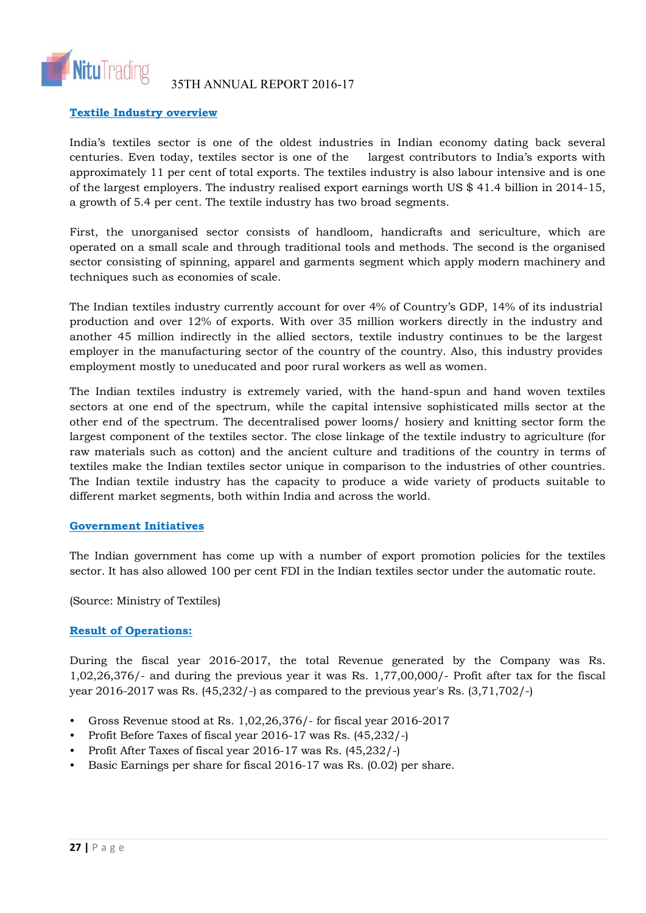

# **Textile Industry overview**

India's textiles sector is one of the oldest industries in Indian economy dating back several centuries. Even today, textiles sector is one of the largest contributors to India's exports with approximately 11 per cent of total exports. The textiles industry is also labour intensive and is one of the largest employers. The industry realised export earnings worth US \$ 41.4 billion in 2014-15, a growth of 5.4 per cent. The textile industry has two broad segments.

First, the unorganised sector consists of handloom, handicrafts and sericulture, which are operated on a small scale and through traditional tools and methods. The second is the organised sector consisting of spinning, apparel and garments segment which apply modern machinery and techniques such as economies of scale.

The Indian textiles industry currently account for over 4% of Country's GDP, 14% of its industrial production and over 12% of exports. With over 35 million workers directly in the industry and another 45 million indirectly in the allied sectors, textile industry continues to be the largest employer in the manufacturing sector of the country of the country. Also, this industry provides employment mostly to uneducated and poor rural workers as well as women.

The Indian textiles industry is extremely varied, with the hand-spun and hand woven textiles sectors at one end of the spectrum, while the capital intensive sophisticated mills sector at the other end of the spectrum. The decentralised power looms/ hosiery and knitting sector form the largest component of the textiles sector. The close linkage of the textile industry to agriculture (for raw materials such as cotton) and the ancient culture and traditions of the country in terms of textiles make the Indian textiles sector unique in comparison to the industries of other countries. The Indian textile industry has the capacity to produce a wide variety of products suitable to different market segments, both within India and across the world.

# **Government Initiatives**

The Indian government has come up with a number of export promotion policies for the textiles sector. It has also allowed 100 per cent FDI in the Indian textiles sector under the automatic route.

(Source: Ministry of Textiles)

# **Result of Operations:**

During the fiscal year 2016-2017, the total Revenue generated by the Company was Rs. 1,02,26,376/- and during the previous year it was Rs. 1,77,00,000/- Profit after tax for the fiscal year 2016-2017 was Rs. (45,232/-) as compared to the previous year's Rs. (3,71,702/-)

- Gross Revenue stood at Rs. 1,02,26,376/- for fiscal year 2016-2017
- Profit Before Taxes of fiscal year 2016-17 was Rs. (45,232/-)
- Profit After Taxes of fiscal year 2016-17 was Rs. (45,232/-)
- Basic Earnings per share for fiscal 2016-17 was Rs. (0.02) per share.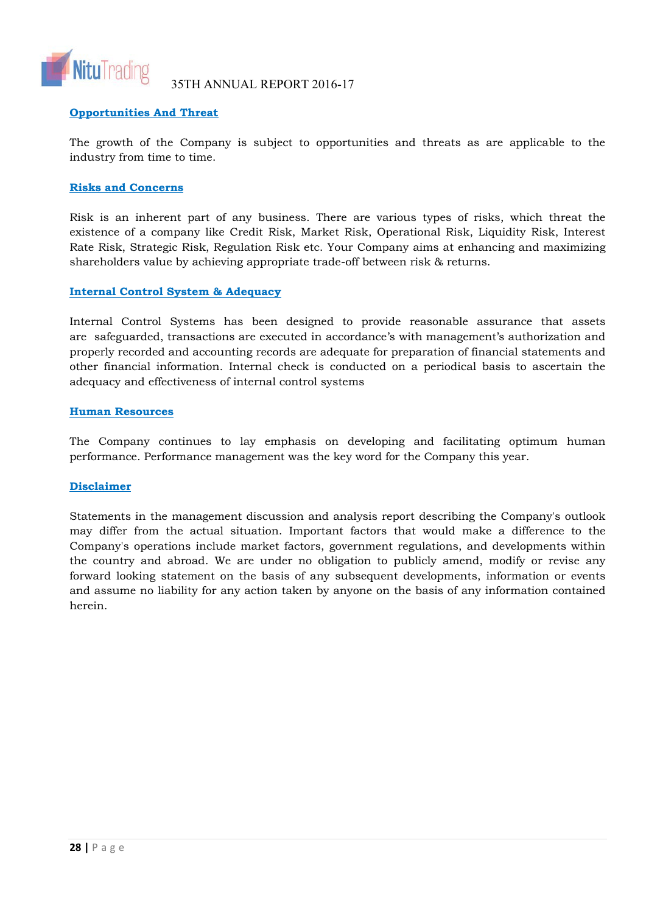

35TH ANNUAL REPORT 2016-17

# **Opportunities And Threat**

The growth of the Company is subject to opportunities and threats as are applicable to the industry from time to time.

# **Risks and Concerns**

Risk is an inherent part of any business. There are various types of risks, which threat the existence of a company like Credit Risk, Market Risk, Operational Risk, Liquidity Risk, Interest Rate Risk, Strategic Risk, Regulation Risk etc. Your Company aims at enhancing and maximizing shareholders value by achieving appropriate trade-off between risk & returns.

# **Internal Control System & Adequacy**

Internal Control Systems has been designed to provide reasonable assurance that assets are safeguarded, transactions are executed in accordance's with management's authorization and properly recorded and accounting records are adequate for preparation of financial statements and other financial information. Internal check is conducted on a periodical basis to ascertain the adequacy and effectiveness of internal control systems

# **Human Resources**

The Company continues to lay emphasis on developing and facilitating optimum human performance. Performance management was the key word for the Company this year.

# **Disclaimer**

Statements in the management discussion and analysis report describing the Company's outlook may differ from the actual situation. Important factors that would make a difference to the Company's operations include market factors, government regulations, and developments within the country and abroad. We are under no obligation to publicly amend, modify or revise any forward looking statement on the basis of any subsequent developments, information or events and assume no liability for any action taken by anyone on the basis of any information contained herein.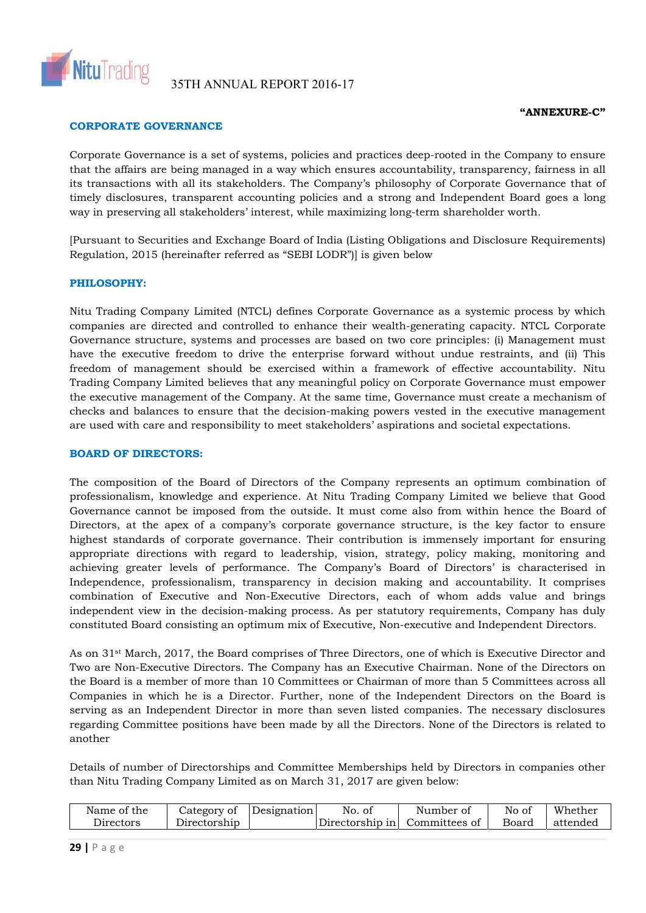

### **"ANNEXURE-C"**

# **CORPORATE GOVERNANCE**

Corporate Governance is a set of systems, policies and practices deep-rooted in the Company to ensure that the affairs are being managed in a way which ensures accountability, transparency, fairness in all its transactions with all its stakeholders. The Company's philosophy of Corporate Governance that of timely disclosures, transparent accounting policies and a strong and Independent Board goes a long way in preserving all stakeholders' interest, while maximizing long-term shareholder worth.

[Pursuant to Securities and Exchange Board of India (Listing Obligations and Disclosure Requirements) Regulation, 2015 (hereinafter referred as "SEBI LODR")] is given below

### **PHILOSOPHY:**

Nitu Trading Company Limited (NTCL) defines Corporate Governance as a systemic process by which companies are directed and controlled to enhance their wealth-generating capacity. NTCL Corporate Governance structure, systems and processes are based on two core principles: (i) Management must have the executive freedom to drive the enterprise forward without undue restraints, and (ii) This freedom of management should be exercised within a framework of effective accountability. Nitu Trading Company Limited believes that any meaningful policy on Corporate Governance must empower the executive management of the Company. At the same time, Governance must create a mechanism of checks and balances to ensure that the decision-making powers vested in the executive management are used with care and responsibility to meet stakeholders' aspirations and societal expectations.

### **BOARD OF DIRECTORS:**

The composition of the Board of Directors of the Company represents an optimum combination of professionalism, knowledge and experience. At Nitu Trading Company Limited we believe that Good Governance cannot be imposed from the outside. It must come also from within hence the Board of Directors, at the apex of a company's corporate governance structure, is the key factor to ensure highest standards of corporate governance. Their contribution is immensely important for ensuring appropriate directions with regard to leadership, vision, strategy, policy making, monitoring and achieving greater levels of performance. The Company's Board of Directors' is characterised in Independence, professionalism, transparency in decision making and accountability. It comprises combination of Executive and Non-Executive Directors, each of whom adds value and brings independent view in the decision-making process. As per statutory requirements, Company has duly constituted Board consisting an optimum mix of Executive, Non-executive and Independent Directors.

As on 31st March, 2017, the Board comprises of Three Directors, one of which is Executive Director and Two are Non-Executive Directors. The Company has an Executive Chairman. None of the Directors on the Board is a member of more than 10 Committees or Chairman of more than 5 Committees across all Companies in which he is a Director. Further, none of the Independent Directors on the Board is serving as an Independent Director in more than seven listed companies. The necessary disclosures regarding Committee positions have been made by all the Directors. None of the Directors is related to another

Details of number of Directorships and Committee Memberships held by Directors in companies other than Nitu Trading Company Limited as on March 31, 2017 are given below:

| Name of the           | Designation<br>Category of | No. of                        | Number of | No of | Whether  |
|-----------------------|----------------------------|-------------------------------|-----------|-------|----------|
| $\mathcal Q$ irectors | Directorship               | Directorship in Committees of |           | Board | attended |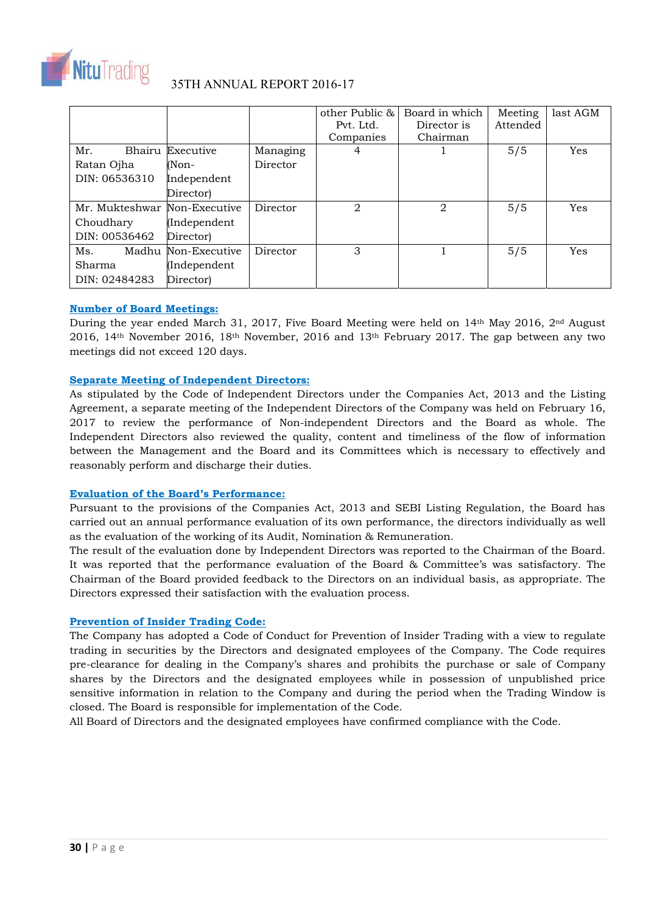

|                              |                     |          | other Public & | Board in which | Meeting  | last AGM |
|------------------------------|---------------------|----------|----------------|----------------|----------|----------|
|                              |                     |          | Pvt. Ltd.      | Director is    | Attended |          |
|                              |                     |          | Companies      | Chairman       |          |          |
| Bhairu<br>Mr.                | Executive           | Managing | 4              |                | 5/5      | Yes      |
| Ratan Ojha                   | (Non-               | Director |                |                |          |          |
| DIN: 06536310                | Independent         |          |                |                |          |          |
|                              | Director)           |          |                |                |          |          |
| Mr. Mukteshwar Non-Executive |                     | Director | $\overline{2}$ | $\overline{2}$ | 5/5      | Yes      |
| Choudhary                    | (Independent        |          |                |                |          |          |
| DIN: 00536462                | Director)           |          |                |                |          |          |
| Ms.                          | Madhu Non-Executive | Director | 3              |                | 5/5      | Yes      |
| Sharma                       | (Independent        |          |                |                |          |          |
| DIN: 02484283                | Director)           |          |                |                |          |          |

# **Number of Board Meetings:**

During the year ended March 31, 2017, Five Board Meeting were held on 14<sup>th</sup> May 2016, 2<sup>nd</sup> August 2016, 14th November 2016, 18th November, 2016 and 13th February 2017. The gap between any two meetings did not exceed 120 days.

# **Separate Meeting of Independent Directors:**

As stipulated by the Code of Independent Directors under the Companies Act, 2013 and the Listing Agreement, a separate meeting of the Independent Directors of the Company was held on February 16, 2017 to review the performance of Non-independent Directors and the Board as whole. The Independent Directors also reviewed the quality, content and timeliness of the flow of information between the Management and the Board and its Committees which is necessary to effectively and reasonably perform and discharge their duties.

### **Evaluation of the Board's Performance:**

Pursuant to the provisions of the Companies Act, 2013 and SEBI Listing Regulation, the Board has carried out an annual performance evaluation of its own performance, the directors individually as well as the evaluation of the working of its Audit, Nomination & Remuneration.

The result of the evaluation done by Independent Directors was reported to the Chairman of the Board. It was reported that the performance evaluation of the Board & Committee's was satisfactory. The Chairman of the Board provided feedback to the Directors on an individual basis, as appropriate. The Directors expressed their satisfaction with the evaluation process.

### **Prevention of Insider Trading Code:**

The Company has adopted a Code of Conduct for Prevention of Insider Trading with a view to regulate trading in securities by the Directors and designated employees of the Company. The Code requires pre-clearance for dealing in the Company's shares and prohibits the purchase or sale of Company shares by the Directors and the designated employees while in possession of unpublished price sensitive information in relation to the Company and during the period when the Trading Window is closed. The Board is responsible for implementation of the Code.

All Board of Directors and the designated employees have confirmed compliance with the Code.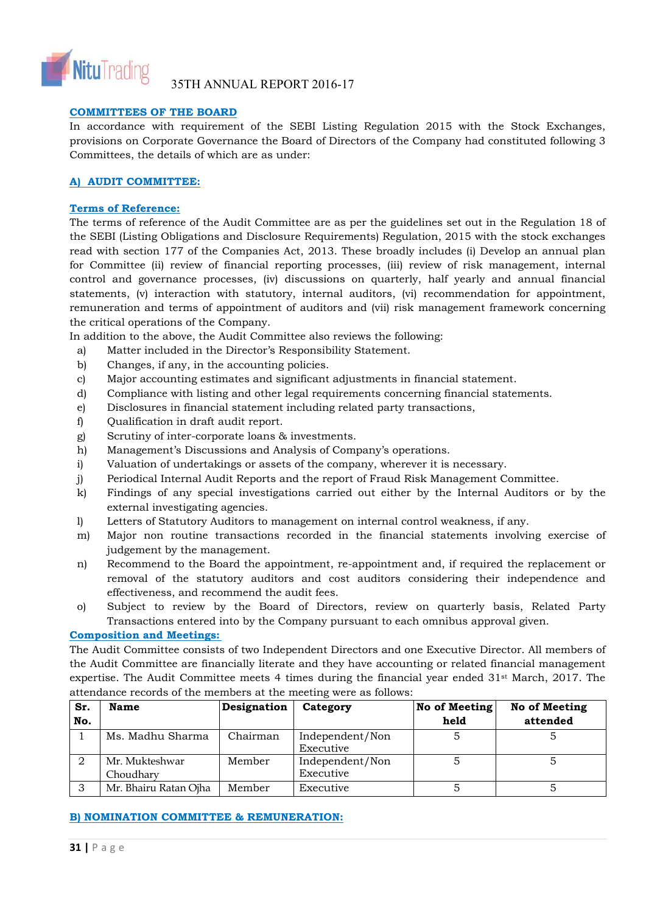

# **COMMITTEES OF THE BOARD**

In accordance with requirement of the SEBI Listing Regulation 2015 with the Stock Exchanges, provisions on Corporate Governance the Board of Directors of the Company had constituted following 3 Committees, the details of which are as under:

# **A) AUDIT COMMITTEE:**

# **Terms of Reference:**

The terms of reference of the Audit Committee are as per the guidelines set out in the Regulation 18 of the SEBI (Listing Obligations and Disclosure Requirements) Regulation, 2015 with the stock exchanges read with section 177 of the Companies Act, 2013. These broadly includes (i) Develop an annual plan for Committee (ii) review of financial reporting processes, (iii) review of risk management, internal control and governance processes, (iv) discussions on quarterly, half yearly and annual financial statements, (v) interaction with statutory, internal auditors, (vi) recommendation for appointment, remuneration and terms of appointment of auditors and (vii) risk management framework concerning the critical operations of the Company.

In addition to the above, the Audit Committee also reviews the following:

- a) Matter included in the Director's Responsibility Statement.
- b) Changes, if any, in the accounting policies.
- c) Major accounting estimates and significant adjustments in financial statement.
- d) Compliance with listing and other legal requirements concerning financial statements.
- e) Disclosures in financial statement including related party transactions,
- f) Qualification in draft audit report.
- g) Scrutiny of inter-corporate loans & investments.
- h) Management's Discussions and Analysis of Company's operations.
- i) Valuation of undertakings or assets of the company, wherever it is necessary.
- j) Periodical Internal Audit Reports and the report of Fraud Risk Management Committee.
- k) Findings of any special investigations carried out either by the Internal Auditors or by the external investigating agencies.
- l) Letters of Statutory Auditors to management on internal control weakness, if any.
- m) Major non routine transactions recorded in the financial statements involving exercise of judgement by the management.
- n) Recommend to the Board the appointment, re-appointment and, if required the replacement or removal of the statutory auditors and cost auditors considering their independence and effectiveness, and recommend the audit fees.
- o) Subject to review by the Board of Directors, review on quarterly basis, Related Party Transactions entered into by the Company pursuant to each omnibus approval given.

### **Composition and Meetings:**

The Audit Committee consists of two Independent Directors and one Executive Director. All members of the Audit Committee are financially literate and they have accounting or related financial management expertise. The Audit Committee meets 4 times during the financial year ended 31st March, 2017. The attendance records of the members at the meeting were as follows:

| Sr. | Name                  | Designation | Category        | No of Meeting | No of Meeting |
|-----|-----------------------|-------------|-----------------|---------------|---------------|
| No. |                       |             |                 | held          | attended      |
|     | Ms. Madhu Sharma      | Chairman    | Independent/Non |               |               |
|     |                       |             | Executive       |               |               |
|     | Mr. Mukteshwar        | Member      | Independent/Non |               |               |
|     | Choudhary             |             | Executive       |               |               |
|     | Mr. Bhairu Ratan Ojha | Member      | Executive       |               |               |

# **B) NOMINATION COMMITTEE & REMUNERATION:**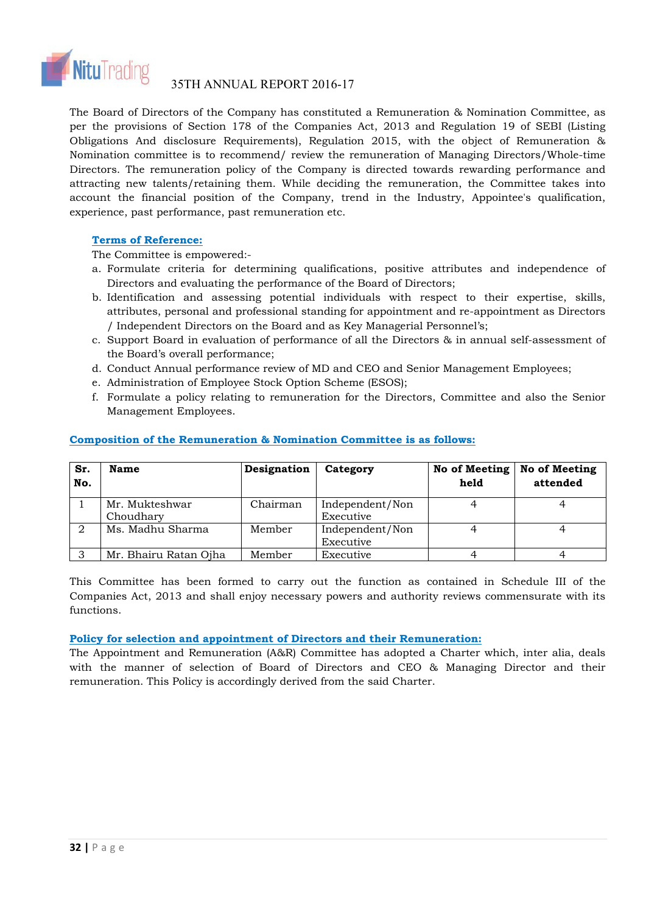

The Board of Directors of the Company has constituted a Remuneration & Nomination Committee, as per the provisions of Section 178 of the Companies Act, 2013 and Regulation 19 of SEBI (Listing Obligations And disclosure Requirements), Regulation 2015, with the object of Remuneration & Nomination committee is to recommend/ review the remuneration of Managing Directors/Whole-time Directors. The remuneration policy of the Company is directed towards rewarding performance and attracting new talents/retaining them. While deciding the remuneration, the Committee takes into account the financial position of the Company, trend in the Industry, Appointee's qualification, experience, past performance, past remuneration etc.

# **Terms of Reference:**

The Committee is empowered:-

- a. Formulate criteria for determining qualifications, positive attributes and independence of Directors and evaluating the performance of the Board of Directors;
- b. Identification and assessing potential individuals with respect to their expertise, skills, attributes, personal and professional standing for appointment and re-appointment as Directors / Independent Directors on the Board and as Key Managerial Personnel's;
- c. Support Board in evaluation of performance of all the Directors & in annual self-assessment of the Board's overall performance;
- d. Conduct Annual performance review of MD and CEO and Senior Management Employees;
- e. Administration of Employee Stock Option Scheme (ESOS);
- f. Formulate a policy relating to remuneration for the Directors, Committee and also the Senior Management Employees.

| Sr.<br>No. | Name                        | Designation | Category                     | No of Meeting<br>held | No of Meeting<br>attended |
|------------|-----------------------------|-------------|------------------------------|-----------------------|---------------------------|
|            | Mr. Mukteshwar<br>Choudhary | Chairman    | Independent/Non<br>Executive |                       |                           |
|            | Ms. Madhu Sharma            | Member      | Independent/Non<br>Executive |                       |                           |
|            | Mr. Bhairu Ratan Ojha       | Member      | Executive                    |                       |                           |

# **Composition of the Remuneration & Nomination Committee is as follows:**

This Committee has been formed to carry out the function as contained in Schedule III of the Companies Act, 2013 and shall enjoy necessary powers and authority reviews commensurate with its functions.

### **Policy for selection and appointment of Directors and their Remuneration:**

The Appointment and Remuneration (A&R) Committee has adopted a Charter which, inter alia, deals with the manner of selection of Board of Directors and CEO & Managing Director and their remuneration. This Policy is accordingly derived from the said Charter.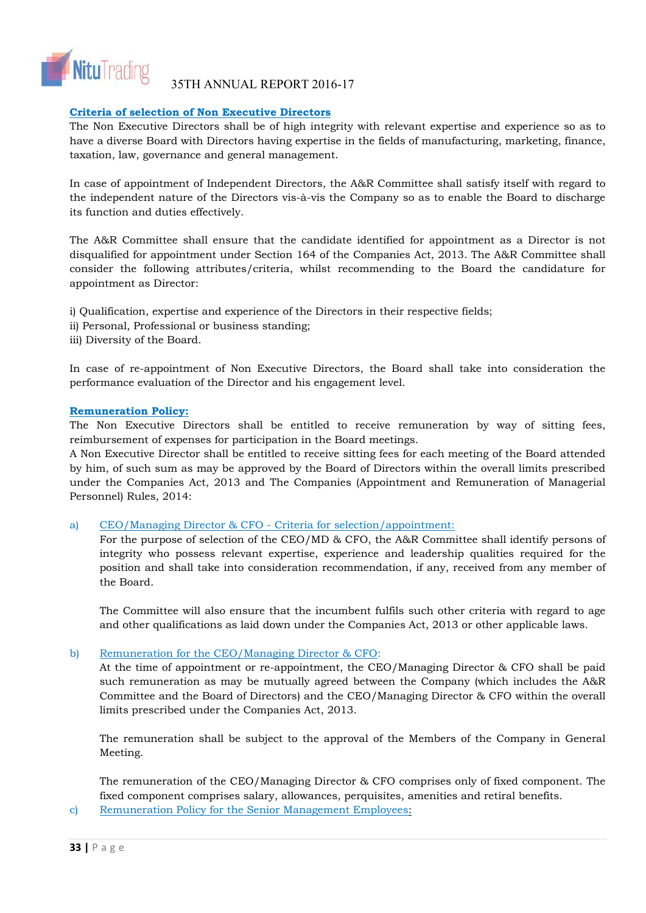

# **Criteria of selection of Non Executive Directors**

The Non Executive Directors shall be of high integrity with relevant expertise and experience so as to have a diverse Board with Directors having expertise in the fields of manufacturing, marketing, finance, taxation, law, governance and general management.

In case of appointment of Independent Directors, the A&R Committee shall satisfy itself with regard to the independent nature of the Directors vis-à-vis the Company so as to enable the Board to discharge its function and duties effectively.

The A&R Committee shall ensure that the candidate identified for appointment as a Director is not disqualified for appointment under Section 164 of the Companies Act, 2013. The A&R Committee shall consider the following attributes/criteria, whilst recommending to the Board the candidature for appointment as Director:

i) Qualification, expertise and experience of the Directors in their respective fields;

- ii) Personal, Professional or business standing;
- iii) Diversity of the Board.

In case of re-appointment of Non Executive Directors, the Board shall take into consideration the performance evaluation of the Director and his engagement level.

### **Remuneration Policy:**

The Non Executive Directors shall be entitled to receive remuneration by way of sitting fees, reimbursement of expenses for participation in the Board meetings.

A Non Executive Director shall be entitled to receive sitting fees for each meeting of the Board attended by him, of such sum as may be approved by the Board of Directors within the overall limits prescribed under the Companies Act, 2013 and The Companies (Appointment and Remuneration of Managerial Personnel) Rules, 2014:

### a) CEO/Managing Director & CFO - Criteria for selection/appointment:

For the purpose of selection of the CEO/MD & CFO, the A&R Committee shall identify persons of integrity who possess relevant expertise, experience and leadership qualities required for the position and shall take into consideration recommendation, if any, received from any member of the Board.

The Committee will also ensure that the incumbent fulfils such other criteria with regard to age and other qualifications as laid down under the Companies Act, 2013 or other applicable laws.

# b) Remuneration for the CEO/Managing Director & CFO:

At the time of appointment or re-appointment, the CEO/Managing Director & CFO shall be paid such remuneration as may be mutually agreed between the Company (which includes the A&R Committee and the Board of Directors) and the CEO/Managing Director & CFO within the overall limits prescribed under the Companies Act, 2013.

The remuneration shall be subject to the approval of the Members of the Company in General Meeting.

The remuneration of the CEO/Managing Director & CFO comprises only of fixed component. The fixed component comprises salary, allowances, perquisites, amenities and retiral benefits.

c) Remuneration Policy for the Senior Management Employees: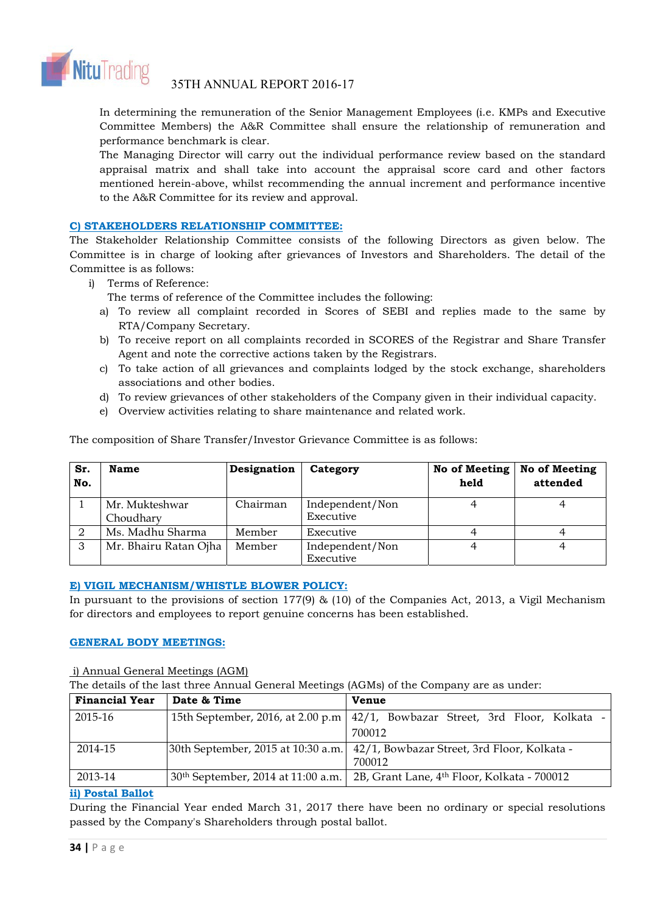

In determining the remuneration of the Senior Management Employees (i.e. KMPs and Executive Committee Members) the A&R Committee shall ensure the relationship of remuneration and performance benchmark is clear.

The Managing Director will carry out the individual performance review based on the standard appraisal matrix and shall take into account the appraisal score card and other factors mentioned herein-above, whilst recommending the annual increment and performance incentive to the A&R Committee for its review and approval.

# **C) STAKEHOLDERS RELATIONSHIP COMMITTEE:**

The Stakeholder Relationship Committee consists of the following Directors as given below. The Committee is in charge of looking after grievances of Investors and Shareholders. The detail of the Committee is as follows:

- i) Terms of Reference:
	- The terms of reference of the Committee includes the following:
	- a) To review all complaint recorded in Scores of SEBI and replies made to the same by RTA/Company Secretary.
	- b) To receive report on all complaints recorded in SCORES of the Registrar and Share Transfer Agent and note the corrective actions taken by the Registrars.
	- c) To take action of all grievances and complaints lodged by the stock exchange, shareholders associations and other bodies.
	- d) To review grievances of other stakeholders of the Company given in their individual capacity.
	- e) Overview activities relating to share maintenance and related work.

| Sr.<br>No. | Name                        | Designation | Category                     | No of Meeting<br>held | No of Meeting<br>attended |
|------------|-----------------------------|-------------|------------------------------|-----------------------|---------------------------|
|            | Mr. Mukteshwar<br>Choudhary | Chairman    | Independent/Non<br>Executive |                       |                           |
|            | Ms. Madhu Sharma            | Member      | Executive                    |                       |                           |
|            | Mr. Bhairu Ratan Ojha       | Member      | Independent/Non              |                       |                           |

The composition of Share Transfer/Investor Grievance Committee is as follows:

# **E) VIGIL MECHANISM/WHISTLE BLOWER POLICY:**

In pursuant to the provisions of section  $177(9)$  & (10) of the Companies Act, 2013, a Vigil Mechanism for directors and employees to report genuine concerns has been established.

Executive

# **GENERAL BODY MEETINGS:**

# i) Annual General Meetings (AGM)

The details of the last three Annual General Meetings (AGMs) of the Company are as under:

| <b>Financial Year</b> | Date & Time                                    | <b>Venue</b>                                                                       |
|-----------------------|------------------------------------------------|------------------------------------------------------------------------------------|
| 2015-16               |                                                | 15th September, 2016, at 2.00 p.m   $42/1$ , Bowbazar Street, 3rd Floor, Kolkata - |
|                       |                                                | 700012                                                                             |
| 2014-15               |                                                | 30th September, 2015 at 10:30 a.m. 42/1, Bowbazar Street, 3rd Floor, Kolkata -     |
|                       |                                                | 700012                                                                             |
| 2013-14               | 30 <sup>th</sup> September, 2014 at 11:00 a.m. | 2B, Grant Lane, 4 <sup>th</sup> Floor, Kolkata - 700012                            |

### **ii) Postal Ballot**

During the Financial Year ended March 31, 2017 there have been no ordinary or special resolutions passed by the Company's Shareholders through postal ballot.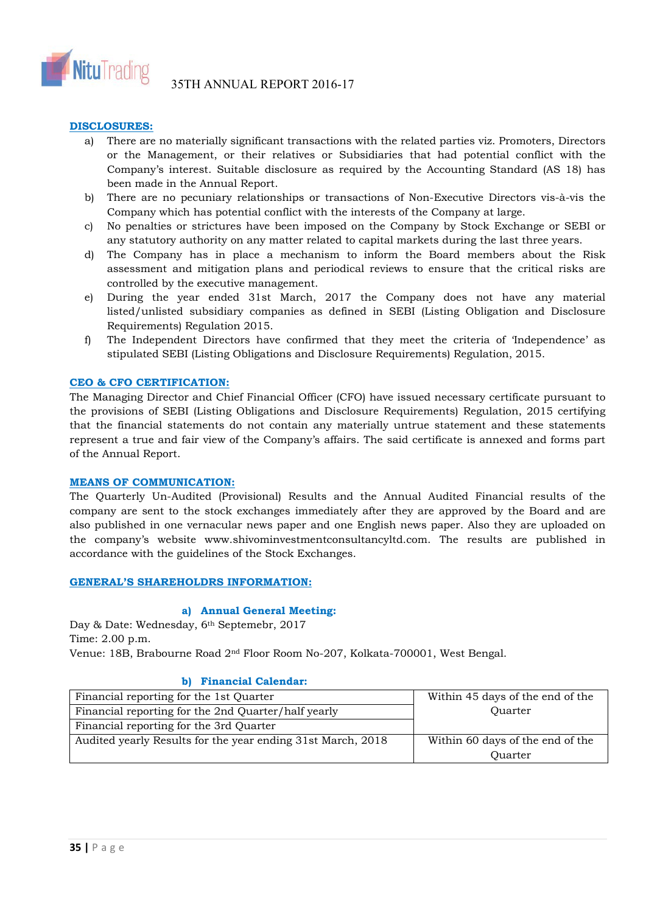

# **DISCLOSURES:**

- a) There are no materially significant transactions with the related parties viz. Promoters, Directors or the Management, or their relatives or Subsidiaries that had potential conflict with the Company's interest. Suitable disclosure as required by the Accounting Standard (AS 18) has been made in the Annual Report.
- b) There are no pecuniary relationships or transactions of Non-Executive Directors vis-à-vis the Company which has potential conflict with the interests of the Company at large.
- c) No penalties or strictures have been imposed on the Company by Stock Exchange or SEBI or any statutory authority on any matter related to capital markets during the last three years.
- d) The Company has in place a mechanism to inform the Board members about the Risk assessment and mitigation plans and periodical reviews to ensure that the critical risks are controlled by the executive management.
- e) During the year ended 31st March, 2017 the Company does not have any material listed/unlisted subsidiary companies as defined in SEBI (Listing Obligation and Disclosure Requirements) Regulation 2015.
- f) The Independent Directors have confirmed that they meet the criteria of 'Independence' as stipulated SEBI (Listing Obligations and Disclosure Requirements) Regulation, 2015.

### **CEO & CFO CERTIFICATION:**

The Managing Director and Chief Financial Officer (CFO) have issued necessary certificate pursuant to the provisions of SEBI (Listing Obligations and Disclosure Requirements) Regulation, 2015 certifying that the financial statements do not contain any materially untrue statement and these statements represent a true and fair view of the Company's affairs. The said certificate is annexed and forms part of the Annual Report.

### **MEANS OF COMMUNICATION:**

The Quarterly Un-Audited (Provisional) Results and the Annual Audited Financial results of the company are sent to the stock exchanges immediately after they are approved by the Board and are also published in one vernacular news paper and one English news paper. Also they are uploaded on the company's website www.shivominvestmentconsultancyltd.com. The results are published in accordance with the guidelines of the Stock Exchanges.

### **GENERAL'S SHAREHOLDRS INFORMATION:**

### **a) Annual General Meeting:**

Day & Date: Wednesday, 6th Septemebr, 2017 Time: 2.00 p.m. Venue: 18B, Brabourne Road 2nd Floor Room No-207, Kolkata-700001, West Bengal.

### **b) Financial Calendar:**

| Financial reporting for the 1st Quarter                     | Within 45 days of the end of the |
|-------------------------------------------------------------|----------------------------------|
| Financial reporting for the 2nd Quarter/half yearly         | Ouarter                          |
| Financial reporting for the 3rd Quarter                     |                                  |
| Audited yearly Results for the year ending 31st March, 2018 | Within 60 days of the end of the |
|                                                             | Ouarter                          |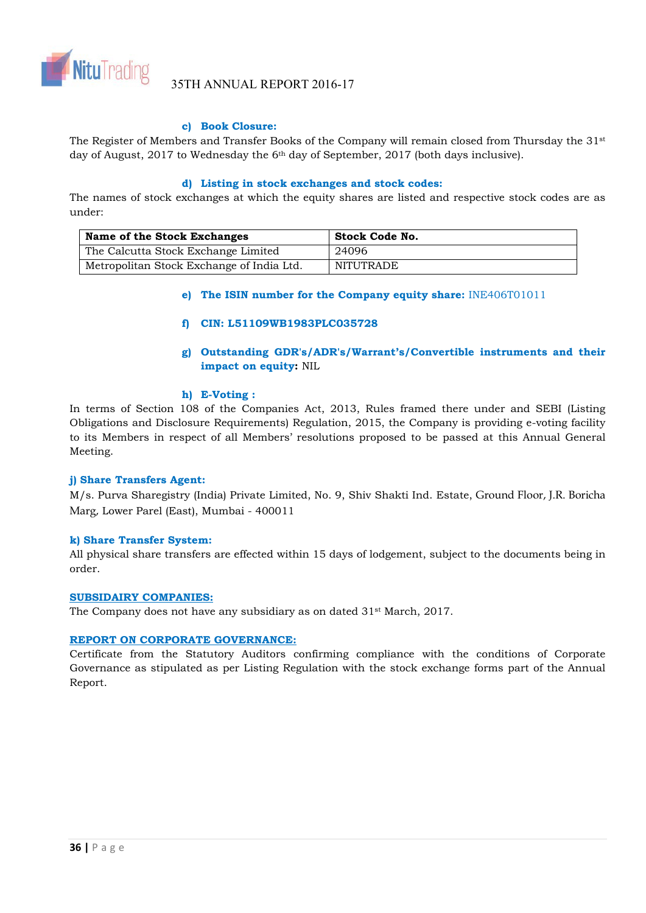

35TH ANNUAL REPORT 2016-17

# **c) Book Closure:**

The Register of Members and Transfer Books of the Company will remain closed from Thursday the 31st day of August, 2017 to Wednesday the 6th day of September, 2017 (both days inclusive).

### **d) Listing in stock exchanges and stock codes:**

The names of stock exchanges at which the equity shares are listed and respective stock codes are as under:

| Name of the Stock Exchanges               | <b>Stock Code No.</b> |
|-------------------------------------------|-----------------------|
| The Calcutta Stock Exchange Limited       | 24096                 |
| Metropolitan Stock Exchange of India Ltd. | NITUTRADE             |

# **e) The ISIN number for the Company equity share:** INE406T01011

# **f) CIN: L51109WB1983PLC035728**

**g) Outstanding GDR's/ADR's/Warrant's/Convertible instruments and their impact on equity:** NIL

# **h) E-Voting :**

In terms of Section 108 of the Companies Act, 2013, Rules framed there under and SEBI (Listing Obligations and Disclosure Requirements) Regulation, 2015, the Company is providing e-voting facility to its Members in respect of all Members' resolutions proposed to be passed at this Annual General Meeting.

### **j) Share Transfers Agent:**

M/s. Purva Sharegistry (India) Private Limited, No. 9, Shiv Shakti Ind. Estate, Ground Floor, J.R. Boricha Marg, Lower Parel (East), Mumbai - 400011

### **k) Share Transfer System:**

All physical share transfers are effected within 15 days of lodgement, subject to the documents being in order.

### **SUBSIDAIRY COMPANIES:**

The Company does not have any subsidiary as on dated 31<sup>st</sup> March, 2017.

### **REPORT ON CORPORATE GOVERNANCE:**

Certificate from the Statutory Auditors confirming compliance with the conditions of Corporate Governance as stipulated as per Listing Regulation with the stock exchange forms part of the Annual Report.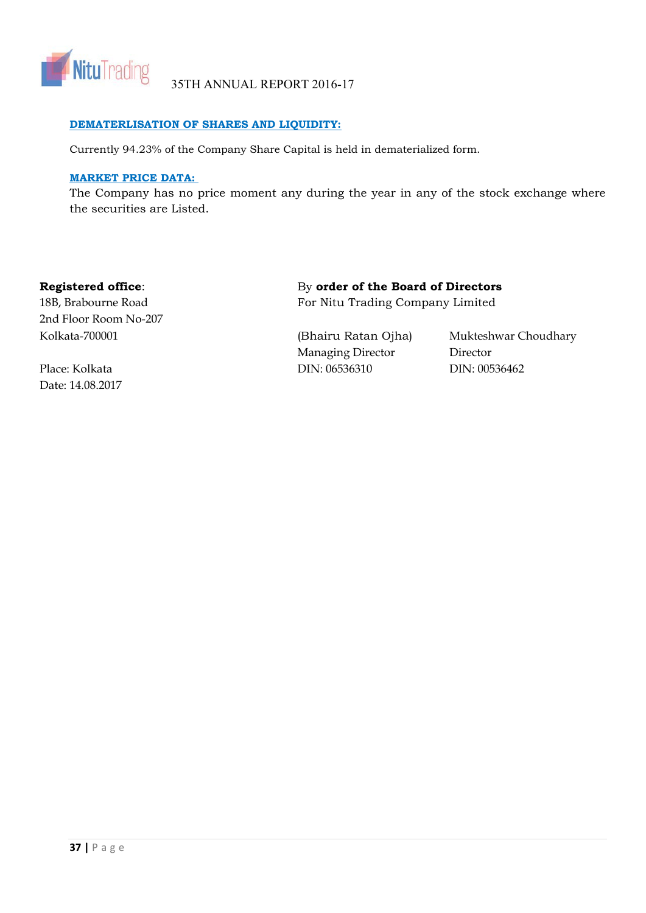

# **DEMATERLISATION OF SHARES AND LIQUIDITY:**

Currently 94.23% of the Company Share Capital is held in dematerialized form.

# **MARKET PRICE DATA:**

The Company has no price moment any during the year in any of the stock exchange where the securities are Listed.

2nd Floor Room No-207

Date: 14.08.2017

# **Registered office:** By order of the Board of Directors

18B, Brabourne Road For Nitu Trading Company Limited

Managing Director Director Place: Kolkata DIN: 06536310 DIN: 00536462

Kolkata-700001 (Bhairu Ratan Ojha) Mukteshwar Choudhary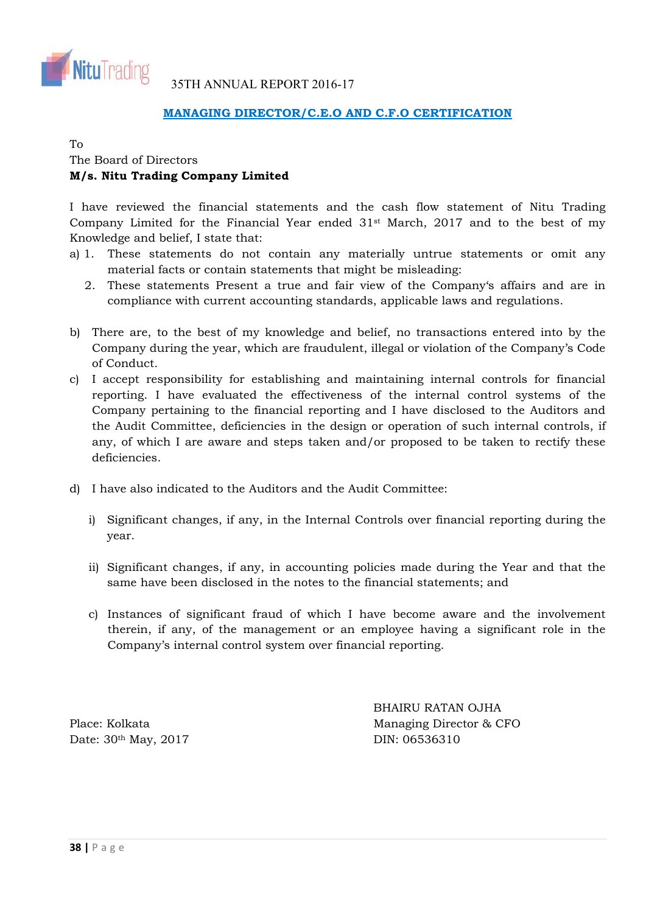![](_page_37_Picture_0.jpeg)

# **MANAGING DIRECTOR/C.E.O AND C.F.O CERTIFICATION**

# To

# The Board of Directors **M/s. Nitu Trading Company Limited**

I have reviewed the financial statements and the cash flow statement of Nitu Trading Company Limited for the Financial Year ended 31st March, 2017 and to the best of my Knowledge and belief, I state that:

- a) 1. These statements do not contain any materially untrue statements or omit any material facts or contain statements that might be misleading:
	- 2. These statements Present a true and fair view of the Company's affairs and are in compliance with current accounting standards, applicable laws and regulations.
- b) There are, to the best of my knowledge and belief, no transactions entered into by the Company during the year, which are fraudulent, illegal or violation of the Company's Code of Conduct.
- c) I accept responsibility for establishing and maintaining internal controls for financial reporting. I have evaluated the effectiveness of the internal control systems of the Company pertaining to the financial reporting and I have disclosed to the Auditors and the Audit Committee, deficiencies in the design or operation of such internal controls, if any, of which I are aware and steps taken and/or proposed to be taken to rectify these deficiencies.
- d) I have also indicated to the Auditors and the Audit Committee:
	- i) Significant changes, if any, in the Internal Controls over financial reporting during the year.
	- ii) Significant changes, if any, in accounting policies made during the Year and that the same have been disclosed in the notes to the financial statements; and
	- c) Instances of significant fraud of which I have become aware and the involvement therein, if any, of the management or an employee having a significant role in the Company's internal control system over financial reporting.

Date: 30<sup>th</sup> May, 2017 DIN: 06536310

 BHAIRU RATAN OJHA Place: Kolkata Managing Director & CFO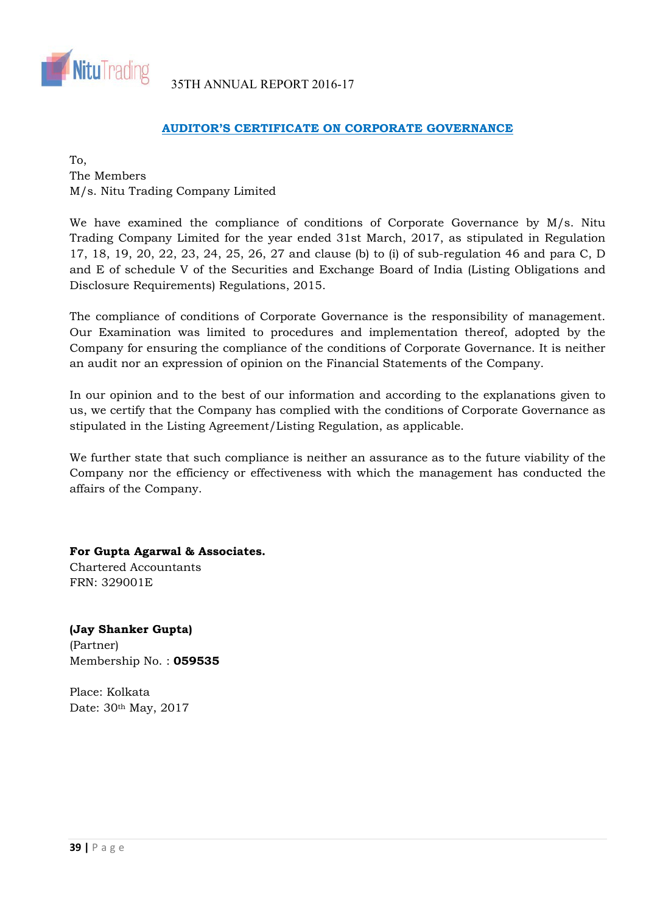![](_page_38_Picture_0.jpeg)

# **AUDITOR'S CERTIFICATE ON CORPORATE GOVERNANCE**

To, The Members M/s. Nitu Trading Company Limited

We have examined the compliance of conditions of Corporate Governance by  $M/s$ . Nitu Trading Company Limited for the year ended 31st March, 2017, as stipulated in Regulation 17, 18, 19, 20, 22, 23, 24, 25, 26, 27 and clause (b) to (i) of sub-regulation 46 and para C, D and E of schedule V of the Securities and Exchange Board of India (Listing Obligations and Disclosure Requirements) Regulations, 2015.

The compliance of conditions of Corporate Governance is the responsibility of management. Our Examination was limited to procedures and implementation thereof, adopted by the Company for ensuring the compliance of the conditions of Corporate Governance. It is neither an audit nor an expression of opinion on the Financial Statements of the Company.

In our opinion and to the best of our information and according to the explanations given to us, we certify that the Company has complied with the conditions of Corporate Governance as stipulated in the Listing Agreement/Listing Regulation, as applicable.

We further state that such compliance is neither an assurance as to the future viability of the Company nor the efficiency or effectiveness with which the management has conducted the affairs of the Company.

**For Gupta Agarwal & Associates.** Chartered Accountants FRN: 329001E

**(Jay Shanker Gupta)** (Partner) Membership No. : **059535**

Place: Kolkata Date: 30th May, 2017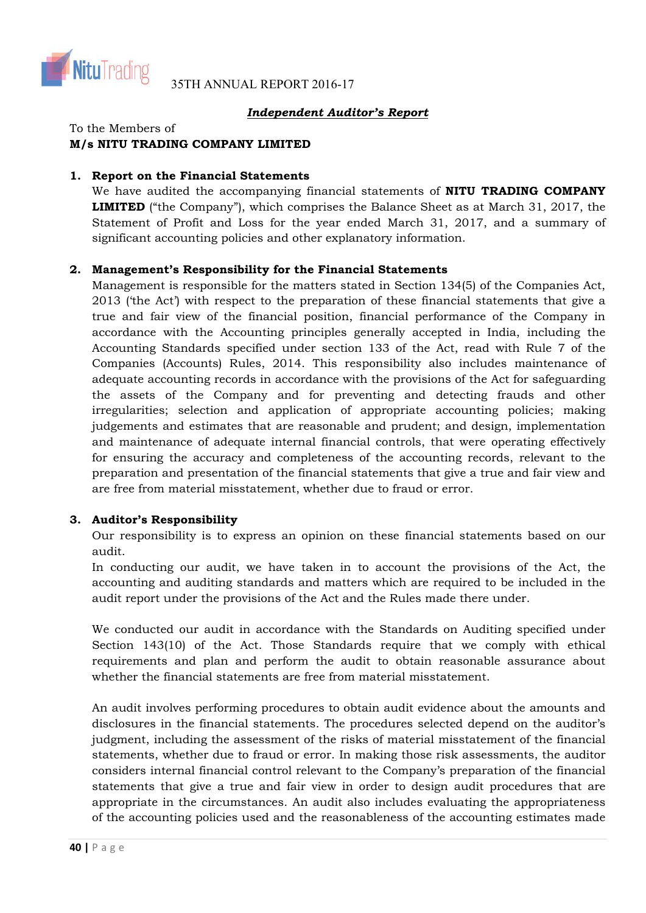![](_page_39_Picture_0.jpeg)

# *Independent Auditor's Report*

To the Members of

# **M/s NITU TRADING COMPANY LIMITED**

# **1. Report on the Financial Statements**

We have audited the accompanying financial statements of **NITU TRADING COMPANY LIMITED** ("the Company"), which comprises the Balance Sheet as at March 31, 2017, the Statement of Profit and Loss for the year ended March 31, 2017, and a summary of significant accounting policies and other explanatory information.

# **2. Management's Responsibility for the Financial Statements**

Management is responsible for the matters stated in Section 134(5) of the Companies Act, 2013 ('the Act') with respect to the preparation of these financial statements that give a true and fair view of the financial position, financial performance of the Company in accordance with the Accounting principles generally accepted in India, including the Accounting Standards specified under section 133 of the Act, read with Rule 7 of the Companies (Accounts) Rules, 2014. This responsibility also includes maintenance of adequate accounting records in accordance with the provisions of the Act for safeguarding the assets of the Company and for preventing and detecting frauds and other irregularities; selection and application of appropriate accounting policies; making judgements and estimates that are reasonable and prudent; and design, implementation and maintenance of adequate internal financial controls, that were operating effectively for ensuring the accuracy and completeness of the accounting records, relevant to the preparation and presentation of the financial statements that give a true and fair view and are free from material misstatement, whether due to fraud or error.

# **3. Auditor's Responsibility**

Our responsibility is to express an opinion on these financial statements based on our audit.

In conducting our audit, we have taken in to account the provisions of the Act, the accounting and auditing standards and matters which are required to be included in the audit report under the provisions of the Act and the Rules made there under.

We conducted our audit in accordance with the Standards on Auditing specified under Section 143(10) of the Act. Those Standards require that we comply with ethical requirements and plan and perform the audit to obtain reasonable assurance about whether the financial statements are free from material misstatement.

An audit involves performing procedures to obtain audit evidence about the amounts and disclosures in the financial statements. The procedures selected depend on the auditor's judgment, including the assessment of the risks of material misstatement of the financial statements, whether due to fraud or error. In making those risk assessments, the auditor considers internal financial control relevant to the Company's preparation of the financial statements that give a true and fair view in order to design audit procedures that are appropriate in the circumstances. An audit also includes evaluating the appropriateness of the accounting policies used and the reasonableness of the accounting estimates made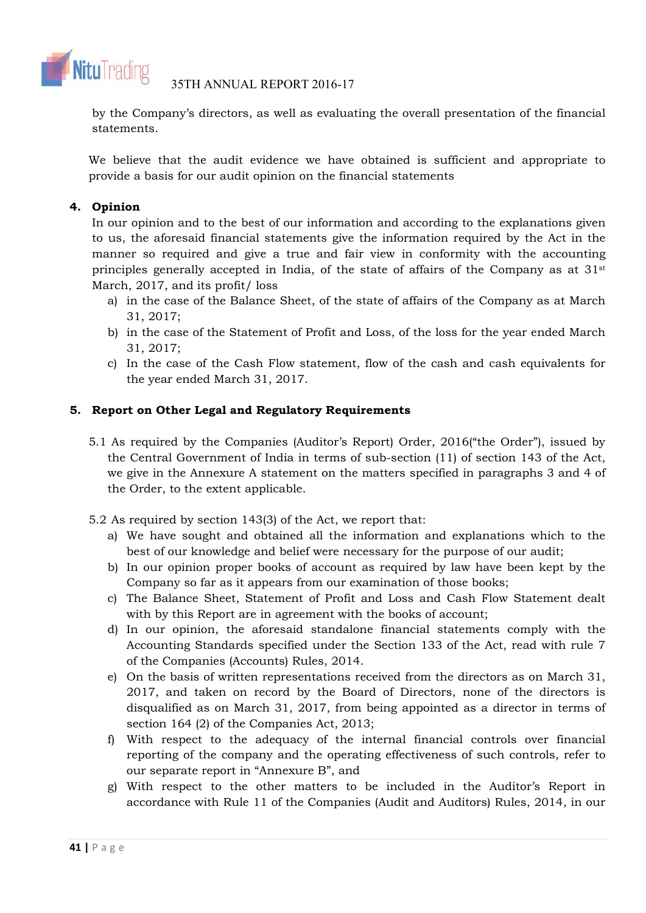![](_page_40_Picture_0.jpeg)

by the Company's directors, as well as evaluating the overall presentation of the financial statements.

We believe that the audit evidence we have obtained is sufficient and appropriate to provide a basis for our audit opinion on the financial statements

# **4. Opinion**

In our opinion and to the best of our information and according to the explanations given to us, the aforesaid financial statements give the information required by the Act in the manner so required and give a true and fair view in conformity with the accounting principles generally accepted in India, of the state of affairs of the Company as at  $31<sup>st</sup>$ March, 2017, and its profit/ loss

- a) in the case of the Balance Sheet, of the state of affairs of the Company as at March 31, 2017;
- b) in the case of the Statement of Profit and Loss, of the loss for the year ended March 31, 2017;
- c) In the case of the Cash Flow statement, flow of the cash and cash equivalents for the year ended March 31, 2017.

# **5. Report on Other Legal and Regulatory Requirements**

- 5.1 As required by the Companies (Auditor's Report) Order, 2016("the Order"), issued by the Central Government of India in terms of sub-section (11) of section 143 of the Act, we give in the Annexure A statement on the matters specified in paragraphs 3 and 4 of the Order, to the extent applicable.
- 5.2 As required by section 143(3) of the Act, we report that:
	- a) We have sought and obtained all the information and explanations which to the best of our knowledge and belief were necessary for the purpose of our audit;
	- b) In our opinion proper books of account as required by law have been kept by the Company so far as it appears from our examination of those books;
	- c) The Balance Sheet, Statement of Profit and Loss and Cash Flow Statement dealt with by this Report are in agreement with the books of account;
	- d) In our opinion, the aforesaid standalone financial statements comply with the Accounting Standards specified under the Section 133 of the Act, read with rule 7 of the Companies (Accounts) Rules, 2014.
	- e) On the basis of written representations received from the directors as on March 31, 2017, and taken on record by the Board of Directors, none of the directors is disqualified as on March 31, 2017, from being appointed as a director in terms of section 164 (2) of the Companies Act, 2013;
	- f) With respect to the adequacy of the internal financial controls over financial reporting of the company and the operating effectiveness of such controls, refer to our separate report in "Annexure B", and
	- g) With respect to the other matters to be included in the Auditor's Report in accordance with Rule 11 of the Companies (Audit and Auditors) Rules, 2014, in our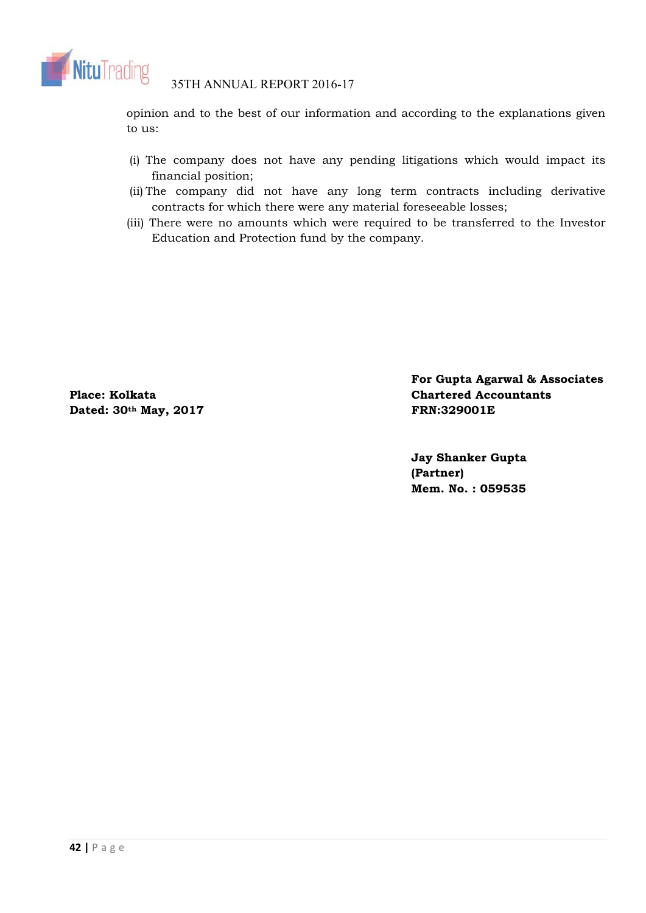![](_page_41_Picture_0.jpeg)

opinion and to the best of our information and according to the explanations given to us:

- (i) The company does not have any pending litigations which would impact its financial position;
- (ii) The company did not have any long term contracts including derivative contracts for which there were any material foreseeable losses;
- (iii) There were no amounts which were required to be transferred to the Investor Education and Protection fund by the company.

Dated: 30<sup>th</sup> May, 2017 **FRN:329001E** 

**For Gupta Agarwal & Associates Place: Kolkata Chartered Accountants Chartered Accountants** 

> **Jay Shanker Gupta (Partner) Mem. No. : 059535**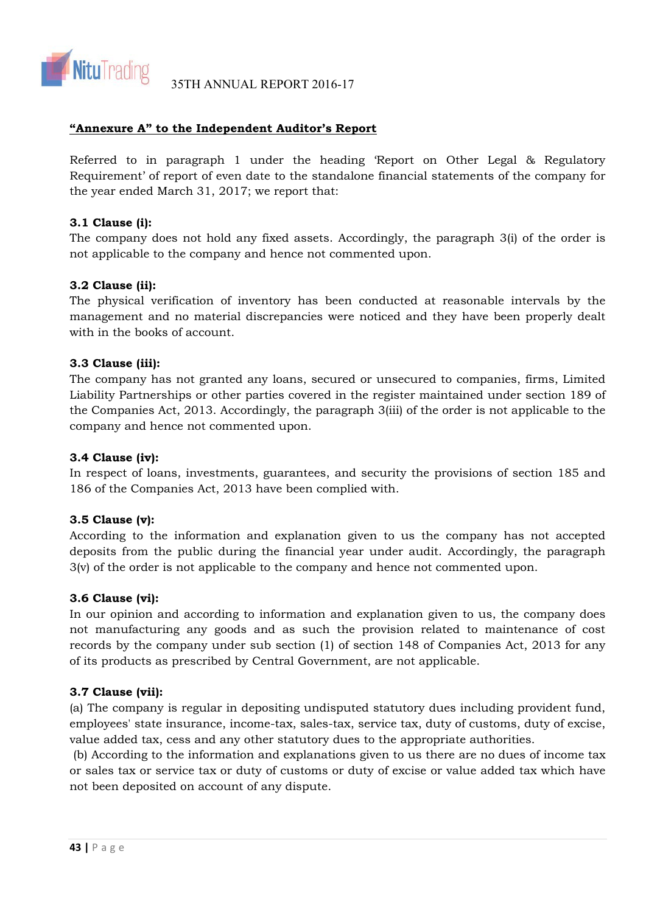![](_page_42_Picture_0.jpeg)

# **"Annexure A" to the Independent Auditor's Report**

Referred to in paragraph 1 under the heading 'Report on Other Legal & Regulatory Requirement' of report of even date to the standalone financial statements of the company for the year ended March 31, 2017; we report that:

# **3.1 Clause (i):**

The company does not hold any fixed assets. Accordingly, the paragraph 3(i) of the order is not applicable to the company and hence not commented upon.

# **3.2 Clause (ii):**

The physical verification of inventory has been conducted at reasonable intervals by the management and no material discrepancies were noticed and they have been properly dealt with in the books of account.

# **3.3 Clause (iii):**

The company has not granted any loans, secured or unsecured to companies, firms, Limited Liability Partnerships or other parties covered in the register maintained under section 189 of the Companies Act, 2013. Accordingly, the paragraph 3(iii) of the order is not applicable to the company and hence not commented upon.

# **3.4 Clause (iv):**

In respect of loans, investments, guarantees, and security the provisions of section 185 and 186 of the Companies Act, 2013 have been complied with.

# **3.5 Clause (v):**

According to the information and explanation given to us the company has not accepted deposits from the public during the financial year under audit. Accordingly, the paragraph 3(v) of the order is not applicable to the company and hence not commented upon.

# **3.6 Clause (vi):**

In our opinion and according to information and explanation given to us, the company does not manufacturing any goods and as such the provision related to maintenance of cost records by the company under sub section (1) of section 148 of Companies Act, 2013 for any of its products as prescribed by Central Government, are not applicable.

# **3.7 Clause (vii):**

(a) The company is regular in depositing undisputed statutory dues including provident fund, employees' state insurance, income-tax, sales-tax, service tax, duty of customs, duty of excise, value added tax, cess and any other statutory dues to the appropriate authorities.

 (b) According to the information and explanations given to us there are no dues of income tax or sales tax or service tax or duty of customs or duty of excise or value added tax which have not been deposited on account of any dispute.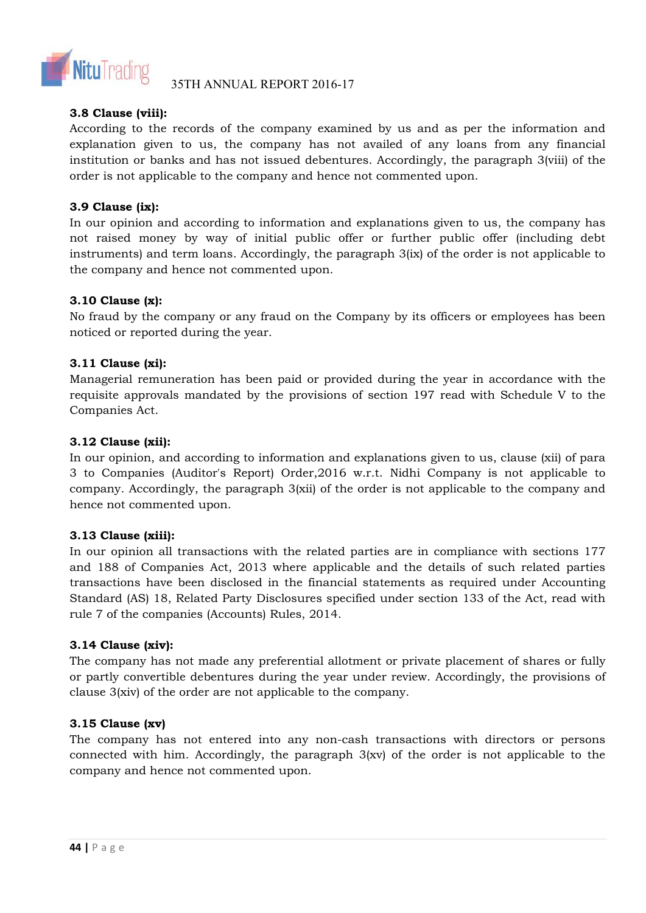![](_page_43_Picture_0.jpeg)

35TH ANNUAL REPORT 2016-17

# **3.8 Clause (viii):**

According to the records of the company examined by us and as per the information and explanation given to us, the company has not availed of any loans from any financial institution or banks and has not issued debentures. Accordingly, the paragraph 3(viii) of the order is not applicable to the company and hence not commented upon.

# **3.9 Clause (ix):**

In our opinion and according to information and explanations given to us, the company has not raised money by way of initial public offer or further public offer (including debt instruments) and term loans. Accordingly, the paragraph 3(ix) of the order is not applicable to the company and hence not commented upon.

# **3.10 Clause (x):**

No fraud by the company or any fraud on the Company by its officers or employees has been noticed or reported during the year.

# **3.11 Clause (xi):**

Managerial remuneration has been paid or provided during the year in accordance with the requisite approvals mandated by the provisions of section 197 read with Schedule V to the Companies Act.

# **3.12 Clause (xii):**

In our opinion, and according to information and explanations given to us, clause (xii) of para 3 to Companies (Auditor's Report) Order,2016 w.r.t. Nidhi Company is not applicable to company. Accordingly, the paragraph 3(xii) of the order is not applicable to the company and hence not commented upon.

# **3.13 Clause (xiii):**

In our opinion all transactions with the related parties are in compliance with sections 177 and 188 of Companies Act, 2013 where applicable and the details of such related parties transactions have been disclosed in the financial statements as required under Accounting Standard (AS) 18, Related Party Disclosures specified under section 133 of the Act, read with rule 7 of the companies (Accounts) Rules, 2014.

# **3.14 Clause (xiv):**

The company has not made any preferential allotment or private placement of shares or fully or partly convertible debentures during the year under review. Accordingly, the provisions of clause 3(xiv) of the order are not applicable to the company.

# **3.15 Clause (xv)**

The company has not entered into any non-cash transactions with directors or persons connected with him. Accordingly, the paragraph 3(xv) of the order is not applicable to the company and hence not commented upon.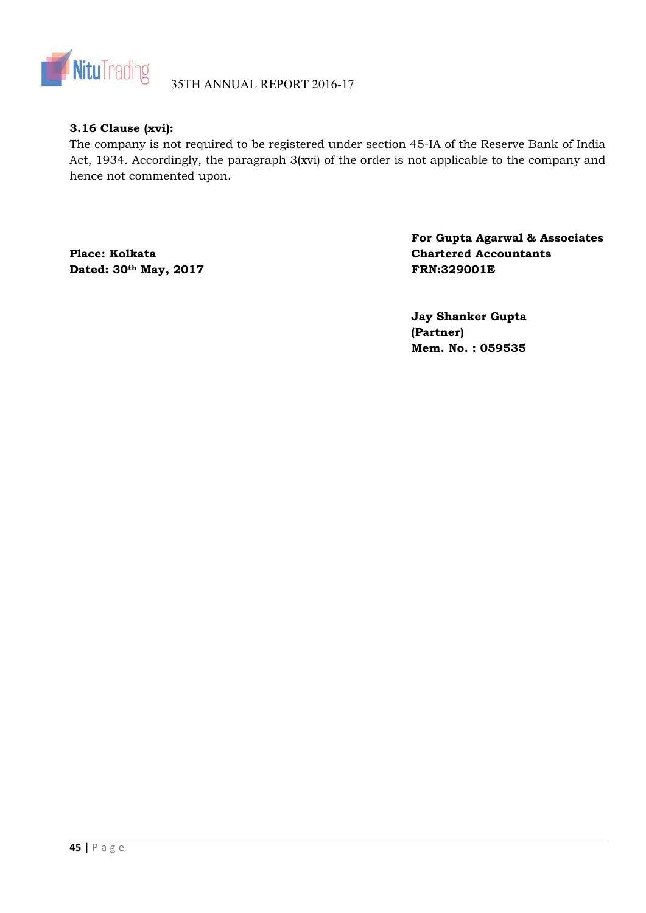![](_page_44_Picture_0.jpeg)

# **3.16 Clause (xvi):**

The company is not required to be registered under section 45-IA of the Reserve Bank of India Act, 1934. Accordingly, the paragraph 3(xvi) of the order is not applicable to the company and hence not commented upon.

Dated: 30<sup>th</sup> May, 2017 **FRN:329001E** 

**For Gupta Agarwal & Associates**  Place: Kolkata Chartered Accountants

> **Jay Shanker Gupta (Partner) Mem. No. : 059535**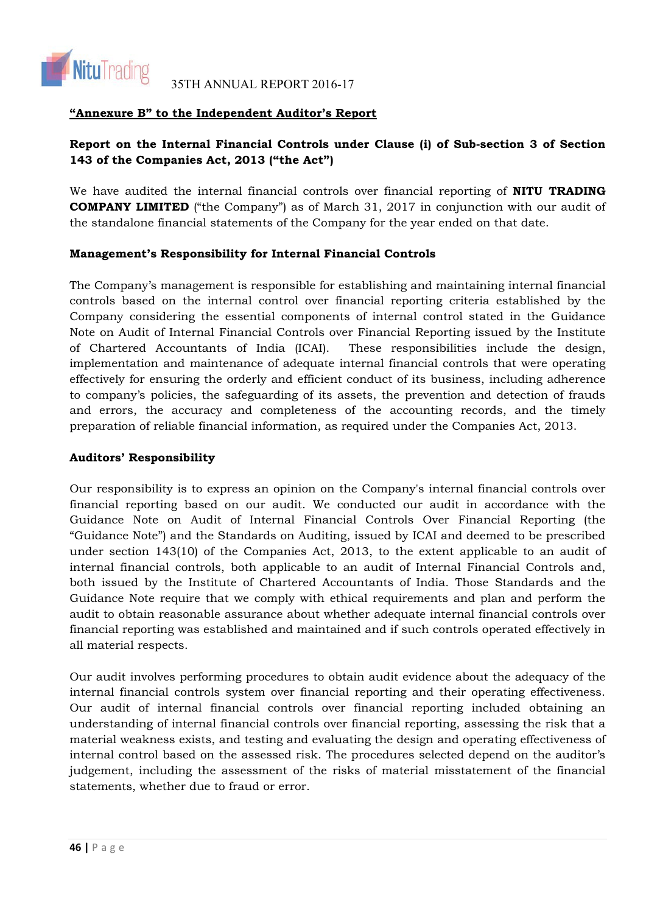![](_page_45_Picture_0.jpeg)

# **"Annexure B" to the Independent Auditor's Report**

# **Report on the Internal Financial Controls under Clause (i) of Sub-section 3 of Section 143 of the Companies Act, 2013 ("the Act")**

We have audited the internal financial controls over financial reporting of **NITU TRADING COMPANY LIMITED** ("the Company") as of March 31, 2017 in conjunction with our audit of the standalone financial statements of the Company for the year ended on that date.

# **Management's Responsibility for Internal Financial Controls**

The Company's management is responsible for establishing and maintaining internal financial controls based on the internal control over financial reporting criteria established by the Company considering the essential components of internal control stated in the Guidance Note on Audit of Internal Financial Controls over Financial Reporting issued by the Institute of Chartered Accountants of India (ICAI). These responsibilities include the design, implementation and maintenance of adequate internal financial controls that were operating effectively for ensuring the orderly and efficient conduct of its business, including adherence to company's policies, the safeguarding of its assets, the prevention and detection of frauds and errors, the accuracy and completeness of the accounting records, and the timely preparation of reliable financial information, as required under the Companies Act, 2013.

# **Auditors' Responsibility**

Our responsibility is to express an opinion on the Company's internal financial controls over financial reporting based on our audit. We conducted our audit in accordance with the Guidance Note on Audit of Internal Financial Controls Over Financial Reporting (the "Guidance Note") and the Standards on Auditing, issued by ICAI and deemed to be prescribed under section 143(10) of the Companies Act, 2013, to the extent applicable to an audit of internal financial controls, both applicable to an audit of Internal Financial Controls and, both issued by the Institute of Chartered Accountants of India. Those Standards and the Guidance Note require that we comply with ethical requirements and plan and perform the audit to obtain reasonable assurance about whether adequate internal financial controls over financial reporting was established and maintained and if such controls operated effectively in all material respects.

Our audit involves performing procedures to obtain audit evidence about the adequacy of the internal financial controls system over financial reporting and their operating effectiveness. Our audit of internal financial controls over financial reporting included obtaining an understanding of internal financial controls over financial reporting, assessing the risk that a material weakness exists, and testing and evaluating the design and operating effectiveness of internal control based on the assessed risk. The procedures selected depend on the auditor's judgement, including the assessment of the risks of material misstatement of the financial statements, whether due to fraud or error.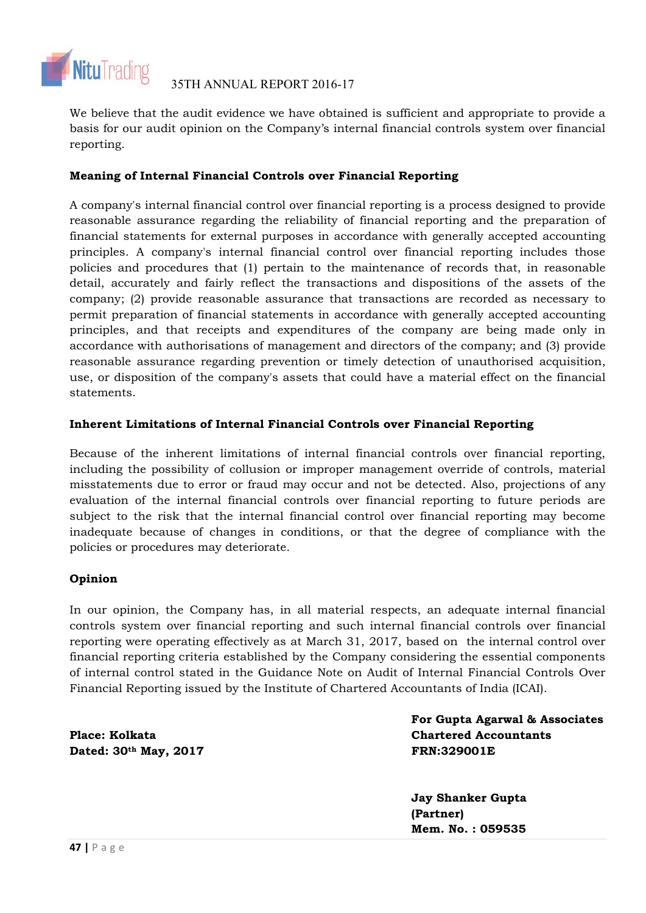![](_page_46_Picture_0.jpeg)

We believe that the audit evidence we have obtained is sufficient and appropriate to provide a basis for our audit opinion on the Company's internal financial controls system over financial reporting.

# **Meaning of Internal Financial Controls over Financial Reporting**

A company's internal financial control over financial reporting is a process designed to provide reasonable assurance regarding the reliability of financial reporting and the preparation of financial statements for external purposes in accordance with generally accepted accounting principles. A company's internal financial control over financial reporting includes those policies and procedures that (1) pertain to the maintenance of records that, in reasonable detail, accurately and fairly reflect the transactions and dispositions of the assets of the company; (2) provide reasonable assurance that transactions are recorded as necessary to permit preparation of financial statements in accordance with generally accepted accounting principles, and that receipts and expenditures of the company are being made only in accordance with authorisations of management and directors of the company; and (3) provide reasonable assurance regarding prevention or timely detection of unauthorised acquisition, use, or disposition of the company's assets that could have a material effect on the financial statements.

# **Inherent Limitations of Internal Financial Controls over Financial Reporting**

Because of the inherent limitations of internal financial controls over financial reporting, including the possibility of collusion or improper management override of controls, material misstatements due to error or fraud may occur and not be detected. Also, projections of any evaluation of the internal financial controls over financial reporting to future periods are subject to the risk that the internal financial control over financial reporting may become inadequate because of changes in conditions, or that the degree of compliance with the policies or procedures may deteriorate.

# **Opinion**

In our opinion, the Company has, in all material respects, an adequate internal financial controls system over financial reporting and such internal financial controls over financial reporting were operating effectively as at March 31, 2017, based on the internal control over financial reporting criteria established by the Company considering the essential components of internal control stated in the Guidance Note on Audit of Internal Financial Controls Over Financial Reporting issued by the Institute of Chartered Accountants of India (ICAI).

**Dated: 30th May, 2017 FRN:329001E** 

**For Gupta Agarwal & Associates Place: Kolkata Chartered Accountants** 

> **Jay Shanker Gupta (Partner) Mem. No. : 059535**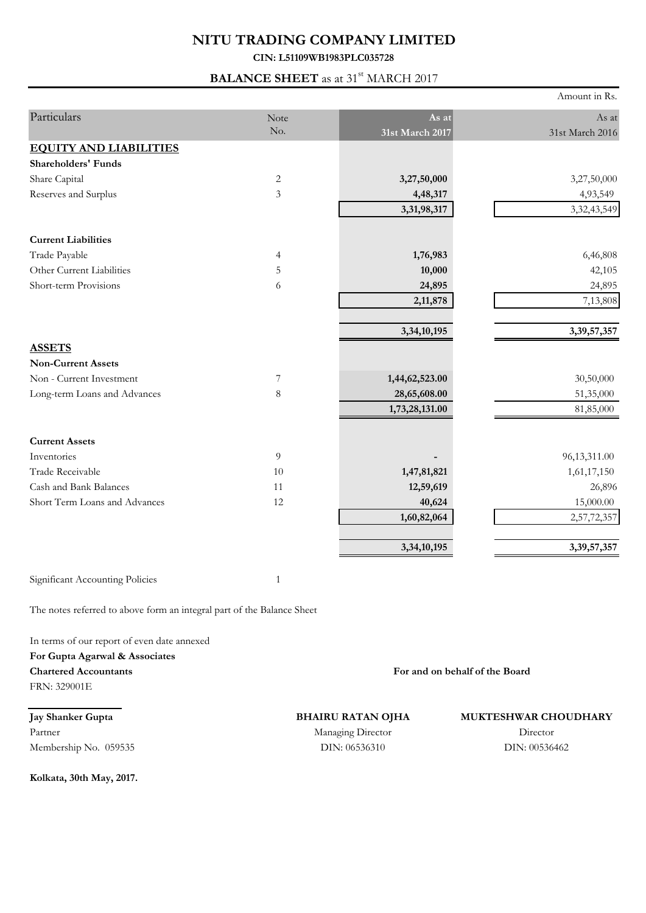# **NITU TRADING COMPANY LIMITED**

**CIN: L51109WB1983PLC035728**

# **BALANCE SHEET** as at 31<sup>st</sup> MARCH 2017

|                                                                        |                |                 | Amount in Rs.   |
|------------------------------------------------------------------------|----------------|-----------------|-----------------|
| Particulars                                                            | Note           | As at           | As at           |
|                                                                        | No.            | 31st March 2017 | 31st March 2016 |
| <b>EQUITY AND LIABILITIES</b>                                          |                |                 |                 |
| <b>Shareholders' Funds</b>                                             |                |                 |                 |
| Share Capital                                                          | $\mathbf{2}$   | 3,27,50,000     | 3,27,50,000     |
| Reserves and Surplus                                                   | 3              | 4,48,317        | 4,93,549        |
|                                                                        |                | 3,31,98,317     | 3, 32, 43, 549  |
| <b>Current Liabilities</b>                                             |                |                 |                 |
| Trade Payable                                                          | $\overline{4}$ | 1,76,983        | 6,46,808        |
| Other Current Liabilities                                              | 5              | 10,000          | 42,105          |
| Short-term Provisions                                                  | 6              | 24,895          | 24,895          |
|                                                                        |                | 2,11,878        | 7,13,808        |
|                                                                        |                | 3,34,10,195     | 3,39,57,357     |
| <b>ASSETS</b>                                                          |                |                 |                 |
| <b>Non-Current Assets</b>                                              |                |                 |                 |
| Non - Current Investment                                               | $\overline{7}$ | 1,44,62,523.00  | 30,50,000       |
| Long-term Loans and Advances                                           | $\,8\,$        | 28,65,608.00    | 51,35,000       |
|                                                                        |                | 1,73,28,131.00  | 81,85,000       |
| <b>Current Assets</b>                                                  |                |                 |                 |
| Inventories                                                            | 9              |                 | 96,13,311.00    |
| Trade Receivable                                                       | 10             | 1,47,81,821     | 1,61,17,150     |
| Cash and Bank Balances                                                 | 11             | 12,59,619       | 26,896          |
| Short Term Loans and Advances                                          | 12             | 40,624          | 15,000.00       |
|                                                                        |                | 1,60,82,064     | 2,57,72,357     |
|                                                                        |                | 3,34,10,195     | 3,39,57,357     |
| Significant Accounting Policies                                        | $1\,$          |                 |                 |
| The notes referred to above form an integral part of the Balance Sheet |                |                 |                 |

In terms of our report of even date annexed **For Gupta Agarwal & Associates Chartered Accountants**

FRN: 329001E

**Jay Shanker Gupta** Partner Membership No. 059535

**Kolkata, 30th May, 2017.**

**For and on behalf of the Board**

**BHAIRU RATAN OJHA**

# **MUKTESHWAR CHOUDHARY**

DIN: 06536310 Managing Director

Director DIN: 00536462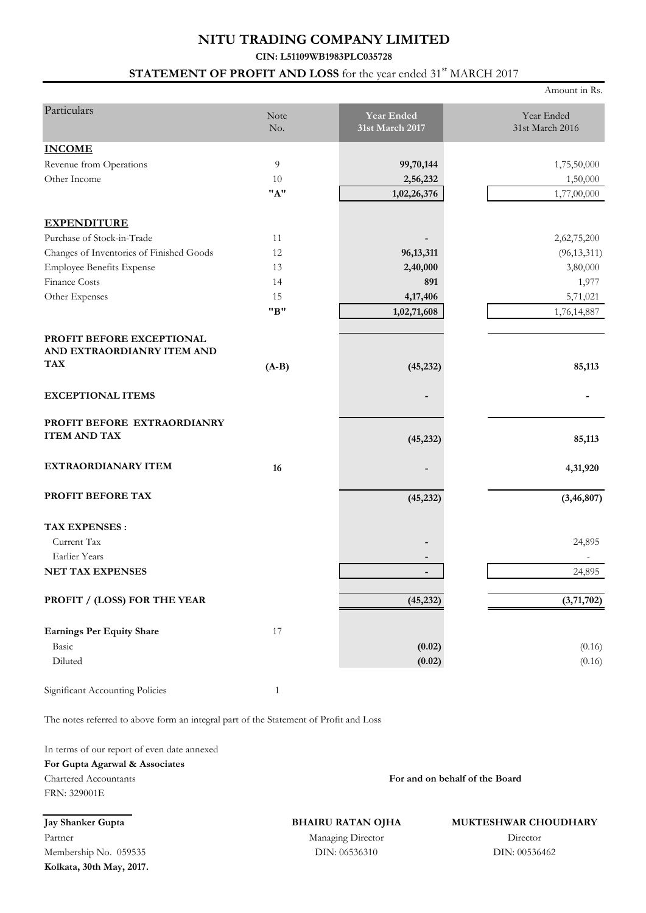# **NITU TRADING COMPANY LIMITED**

# **CIN: L51109WB1983PLC035728**

# **STATEMENT OF PROFIT AND LOSS** for the year ended 31<sup>st</sup> MARCH 2017

|                                                                       |                |                                      | Amount in Rs.                 |
|-----------------------------------------------------------------------|----------------|--------------------------------------|-------------------------------|
| Particulars                                                           | Note<br>No.    | <b>Year Ended</b><br>31st March 2017 | Year Ended<br>31st March 2016 |
| <b>INCOME</b>                                                         |                |                                      |                               |
| Revenue from Operations                                               | $\overline{9}$ | 99,70,144                            | 1,75,50,000                   |
| Other Income                                                          | 10             | 2,56,232                             | 1,50,000                      |
|                                                                       | "A"            | 1,02,26,376                          | 1,77,00,000                   |
| <b>EXPENDITURE</b>                                                    |                |                                      |                               |
| Purchase of Stock-in-Trade                                            | 11             |                                      | 2,62,75,200                   |
| Changes of Inventories of Finished Goods                              | 12             | 96,13,311                            | (96, 13, 311)                 |
| <b>Employee Benefits Expense</b>                                      | 13             | 2,40,000                             | 3,80,000                      |
| Finance Costs                                                         | 14             | 891                                  | 1,977                         |
| Other Expenses                                                        | 15             | 4,17,406                             | 5,71,021                      |
|                                                                       | "B"            | 1,02,71,608                          | 1,76,14,887                   |
| PROFIT BEFORE EXCEPTIONAL<br>AND EXTRAORDIANRY ITEM AND<br><b>TAX</b> | $(A-B)$        | (45, 232)                            | 85,113                        |
| <b>EXCEPTIONAL ITEMS</b>                                              |                |                                      |                               |
| PROFIT BEFORE EXTRAORDIANRY<br><b>ITEM AND TAX</b>                    |                | (45, 232)                            | 85,113                        |
| EXTRAORDIANARY ITEM                                                   | 16             |                                      | 4,31,920                      |
| PROFIT BEFORE TAX                                                     |                | (45, 232)                            | (3, 46, 807)                  |
| <b>TAX EXPENSES:</b><br>Current Tax                                   |                |                                      | 24,895                        |
| Earlier Years                                                         |                |                                      |                               |
| NET TAX EXPENSES                                                      |                |                                      | 24,895                        |
| PROFIT / (LOSS) FOR THE YEAR                                          |                | (45, 232)                            | (3,71,702)                    |
| <b>Earnings Per Equity Share</b><br>Basic<br>Diluted                  | $17\,$         | (0.02)<br>(0.02)                     | (0.16)<br>(0.16)              |
|                                                                       |                |                                      |                               |

Significant Accounting Policies 1

The notes referred to above form an integral part of the Statement of Profit and Loss

In terms of our report of even date annexed

### **For Gupta Agarwal & Associates** Chartered Accountants

FRN: 329001E

**BHAIRU RATAN OJHA**

**MUKTESHWAR CHOUDHARY**

**For and on behalf of the Board**

**Jay Shanker Gupta** Partner Membership No. 059535 **Kolkata, 30th May, 2017.**

DIN: 06536310 Managing Director

# Director DIN: 00536462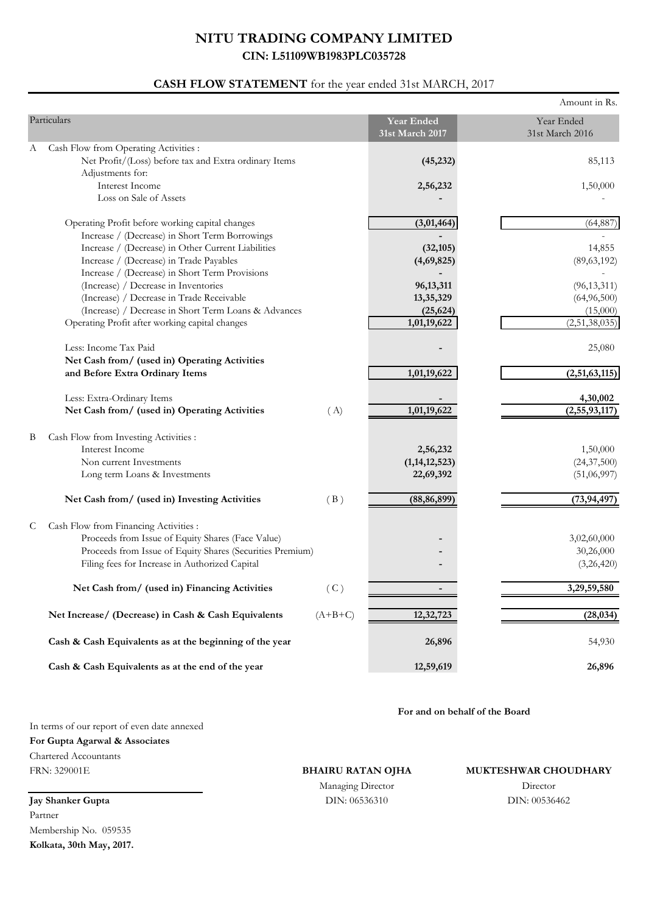# **CASH FLOW STATEMENT** for the year ended 31st MARCH, 2017

|                                                                                                                                                                                                                |                                           | Amount in Rs.                            |
|----------------------------------------------------------------------------------------------------------------------------------------------------------------------------------------------------------------|-------------------------------------------|------------------------------------------|
| Particulars                                                                                                                                                                                                    | <b>Year Ended</b><br>31st March 2017      | Year Ended<br>31st March 2016            |
| Cash Flow from Operating Activities :<br>А<br>Net Profit/(Loss) before tax and Extra ordinary Items<br>Adjustments for:                                                                                        | (45, 232)                                 | 85,113                                   |
| Interest Income<br>Loss on Sale of Assets                                                                                                                                                                      | 2,56,232                                  | 1,50,000                                 |
| Operating Profit before working capital changes<br>Increase / (Decrease) in Short Term Borrowings                                                                                                              | (3,01,464)                                | (64, 887)                                |
| Increase / (Decrease) in Other Current Liabilities<br>Increase / (Decrease) in Trade Payables<br>Increase / (Decrease) in Short Term Provisions                                                                | (32, 105)<br>(4,69,825)                   | 14,855<br>(89, 63, 192)                  |
| (Increase) / Decrease in Inventories<br>(Increase) / Decrease in Trade Receivable<br>(Increase) / Decrease in Short Term Loans & Advances                                                                      | 96, 13, 311<br>13,35,329<br>(25, 624)     | (96, 13, 311)<br>(64,96,500)<br>(15,000) |
| Operating Profit after working capital changes                                                                                                                                                                 | 1,01,19,622                               | (2,51,38,035)                            |
| Less: Income Tax Paid<br>Net Cash from/ (used in) Operating Activities<br>and Before Extra Ordinary Items                                                                                                      | 1,01,19,622                               | 25,080<br>(2,51,63,115)                  |
|                                                                                                                                                                                                                |                                           |                                          |
| Less: Extra-Ordinary Items<br>Net Cash from/ (used in) Operating Activities<br>(A)                                                                                                                             | 1,01,19,622                               | 4,30,002<br>(2,55,93,117)                |
| Cash Flow from Investing Activities :<br>B<br>Interest Income<br>Non current Investments<br>Long term Loans & Investments                                                                                      | 2,56,232<br>(1, 14, 12, 523)<br>22,69,392 | 1,50,000<br>(24, 37, 500)<br>(51,06,997) |
| (B)<br>Net Cash from/ (used in) Investing Activities                                                                                                                                                           | (88, 86, 899)                             | (73, 94, 497)                            |
| Cash Flow from Financing Activities :<br>C<br>Proceeds from Issue of Equity Shares (Face Value)<br>Proceeds from Issue of Equity Shares (Securities Premium)<br>Filing fees for Increase in Authorized Capital |                                           | 3,02,60,000<br>30,26,000<br>(3,26,420)   |
| (C)<br>Net Cash from/ (used in) Financing Activities                                                                                                                                                           |                                           | 3,29,59,580                              |
| Net Increase/ (Decrease) in Cash & Cash Equivalents<br>$(A+B+C)$                                                                                                                                               | 12,32,723                                 | (28, 034)                                |
| Cash & Cash Equivalents as at the beginning of the year                                                                                                                                                        | 26,896                                    | 54,930                                   |
| Cash & Cash Equivalents as at the end of the year                                                                                                                                                              | 12,59,619                                 | 26,896                                   |

**For and on behalf of the Board**

In terms of our report of even date annexed **For Gupta Agarwal & Associates**

Chartered Accountants FRN: 329001E

**BHAIRU RATAN OJHA**

DIN: 06536310 DIN: 00536462 Managing Director

**MUKTESHWAR CHOUDHARY**

Director

**Jay Shanker Gupta** Partner Membership No. 059535 **Kolkata, 30th May, 2017.**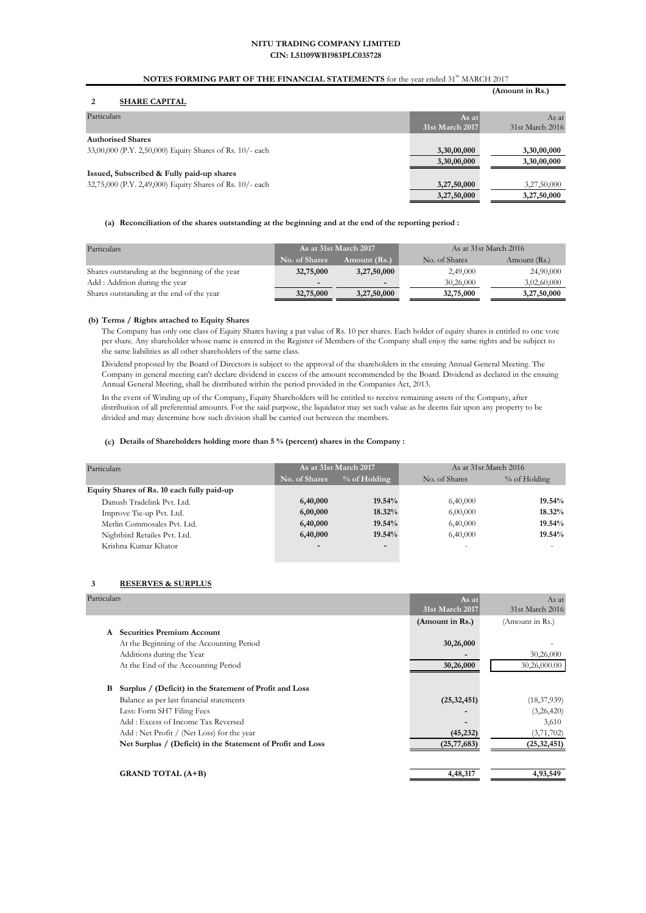#### **NOTES FORMING PART OF THE FINANCIAL STATEMENTS** for the year ended 31<sup>st</sup> MARCH 2017

**(Amount in Rs.)**

#### **2 SHARE CAPITAL**

| SHAKE CAPITAL                                            |                 |                 |
|----------------------------------------------------------|-----------------|-----------------|
| Particulars                                              | As at           | As at           |
|                                                          | 31st March 2017 | 31st March 2016 |
| <b>Authorised Shares</b>                                 |                 |                 |
| 33,00,000 (P.Y. 2,50,000) Equity Shares of Rs. 10/- each | 3,30,00,000     | 3,30,00,000     |
|                                                          | 3,30,00,000     | 3,30,00,000     |
| Issued, Subscribed & Fully paid-up shares                |                 |                 |
| 32,75,000 (P.Y. 2,49,000) Equity Shares of Rs. 10/- each | 3,27,50,000     | 3,27,50,000     |
|                                                          | 3,27,50,000     | 3,27,50,000     |
|                                                          |                 |                 |

#### **(a) Reconciliation of the shares outstanding at the beginning and at the end of the reporting period :**

| Particulars                                     | As at 31st March 2017    |                          | As at 31st March 2016 |              |
|-------------------------------------------------|--------------------------|--------------------------|-----------------------|--------------|
|                                                 | No. of Shares            | Amount (Rs.)             | No. of Shares         | Amount (Rs.) |
| Shares outstanding at the beginning of the year | 32,75,000                | 3,27,50,000              | 2,49,000              | 24,90,000    |
| Add: Addition during the year                   | $\overline{\phantom{0}}$ | $\overline{\phantom{0}}$ | 30,26,000             | 3,02,60,000  |
| Shares outstanding at the end of the year       | 32,75,000                | 3,27,50,000              | 32,75,000             | 3,27,50,000  |

#### **(b) Terms / Rights attached to Equity Shares**

The Company has only one class of Equity Shares having a par value of Rs. 10 per shares. Each holder of equity shares is entitled to one vote per share. Any shareholder whose name is entered in the Register of Members of the Company shall enjoy the same rights and be subject to the same liabilities as all other shareholders of the same class.

Dividend proposed by the Board of Directors is subject to the approval of the shareholders in the ensuing Annual General Meeting. The Company in general meeting can't declare dividend in excess of the amount recommended by the Board. Dividend as declared in the ensuing Annual General Meeting, shall be distributed within the period provided in the Companies Act, 2013.

In the event of Winding up of the Company, Equity Shareholders will be entitled to receive remaining assets of the Company, after distribution of all preferential amounts. For the said purpose, the liquidator may set such value as he deems fair upon any property to be divided and may determine how such division shall be carried out between the members.

#### **(c) Details of Shareholders holding more than 5 % (percent) shares in the Company :**

| Particulars                                |                          | As at 31st March 2017    | As at 31st March 2016 |              |
|--------------------------------------------|--------------------------|--------------------------|-----------------------|--------------|
|                                            | No. of Shares            | $%$ of Holding           | No. of Shares         | % of Holding |
| Equity Shares of Rs. 10 each fully paid-up |                          |                          |                       |              |
| Danush Tradelink Pvt. Ltd.                 | 6,40,000                 | $19.54\%$                | 6,40,000              | 19.54%       |
| Improve Tie-up Pvt. Ltd.                   | 6,00,000                 | 18.32%                   | 6,00,000              | 18.32%       |
| Merlin Commosales Pvt. Ltd.                | 6,40,000                 | $19.54\%$                | 6,40,000              | 19.54%       |
| Nightbird Retailes Pvt. Ltd.               | 6,40,000                 | 19.54%                   | 6,40,000              | 19.54%       |
| Krishna Kumar Khator                       | $\overline{\phantom{0}}$ | $\overline{\phantom{0}}$ |                       |              |

#### **3 RESERVES & SURPLUS**

| Particulars |                                                             | As at           | As at           |
|-------------|-------------------------------------------------------------|-----------------|-----------------|
|             |                                                             | 31st March 2017 | 31st March 2016 |
|             |                                                             | (Amount in Rs.) | (Amount in Rs.) |
| A           | <b>Securities Premium Account</b>                           |                 |                 |
|             | At the Beginning of the Accounting Period                   | 30,26,000       |                 |
|             | Additions during the Year                                   |                 | 30,26,000       |
|             | At the End of the Accounting Period                         | 30,26,000       | 30,26,000.00    |
|             |                                                             |                 |                 |
| в           | Surplus / (Deficit) in the Statement of Profit and Loss     |                 |                 |
|             | Balance as per last financial statements                    | (25, 32, 451)   | (18, 37, 939)   |
|             | Less: Form SH7 Filing Fees                                  |                 | (3,26,420)      |
|             | Add: Excess of Income Tax Reversed                          |                 | 3,610           |
|             | Add: Net Profit / (Net Loss) for the year                   | (45, 232)       | (3,71,702)      |
|             | Net Surplus / (Deficit) in the Statement of Profit and Loss | (25, 77, 683)   | (25, 32, 451)   |
|             |                                                             |                 |                 |
|             | <b>GRAND TOTAL (A+B)</b>                                    | 4,48,317        | 4,93,549        |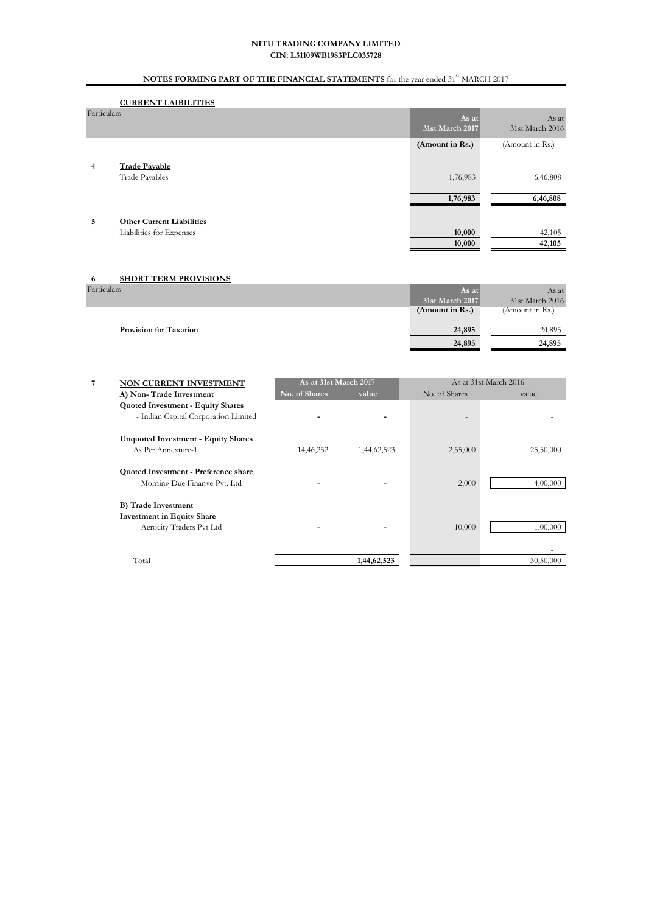# **NOTES FORMING PART OF THE FINANCIAL STATEMENTS** for the year ended 31<sup>st</sup> MARCH 2017

### **CURRENT LAIBILITIES**

| Particulars    |                                        | As $at$<br>31st March 2017 | As at<br>31st March 2016 |
|----------------|----------------------------------------|----------------------------|--------------------------|
|                |                                        | (Amount in Rs.)            | (Amount in Rs.)          |
| $\overline{4}$ | <b>Trade Payable</b><br>Trade Payables | 1,76,983                   | 6,46,808                 |
|                |                                        | 1,76,983                   | 6,46,808                 |
| 5              | <b>Other Current Liabilities</b>       |                            |                          |
|                | Liabilities for Expenses               | 10,000                     | 42,105                   |
|                |                                        | 10,000                     | 42,105                   |

| <b>SHORT TERM PROVISIONS</b><br>6 |                 |                 |
|-----------------------------------|-----------------|-----------------|
| Particulars                       | As at           | As at           |
|                                   | 31st March 2017 | 31st March 2016 |
|                                   | (Amount in Rs.) | (Amount in Rs.) |
|                                   |                 |                 |
| <b>Provision for Taxation</b>     | 24,895          | 24,895          |
|                                   | 24,895          | 24,895          |
|                                   |                 |                 |

| 7 | NON CURRENT INVESTMENT                     |               | As at 31st March 2017 |               | As at 31st March 2016 |  |
|---|--------------------------------------------|---------------|-----------------------|---------------|-----------------------|--|
|   | A) Non-Trade Investment                    | No. of Shares | value                 | No. of Shares | value                 |  |
|   | <b>Quoted Investment - Equity Shares</b>   |               |                       |               |                       |  |
|   | - Indian Capital Corporation Limited       |               |                       |               |                       |  |
|   | <b>Unquoted Investment - Equity Shares</b> |               |                       |               |                       |  |
|   | As Per Annexture-1                         | 14,46,252     | 1,44,62,523           | 2,55,000      | 25,50,000             |  |
|   | Quoted Investment - Preference share       |               |                       |               |                       |  |
|   | - Morning Due Finanve Pvt. Ltd             |               |                       | 2,000         | 4,00,000              |  |
|   | <b>B</b> ) Trade Investment                |               |                       |               |                       |  |
|   | <b>Investment in Equity Share</b>          |               |                       |               |                       |  |
|   | - Aerocity Traders Pvt Ltd                 |               |                       | 10,000        | 1,00,000              |  |
|   |                                            |               |                       |               |                       |  |
|   | Total                                      |               | 1,44,62,523           |               | 30,50,000             |  |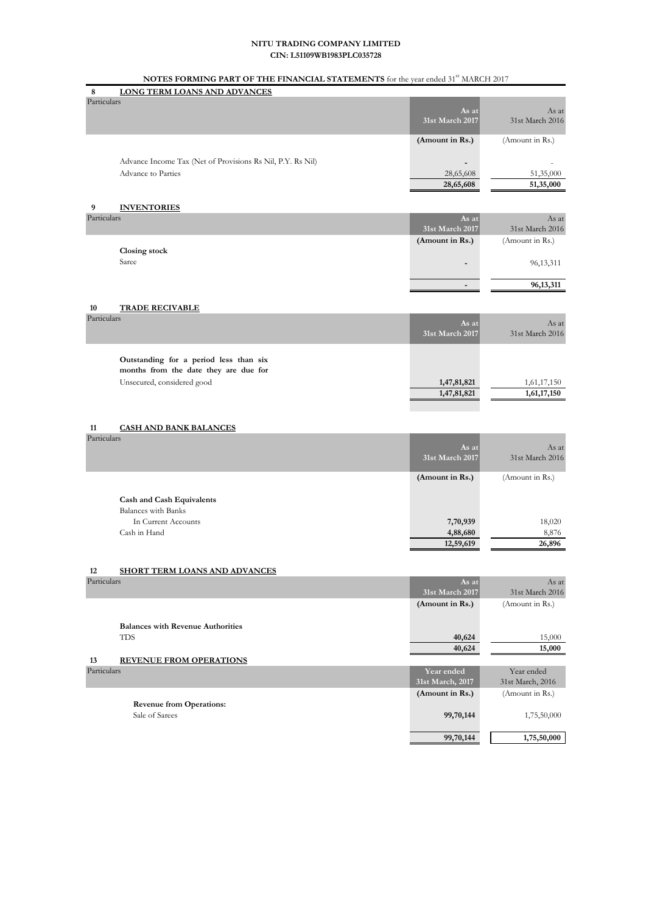# **NOTES FORMING PART OF THE FINANCIAL STATEMENTS** for the year ended 31<sup>st</sup> MARCH 2017

| 8                 | <b>TO TESTORIMING TART OF THE FININGINE STATEMENTS</b> for the year ended ST<br>LONG TERM LOANS AND ADVANCES | 111111111211             |                  |
|-------------------|--------------------------------------------------------------------------------------------------------------|--------------------------|------------------|
| Particulars       |                                                                                                              |                          |                  |
|                   |                                                                                                              | As at                    | As at            |
|                   |                                                                                                              | 31st March 2017          | 31st March 2016  |
|                   |                                                                                                              | (Amount in Rs.)          | (Amount in Rs.)  |
|                   |                                                                                                              |                          |                  |
|                   | Advance Income Tax (Net of Provisions Rs Nil, P.Y. Rs Nil)                                                   |                          |                  |
|                   | Advance to Parties                                                                                           | 28,65,608                | 51,35,000        |
|                   |                                                                                                              | 28,65,608                | 51,35,000        |
| 9                 | <b>INVENTORIES</b>                                                                                           |                          |                  |
| Particulars       |                                                                                                              | As at                    | As at            |
|                   |                                                                                                              | 31st March 2017          | 31st March 2016  |
|                   |                                                                                                              | (Amount in Rs.)          | (Amount in Rs.)  |
|                   | Closing stock                                                                                                |                          |                  |
|                   | Saree                                                                                                        |                          | 96, 13, 311      |
|                   |                                                                                                              |                          |                  |
|                   |                                                                                                              | $\overline{\phantom{a}}$ | 96,13,311        |
|                   |                                                                                                              |                          |                  |
| 10<br>Particulars | <b>TRADE RECIVABLE</b>                                                                                       |                          |                  |
|                   |                                                                                                              | As at                    | As at            |
|                   |                                                                                                              | 31st March 2017          | 31st March 2016  |
|                   |                                                                                                              |                          |                  |
|                   | Outstanding for a period less than six                                                                       |                          |                  |
|                   | months from the date they are due for                                                                        |                          |                  |
|                   | Unsecured, considered good                                                                                   | 1,47,81,821              | 1,61,17,150      |
|                   |                                                                                                              | 1,47,81,821              | 1,61,17,150      |
|                   |                                                                                                              |                          |                  |
| 11                | <u>CASH AND BANK BALANCES</u>                                                                                |                          |                  |
| Particulars       |                                                                                                              |                          |                  |
|                   |                                                                                                              | As at                    | As at            |
|                   |                                                                                                              | 31st March 2017          | 31st March 2016  |
|                   |                                                                                                              | (Amount in Rs.)          | (Amount in Rs.)  |
|                   |                                                                                                              |                          |                  |
|                   | <b>Cash and Cash Equivalents</b>                                                                             |                          |                  |
|                   | <b>Balances</b> with Banks                                                                                   |                          |                  |
|                   | In Current Accounts                                                                                          | 7,70,939                 | 18,020           |
|                   | Cash in Hand                                                                                                 | 4,88,680                 | 8,876            |
|                   |                                                                                                              | 12,59,619                | 26,896           |
|                   |                                                                                                              |                          |                  |
| 12<br>Particulars | <b>SHORT TERM LOANS AND ADVANCES</b>                                                                         | As at                    | As at            |
|                   |                                                                                                              | 31st March 2017          | 31st March 2016  |
|                   |                                                                                                              | (Amount in Rs.)          | (Amount in Rs.)  |
|                   |                                                                                                              |                          |                  |
|                   | <b>Balances with Revenue Authorities</b>                                                                     |                          |                  |
|                   | TDS                                                                                                          | 40,624                   | 15,000           |
|                   |                                                                                                              | 40,624                   | 15,000           |
| 13                | <b>REVENUE FROM OPERATIONS</b>                                                                               |                          |                  |
| Particulars       |                                                                                                              | Year ended               | Year ended       |
|                   |                                                                                                              | 31st March, 2017         | 31st March, 2016 |
|                   |                                                                                                              | (Amount in Rs.)          | (Amount in Rs.)  |
|                   | <b>Revenue from Operations:</b><br>Sale of Sarees                                                            | 99,70,144                | 1,75,50,000      |
|                   |                                                                                                              |                          |                  |
|                   |                                                                                                              | 99,70,144                | 1,75,50,000      |
|                   |                                                                                                              |                          |                  |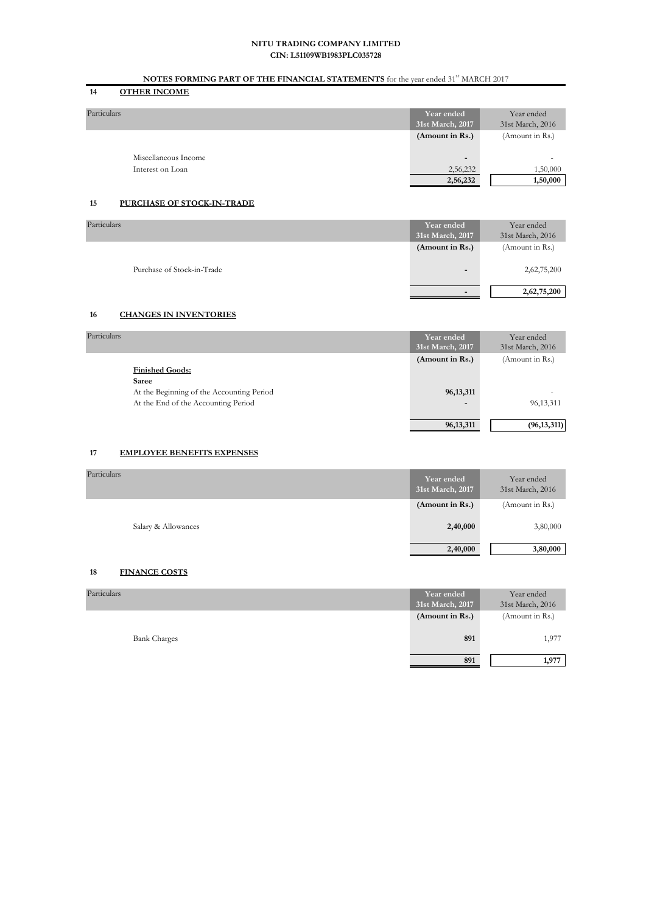# **NOTES FORMING PART OF THE FINANCIAL STATEMENTS** for the year ended 31<sup>st</sup> MARCH 2017

# **14 OTHER INCOME**

| Particulars          | Year ended<br>31st March, 2017 | Year ended<br>31st March, 2016 |
|----------------------|--------------------------------|--------------------------------|
|                      | (Amount in Rs.)                | (Amount in Rs.)                |
| Miscellaneous Income | -                              | ۰                              |
| Interest on Loan     | 2,56,232                       | 1,50,000                       |
|                      | 2,56,232                       | 1,50,000                       |

### **15 PURCHASE OF STOCK-IN-TRADE**

| Particulars                | Year ended            | Year ended       |
|----------------------------|-----------------------|------------------|
|                            | 31st March, 2017      | 31st March, 2016 |
|                            | $(A$ mount in $Rs.$ ) | (Amount in Rs.)  |
|                            |                       |                  |
| Purchase of Stock-in-Trade | $\blacksquare$        | 2,62,75,200      |
|                            |                       |                  |
|                            | $\sim$                | 2,62,75,200      |
|                            |                       |                  |

### **16 CHANGES IN INVENTORIES**

| Particulars<br>Year ended<br>31st March, 2017            | Year ended<br>31st March, 2016 |
|----------------------------------------------------------|--------------------------------|
| (Amount in Rs.)                                          | (Amount in Rs.)                |
| <b>Finished Goods:</b>                                   |                                |
| Saree                                                    |                                |
| At the Beginning of the Accounting Period<br>96, 13, 311 | ۰                              |
| At the End of the Accounting Period<br>-                 | 96, 13, 311                    |
|                                                          |                                |
| 96, 13, 311                                              | (96, 13, 311)                  |

### **17 EMPLOYEE BENEFITS EXPENSES**

| Particulars         | Year ended<br>31st March, 2017 | Year ended<br>31st March, 2016 |
|---------------------|--------------------------------|--------------------------------|
|                     | (Amount in Rs.)                | (Amount in Rs.)                |
| Salary & Allowances | 2,40,000                       | 3,80,000                       |
|                     | 2,40,000                       | 3,80,000                       |

#### **18 FINANCE COSTS**

| Particulars         | Year ended<br>31st March, 2017 | Year ended<br>31st March, 2016 |
|---------------------|--------------------------------|--------------------------------|
|                     | $(A$ mount in $Rs.$ )          | (Amount in Rs.)                |
| <b>Bank Charges</b> | 891                            | 1,977                          |
|                     | 891                            | 1,977                          |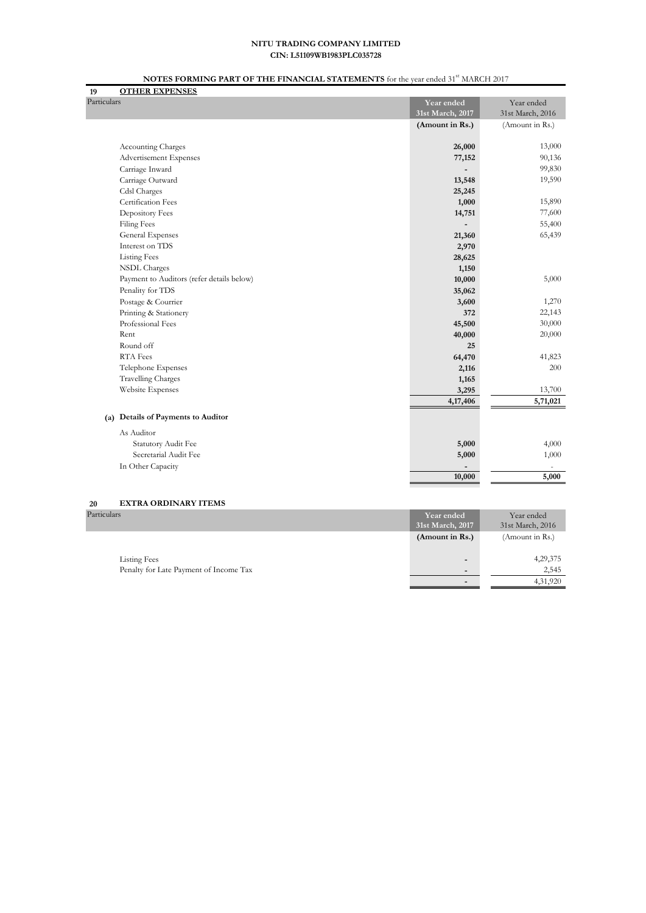# **NOTES FORMING PART OF THE FINANCIAL STATEMENTS** for the year ended 31<sup>st</sup> MARCH 2017

| <b>OTHER EXPENSES</b><br>19               |                  |                  |
|-------------------------------------------|------------------|------------------|
| Particulars                               | Year ended       | Year ended       |
|                                           | 31st March, 2017 | 31st March, 2016 |
|                                           | (Amount in Rs.)  | (Amount in Rs.)  |
|                                           |                  |                  |
| <b>Accounting Charges</b>                 | 26,000           | 13,000           |
| Advertisement Expenses                    | 77,152           | 90,136           |
| Carriage Inward                           |                  | 99,830           |
| Carriage Outward                          | 13,548           | 19,590           |
| Cdsl Charges                              | 25,245           |                  |
| Certification Fees                        | 1,000            | 15,890           |
| Depository Fees                           | 14,751           | 77,600           |
| <b>Filing Fees</b>                        |                  | 55,400           |
| General Expenses                          | 21,360           | 65,439           |
| Interest on TDS                           | 2,970            |                  |
| <b>Listing Fees</b>                       | 28,625           |                  |
| <b>NSDL</b> Charges                       | 1,150            |                  |
| Payment to Auditors (refer details below) | 10,000           | 5,000            |
| Penality for TDS                          | 35,062           |                  |
| Postage & Courrier                        | 3,600            | 1,270            |
| Printing & Stationery                     | 372              | 22,143           |
| Professional Fees                         | 45,500           | 30,000           |
| Rent                                      | 40,000           | 20,000           |
| Round off                                 | 25               |                  |
| RTA Fees                                  | 64,470           | 41,823           |
| Telephone Expenses                        | 2,116            | 200              |
| <b>Travelling Charges</b>                 | 1,165            |                  |
| Website Expenses                          | 3,295            | 13,700           |
|                                           | 4,17,406         | 5,71,021         |
| (a) Details of Payments to Auditor        |                  |                  |
| As Auditor                                |                  |                  |
| Statutory Audit Fee                       | 5,000            | 4,000            |
| Secretarial Audit Fee                     | 5,000            | 1,000            |
| In Other Capacity                         |                  |                  |
|                                           | 10,000           | 5,000            |

# **20 EXTRA ORDINARY ITEMS**

| Particulars                            | Year ended<br>31st March, 2017 | Year ended<br>31st March, 2016 |
|----------------------------------------|--------------------------------|--------------------------------|
|                                        | (Amount in Rs.)                | (Amount in Rs.)                |
| <b>Listing Fees</b>                    | $\blacksquare$                 | 4,29,375                       |
| Penalty for Late Payment of Income Tax | $\overline{\phantom{0}}$       | 2,545                          |
|                                        | $\blacksquare$                 | 4,31,920                       |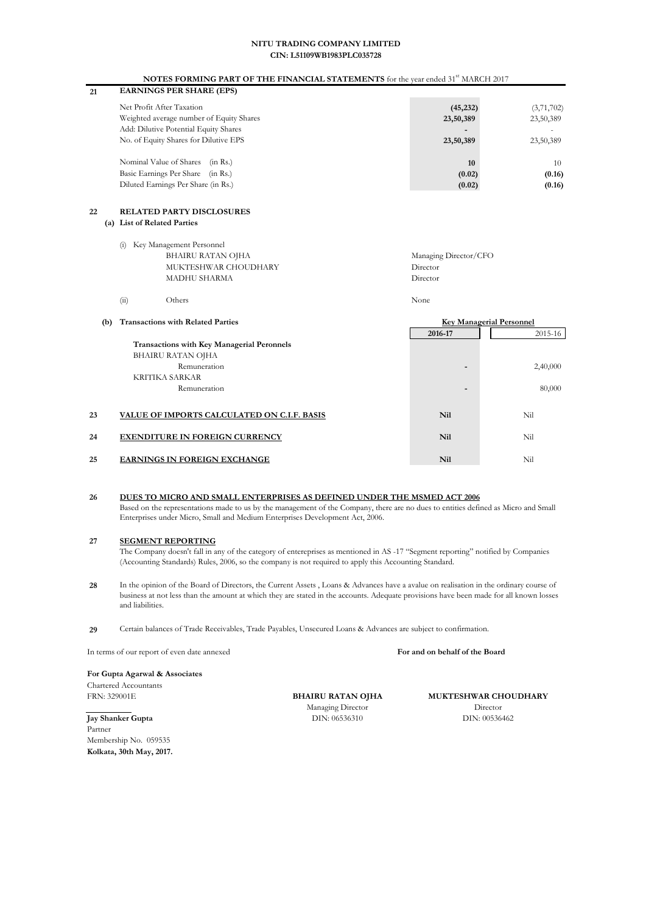#### **NOTES FORMING PART OF THE FINANCIAL STATEMENTS** for the year ended 31<sup>st</sup> MARCH 2017

| <b>EARNINGS PER SHARE (EPS)</b><br>21    |           |            |
|------------------------------------------|-----------|------------|
| Net Profit After Taxation                | (45, 232) | (3,71,702) |
| Weighted average number of Equity Shares | 23,50,389 | 23,50,389  |
| Add: Dilutive Potential Equity Shares    | -         |            |
| No. of Equity Shares for Dilutive EPS    | 23,50,389 | 23,50,389  |
| Nominal Value of Shares<br>(in Rs.)      | 10        | 10         |
| Basic Earnings Per Share<br>(in Rs.)     | (0.02)    | (0.16)     |
| Diluted Earnings Per Share (in Rs.)      | (0.02)    | (0.16)     |

#### **22 RELATED PARTY DISCLOSURES (a) List of Related Parties**

|      | (i) Key Management Personnel |                       |
|------|------------------------------|-----------------------|
|      | BHAIRU RATAN OJHA            | Managing Director/CFO |
|      | MUKTESHWAR CHOUDHARY         | Director              |
|      | MADHU SHARMA                 | Director              |
|      |                              |                       |
| (ii) | Others                       | None                  |

| (b) | <b>Transactions with Related Parties</b>          |            | <b>Key Managerial Personnel</b> |
|-----|---------------------------------------------------|------------|---------------------------------|
|     |                                                   | 2016-17    | 2015-16                         |
|     | <b>Transactions with Key Managerial Peronnels</b> |            |                                 |
|     | BHAIRU RATAN OJHA                                 |            |                                 |
|     | Remuneration                                      | -          | 2,40,000                        |
|     | KRITIKA SARKAR                                    |            |                                 |
|     | Remuneration                                      | -          | 80,000                          |
|     |                                                   |            |                                 |
| 23  | VALUE OF IMPORTS CALCULATED ON C.I.F. BASIS       | <b>Nil</b> | Nil                             |
| 24  | <b>EXENDITURE IN FOREIGN CURRENCY</b>             | <b>Nil</b> | Nil                             |
| 25  | <b>EARNINGS IN FOREIGN EXCHANGE</b>               | <b>Nil</b> | Nil                             |

#### **26 DUES TO MICRO AND SMALL ENTERPRISES AS DEFINED UNDER THE MSMED ACT 2006** Based on the representations made to us by the management of the Company, there are no dues to entities defined as Micro and Small Enterprises under Micro, Small and Medium Enterprises Development Act, 2006.

#### **27 SEGMENT REPORTING**

The Company doesn't fall in any of the category of entereprises as mentioned in AS -17 "Segment reporting" notified by Companies (Accounting Standards) Rules, 2006, so the company is not required to apply this Accounting Standard.

- **28** In the opinion of the Board of Directors, the Current Assets , Loans & Advances have a avalue on realisation in the ordinary course of business at not less than the amount at which they are stated in the accounts. Adequate provisions have been made for all known losses and liabilities.
- **29** Certain balances of Trade Receivables, Trade Payables, Unsecured Loans & Advances are subject to confirmation.

In terms of our report of even date annexed

**For Gupta Agarwal & Associates**

Chartered Accountants FRN: 329001E

**Jay Shanker Gupta** Partner Membership No. 059535 **Kolkata, 30th May, 2017.** **BHAIRU RATAN OJHA** Managing Director DIN: 06536310

**MUKTESHWAR CHOUDHARY** Director DIN: 00536462

**For and on behalf of the Board**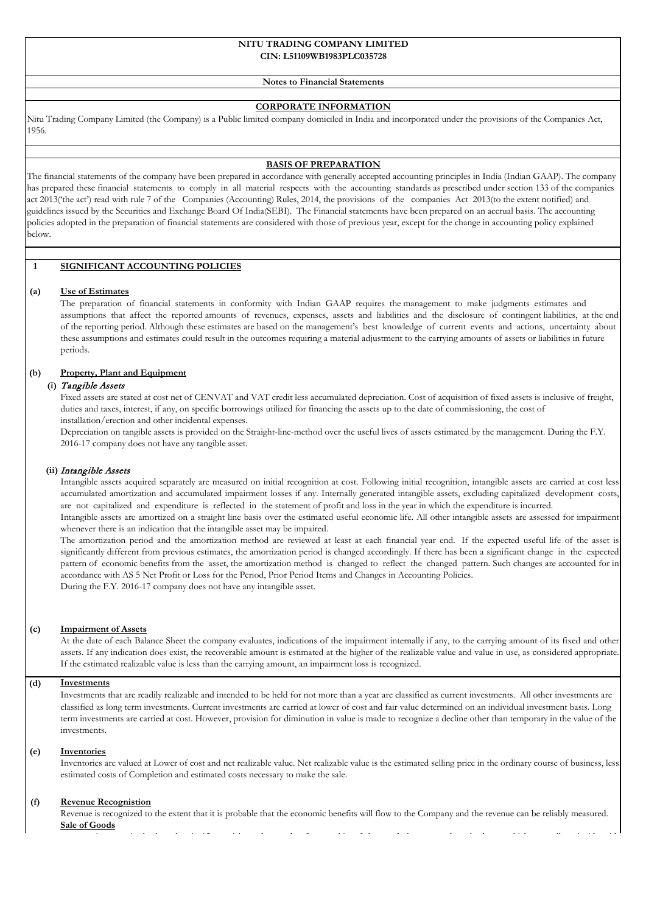#### **CIN: L51109WB1983PLC035728 NITU TRADING COMPANY LIMITED**

#### **Notes to Financial Statements**

#### **CORPORATE INFORMATION**

Nitu Trading Company Limited (the Company) is a Public limited company domiciled in India and incorporated under the provisions of the Companies Act, 1956.

#### **BASIS OF PREPARATION**

The financial statements of the company have been prepared in accordance with generally accepted accounting principles in India (Indian GAAP). The company has prepared these financial statements to comply in all material respects with the accounting standards as prescribed under section 133 of the companies act 2013('the act') read with rule 7 of the Companies (Accounting) Rules, 2014, the provisions of the companies Act 2013(to the extent notified) and guidelines issued by the Securities and Exchange Board Of India(SEBI). The Financial statements have been prepared on an accrual basis. The accounting policies adopted in the preparation of financial statements are considered with those of previous year, except for the change in accounting policy explained below.

### **1 SIGNIFICANT ACCOUNTING POLICIES**

#### **(a) Use of Estimates**

The preparation of financial statements in conformity with Indian GAAP requires the management to make judgments estimates and assumptions that affect the reported amounts of revenues, expenses, assets and liabilities and the disclosure of contingent liabilities, at the end of the reporting period. Although these estimates are based on the management's best knowledge of current events and actions, uncertainty about these assumptions and estimates could result in the outcomes requiring a material adjustment to the carrying amounts of assets or liabilities in future periods.

#### **(b) Property, Plant and Equipment**

#### **(i)** Tangible Assets

Fixed assets are stated at cost net of CENVAT and VAT credit less accumulated depreciation. Cost of acquisition of fixed assets is inclusive of freight, duties and taxes, interest, if any, on specific borrowings utilized for financing the assets up to the date of commissioning, the cost of installation/erection and other incidental expenses.

Depreciation on tangible assets is provided on the Straight-line-method over the useful lives of assets estimated by the management. During the F.Y. 2016-17 company does not have any tangible asset.

#### **(ii)** Intangible Assets

Intangible assets acquired separately are measured on initial recognition at cost. Following initial recognition, intangible assets are carried at cost less accumulated amortization and accumulated impairment losses if any. Internally generated intangible assets, excluding capitalized development costs, are not capitalized and expenditure is reflected in the statement of profit and loss in the year in which the expenditure is incurred. Intangible assets are amortized on a straight line basis over the estimated useful economic life. All other intangible assets are assessed for impairment

whenever there is an indication that the intangible asset may be impaired.

The amortization period and the amortization method are reviewed at least at each financial year end. If the expected useful life of the asset is significantly different from previous estimates, the amortization period is changed accordingly. If there has been a significant change in the expected pattern of economic benefits from the asset, the amortization method is changed to reflect the changed pattern. Such changes are accounted for in accordance with AS 5 Net Profit or Loss for the Period, Prior Period Items and Changes in Accounting Policies. During the F.Y. 2016-17 company does not have any intangible asset.

#### **(c) Impairment of Assets**

At the date of each Balance Sheet the company evaluates, indications of the impairment internally if any, to the carrying amount of its fixed and other assets. If any indication does exist, the recoverable amount is estimated at the higher of the realizable value and value in use, as considered appropriate. If the estimated realizable value is less than the carrying amount, an impairment loss is recognized.

#### **(d) Investments**

Investments that are readily realizable and intended to be held for not more than a year are classified as current investments. All other investments are classified as long term investments. Current investments are carried at lower of cost and fair value determined on an individual investment basis. Long term investments are carried at cost. However, provision for diminution in value is made to recognize a decline other than temporary in the value of the investments.

#### **(e) Inventories**

Inventories are valued at Lower of cost and net realizable value. Net realizable value is the estimated selling price in the ordinary course of business, less estimated costs of Completion and estimated costs necessary to make the sale.

#### **(f) Revenue Recognistion**

Revenue is recognized to the extent that it is probable that the economic benefits will flow to the Company and the revenue can be reliably measured. **Sale of Goods**

i i d h h i ifi i k d d f hi f h d h d h b hi h ll i id i h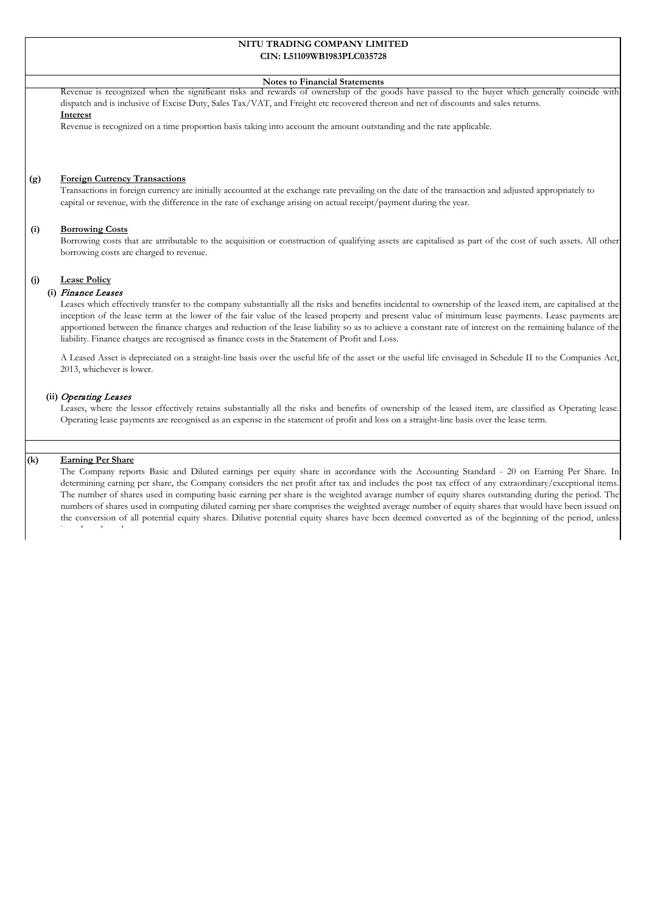#### **CIN: L51109WB1983PLC035728 NITU TRADING COMPANY LIMITED**

#### **Notes to Financial Statements**

Revenue is recognized when the significant risks and rewards of ownership of the goods have passed to the buyer which generally coincide with dispatch and is inclusive of Excise Duty, Sales Tax/VAT, and Freight etc recovered thereon and net of discounts and sales returns. **Interest**

#### Revenue is recognized on a time proportion basis taking into account the amount outstanding and the rate applicable.

#### **(g) Foreign Currency Transactions**

Transactions in foreign currency are initially accounted at the exchange rate prevailing on the date of the transaction and adjusted appropriately to capital or revenue, with the difference in the rate of exchange arising on actual receipt/payment during the year.

#### **(i) Borrowing Costs**

Borrowing costs that are attributable to the acquisition or construction of qualifying assets are capitalised as part of the cost of such assets. All other borrowing costs are charged to revenue.

#### **(j) Lease Policy**

#### **(i)** Finance Leases

Leases which effectively transfer to the company substantially all the risks and benefits incidental to ownership of the leased item, are capitalised at the inception of the lease term at the lower of the fair value of the leased property and present value of minimum lease payments. Lease payments are apportioned between the finance charges and reduction of the lease liability so as to achieve a constant rate of interest on the remaining balance of the liability. Finance charges are recognised as finance costs in the Statement of Profit and Loss.

A Leased Asset is depreciated on a straight-line basis over the useful life of the asset or the useful life envisaged in Schedule II to the Companies Act, 2013, whichever is lower.

#### **(ii)** Operating Leases

Leases, where the lessor effectively retains substantially all the risks and benefits of ownership of the leased item, are classified as Operating lease. Operating lease payments are recognised as an expense in the statement of profit and loss on a straight-line basis over the lease term.

### **(k) Earning Per Share**

The Company reports Basic and Diluted earnings per equity share in accordance with the Accounting Standard - 20 on Earning Per Share. In determining earning per share, the Company considers the net profit after tax and includes the post tax effect of any extraordinary/exceptional items. The number of shares used in computing basic earning per share is the weighted avarage number of equity shares outstanding during the period. The numbers of shares used in computing diluted earning per share comprises the weighted average number of equity shares that would have been issued on the conversion of all potential equity shares. Dilutive potential equity shares have been deemed converted as of the beginning of the period, unless i d l d